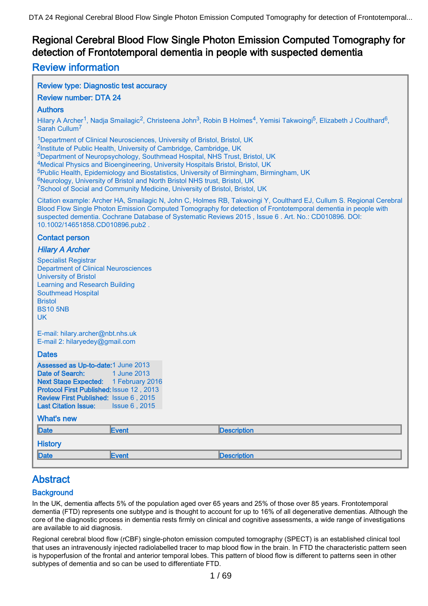# Regional Cerebral Blood Flow Single Photon Emission Computed Tomography for detection of Frontotemporal dementia in people with suspected dementia

# Review information

## Review type: Diagnostic test accuracy

Review number: DTA 24

## Authors

Hilary A Archer<sup>1</sup>, Nadja Smailagic<sup>2</sup>, Christeena John<sup>3</sup>, Robin B Holmes<sup>4</sup>, Yemisi Takwoingi<sup>5</sup>, Elizabeth J Coulthard<sup>6</sup>, Sarah Cullum7

Department of Clinical Neurosciences, University of Bristol, Bristol, UK Institute of Public Health, University of Cambridge, Cambridge, UK Department of Neuropsychology, Southmead Hospital, NHS Trust, Bristol, UK Medical Physics and Bioengineering, University Hospitals Bristol, Bristol, UK Public Health, Epidemiology and Biostatistics, University of Birmingham, Birmingham, UK Neurology, University of Bristol and North Bristol NHS trust, Bristol, UK <sup>7</sup>School of Social and Community Medicine, University of Bristol, Bristol, UK

Citation example: Archer HA, Smailagic N, John C, Holmes RB, Takwoingi Y, Coulthard EJ, Cullum S. Regional Cerebral Blood Flow Single Photon Emission Computed Tomography for detection of Frontotemporal dementia in people with suspected dementia. Cochrane Database of Systematic Reviews 2015 , Issue 6 . Art. No.: CD010896. DOI: 10.1002/14651858.CD010896.pub2 .

## Contact person

## Hilary A Archer

Specialist Registrar Department of Clinical Neurosciences University of Bristol Learning and Research Building Southmead Hospital **Bristol** BS10 5NB UK

E-mail: hilary.archer@nbt.nhs.uk E-mail 2: hilaryedey@gmail.com

## **Dates**

| Assessed as Up-to-date:1 June 2013       |                      |  |
|------------------------------------------|----------------------|--|
| <b>Date of Search:</b>                   | 1 June 2013          |  |
| Next Stage Expected: 1 February 2016     |                      |  |
| Protocol First Published: Issue 12, 2013 |                      |  |
| Review First Published: Issue 6, 2015    |                      |  |
| <b>Last Citation Issue:</b>              | <b>Issue 6, 2015</b> |  |

## What's new

| Date           | <b>Event</b> | Description        |
|----------------|--------------|--------------------|
| <b>History</b> |              |                    |
| Date           | Event        | <b>Description</b> |

# Abstract

## **Background**

In the UK, dementia affects 5% of the population aged over 65 years and 25% of those over 85 years. Frontotemporal dementia (FTD) represents one subtype and is thought to account for up to 16% of all degenerative dementias. Although the core of the diagnostic process in dementia rests firmly on clinical and cognitive assessments, a wide range of investigations are available to aid diagnosis.

Regional cerebral blood flow (rCBF) single-photon emission computed tomography (SPECT) is an established clinical tool that uses an intravenously injected radiolabelled tracer to map blood flow in the brain. In FTD the characteristic pattern seen is hypoperfusion of the frontal and anterior temporal lobes. This pattern of blood flow is different to patterns seen in other subtypes of dementia and so can be used to differentiate FTD.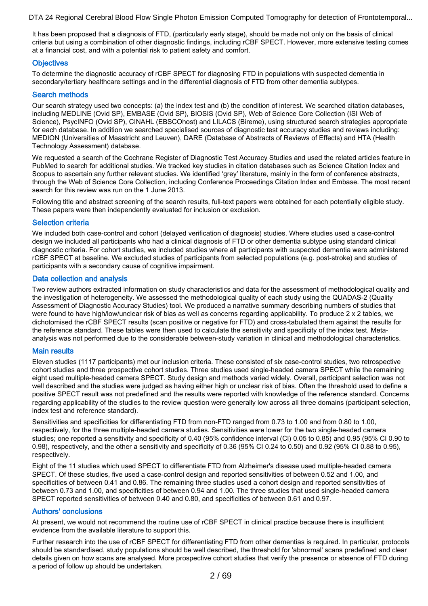It has been proposed that a diagnosis of FTD, (particularly early stage), should be made not only on the basis of clinical criteria but using a combination of other diagnostic findings, including rCBF SPECT. However, more extensive testing comes at a financial cost, and with a potential risk to patient safety and comfort.

## **Objectives**

To determine the diagnostic accuracy of rCBF SPECT for diagnosing FTD in populations with suspected dementia in secondary/tertiary healthcare settings and in the differential diagnosis of FTD from other dementia subtypes.

## Search methods

Our search strategy used two concepts: (a) the index test and (b) the condition of interest. We searched citation databases, including MEDLINE (Ovid SP), EMBASE (Ovid SP), BIOSIS (Ovid SP), Web of Science Core Collection (ISI Web of Science), PsycINFO (Ovid SP), CINAHL (EBSCOhost) and LILACS (Bireme), using structured search strategies appropriate for each database. In addition we searched specialised sources of diagnostic test accuracy studies and reviews including: MEDION (Universities of Maastricht and Leuven), DARE (Database of Abstracts of Reviews of Effects) and HTA (Health Technology Assessment) database.

We requested a search of the Cochrane Register of Diagnostic Test Accuracy Studies and used the related articles feature in PubMed to search for additional studies. We tracked key studies in citation databases such as Science Citation Index and Scopus to ascertain any further relevant studies. We identified 'grey' literature, mainly in the form of conference abstracts, through the Web of Science Core Collection, including Conference Proceedings Citation Index and Embase. The most recent search for this review was run on the 1 June 2013.

Following title and abstract screening of the search results, full-text papers were obtained for each potentially eligible study. These papers were then independently evaluated for inclusion or exclusion.

#### Selection criteria

We included both case-control and cohort (delayed verification of diagnosis) studies. Where studies used a case-control design we included all participants who had a clinical diagnosis of FTD or other dementia subtype using standard clinical diagnostic criteria. For cohort studies, we included studies where all participants with suspected dementia were administered rCBF SPECT at baseline. We excluded studies of participants from selected populations (e.g. post-stroke) and studies of participants with a secondary cause of cognitive impairment.

#### Data collection and analysis

Two review authors extracted information on study characteristics and data for the assessment of methodological quality and the investigation of heterogeneity. We assessed the methodological quality of each study using the QUADAS-2 (Quality Assessment of Diagnostic Accuracy Studies) tool. We produced a narrative summary describing numbers of studies that were found to have high/low/unclear risk of bias as well as concerns regarding applicability. To produce 2 x 2 tables, we dichotomised the rCBF SPECT results (scan positive or negative for FTD) and cross-tabulated them against the results for the reference standard. These tables were then used to calculate the sensitivity and specificity of the index test. Metaanalysis was not performed due to the considerable between-study variation in clinical and methodological characteristics.

## Main results

Eleven studies (1117 participants) met our inclusion criteria. These consisted of six case-control studies, two retrospective cohort studies and three prospective cohort studies. Three studies used single-headed camera SPECT while the remaining eight used multiple-headed camera SPECT. Study design and methods varied widely. Overall, participant selection was not well described and the studies were judged as having either high or unclear risk of bias. Often the threshold used to define a positive SPECT result was not predefined and the results were reported with knowledge of the reference standard. Concerns regarding applicability of the studies to the review question were generally low across all three domains (participant selection, index test and reference standard).

Sensitivities and specificities for differentiating FTD from non-FTD ranged from 0.73 to 1.00 and from 0.80 to 1.00, respectively, for the three multiple-headed camera studies. Sensitivities were lower for the two single-headed camera studies; one reported a sensitivity and specificity of 0.40 (95% confidence interval (CI) 0.05 to 0.85) and 0.95 (95% CI 0.90 to 0.98), respectively, and the other a sensitivity and specificity of 0.36 (95% CI 0.24 to 0.50) and 0.92 (95% CI 0.88 to 0.95), respectively.

Eight of the 11 studies which used SPECT to differentiate FTD from Alzheimer's disease used multiple-headed camera SPECT. Of these studies, five used a case-control design and reported sensitivities of between 0.52 and 1.00, and specificities of between 0.41 and 0.86. The remaining three studies used a cohort design and reported sensitivities of between 0.73 and 1.00, and specificities of between 0.94 and 1.00. The three studies that used single-headed camera SPECT reported sensitivities of between 0.40 and 0.80, and specificities of between 0.61 and 0.97.

## Authors' conclusions

At present, we would not recommend the routine use of rCBF SPECT in clinical practice because there is insufficient evidence from the available literature to support this.

Further research into the use of rCBF SPECT for differentiating FTD from other dementias is required. In particular, protocols should be standardised, study populations should be well described, the threshold for 'abnormal' scans predefined and clear details given on how scans are analysed. More prospective cohort studies that verify the presence or absence of FTD during a period of follow up should be undertaken.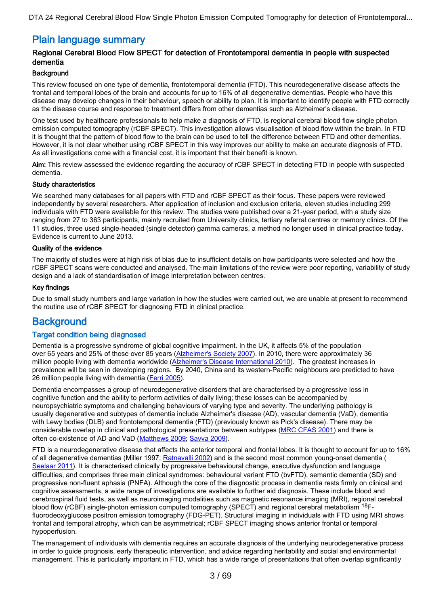# Plain language summary

## Regional Cerebral Blood Flow SPECT for detection of Frontotemporal dementia in people with suspected dementia

## **Background**

This review focused on one type of dementia, frontotemporal dementia (FTD). This neurodegenerative disease affects the frontal and temporal lobes of the brain and accounts for up to 16% of all degenerative dementias. People who have this disease may develop changes in their behaviour, speech or ability to plan. It is important to identify people with FTD correctly as the disease course and response to treatment differs from other dementias such as Alzheimer's disease.

One test used by healthcare professionals to help make a diagnosis of FTD, is regional cerebral blood flow single photon emission computed tomography (rCBF SPECT). This investigation allows visualisation of blood flow within the brain. In FTD it is thought that the pattern of blood flow to the brain can be used to tell the difference between FTD and other dementias. However, it is not clear whether using rCBF SPECT in this way improves our ability to make an accurate diagnosis of FTD. As all investigations come with a financial cost, it is important that their benefit is known.

Aim: This review assessed the evidence regarding the accuracy of rCBF SPECT in detecting FTD in people with suspected dementia.

#### Study characteristics

We searched many databases for all papers with FTD and rCBF SPECT as their focus. These papers were reviewed independently by several researchers. After application of inclusion and exclusion criteria, eleven studies including 299 individuals with FTD were available for this review. The studies were published over a 21-year period, with a study size ranging from 27 to 363 participants, mainly recruited from University clinics, tertiary referral centres or memory clinics. Of the 11 studies, three used single-headed (single detector) gamma cameras, a method no longer used in clinical practice today. Evidence is current to June 2013.

#### Quality of the evidence

The majority of studies were at high risk of bias due to insufficient details on how participants were selected and how the rCBF SPECT scans were conducted and analysed. The main limitations of the review were poor reporting, variability of study design and a lack of standardisation of image interpretation between centres.

#### Key findings

Due to small study numbers and large variation in how the studies were carried out, we are unable at present to recommend the routine use of rCBF SPECT for diagnosing FTD in clinical practice.

# **Background**

## Target condition being diagnosed

Dementia is a progressive syndrome of global cognitive impairment. In the UK, it affects 5% of the population over 65 years and 25% of those over 85 years [\(Alzheimer's Society 2007](#page-49-0)). In 2010, there were approximately 36 million people living with dementia worldwide [\(Alzheimer's Disease International 2010](#page-49-0)). The greatest increases in prevalence will be seen in developing regions. By 2040, China and its western-Pacific neighbours are predicted to have 26 million people living with dementia [\(Ferri 2005](#page-50-0)).

Dementia encompasses a group of neurodegenerative disorders that are characterised by a progressive loss in cognitive function and the ability to perform activities of daily living; these losses can be accompanied by neuropsychiatric symptoms and challenging behaviours of varying type and severity. The underlying pathology is usually degenerative and subtypes of dementia include Alzheimer's disease (AD), vascular dementia (VaD), dementia with Lewy bodies (DLB) and frontotemporal dementia (FTD) (previously known as Pick's disease). There may be considerable overlap in clinical and pathological presentations between subtypes [\(MRC CFAS 2001](#page-51-0)) and there is often co-existence of AD and VaD [\(Matthews 2009](#page-51-0); [Savva 2009](#page-52-0)).

FTD is a neurodegenerative disease that affects the anterior temporal and frontal lobes. It is thought to account for up to 16% of all degenerative dementias (Miller 1997; [Ratnavalli 2002](#page-52-0)) and is the second most common young-onset dementia ( [Seelaar 2011](#page-52-0)). It is characterised clinically by progressive behavioural change, executive dysfunction and language difficulties, and comprises three main clinical syndromes: behavioural variant FTD (bvFTD), semantic dementia (SD) and progressive non-fluent aphasia (PNFA). Although the core of the diagnostic process in dementia rests firmly on clinical and cognitive assessments, a wide range of investigations are available to further aid diagnosis. These include blood and cerebrospinal fluid tests, as well as neuroimaging modalities such as magnetic resonance imaging (MRI), regional cerebral blood flow (rCBF) single-photon emission computed tomography (SPECT) and regional cerebral metabolism <sup>18</sup>Ffluorodeoxyglucose positron emission tomography (FDG-PET). Structural imaging in individuals with FTD using MRI shows frontal and temporal atrophy, which can be asymmetrical; rCBF SPECT imaging shows anterior frontal or temporal hypoperfusion.

The management of individuals with dementia requires an accurate diagnosis of the underlying neurodegenerative process in order to guide prognosis, early therapeutic intervention, and advice regarding heritability and social and environmental management. This is particularly important in FTD, which has a wide range of presentations that often overlap significantly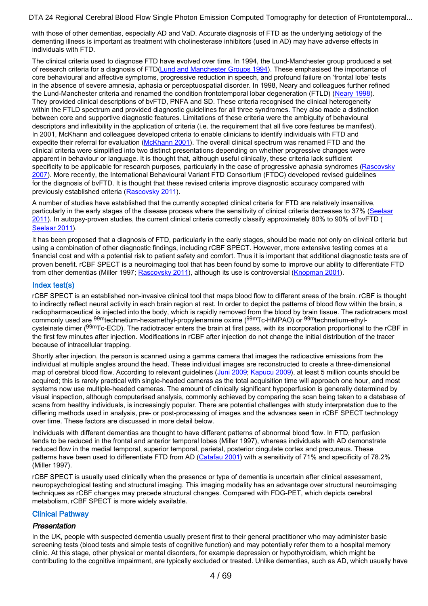with those of other dementias, especially AD and VaD. Accurate diagnosis of FTD as the underlying aetiology of the dementing illness is important as treatment with cholinesterase inhibitors (used in AD) may have adverse effects in individuals with FTD.

The clinical criteria used to diagnose FTD have evolved over time. In 1994, the Lund-Manchester group produced a set of research criteria for a diagnosis of FTD[\(Lund and Manchester Groups 1994](#page-51-0)). These emphasised the importance of core behavioural and affective symptoms, progressive reduction in speech, and profound failure on 'frontal lobe' tests in the absence of severe amnesia, aphasia or perceptuospatial disorder. In 1998, Neary and colleagues further refined the Lund-Manchester criteria and renamed the condition frontotemporal lobar degeneration (FTLD) [\(Neary 1998](#page-52-0)). They provided clinical descriptions of bvFTD, PNFA and SD. These criteria recognised the clinical heterogeneity within the FTLD spectrum and provided diagnostic guidelines for all three syndromes. They also made a distinction between core and supportive diagnostic features. Limitations of these criteria were the ambiguity of behavioural descriptors and inflexibility in the application of criteria (i.e. the requirement that all five core features be manifest). In 2001, McKhann and colleagues developed criteria to enable clinicians to identify individuals with FTD and expedite their referral for evaluation [\(McKhann 2001](#page-51-0)). The overall clinical spectrum was renamed FTD and the clinical criteria were simplified into two distinct presentations depending on whether progressive changes were apparent in behaviour or language. It is thought that, although useful clinically, these criteria lack sufficient specificity to be applicable for research purposes, particularly in the case of progressive aphasia syndromes [\(Rascovsky](#page-52-0) [2007](#page-52-0)). More recently, the International Behavioural Variant FTD Consortium (FTDC) developed revised guidelines for the diagnosis of bvFTD. It is thought that these revised criteria improve diagnostic accuracy compared with previously established criteria [\(Rascovsky 2011](#page-52-0)).

A number of studies have established that the currently accepted clinical criteria for FTD are relatively insensitive, particularly in the early stages of the disease process where the sensitivity of clinical criteria decreases to 37% [\(Seelaar](#page-52-0) [2011](#page-52-0)). In autopsy-proven studies, the current clinical criteria correctly classify approximately 80% to 90% of bvFTD ( [Seelaar 2011](#page-52-0)).

It has been proposed that a diagnosis of FTD, particularly in the early stages, should be made not only on clinical criteria but using a combination of other diagnostic findings, including rCBF SPECT. However, more extensive testing comes at a financial cost and with a potential risk to patient safety and comfort. Thus it is important that additional diagnostic tests are of proven benefit. rCBF SPECT is a neuroimaging tool that has been found by some to improve our ability to differentiate FTD from other dementias (Miller 1997; [Rascovsky 2011](#page-52-0)), although its use is controversial [\(Knopman 2001](#page-51-0)).

## Index test(s)

rCBF SPECT is an established non-invasive clinical tool that maps blood flow to different areas of the brain. rCBF is thought to indirectly reflect neural activity in each brain region at rest. In order to depict the patterns of blood flow within the brain, a radiopharmaceutical is injected into the body, which is rapidly removed from the blood by brain tissue. The radiotracers most commonly used are <sup>99m</sup>technetium-hexamethyl-propylenamine oxime (<sup>99m</sup>Tc-HMPAO) or <sup>99m</sup>technetium-ethylcysteinate dimer (99mTc-ECD). The radiotracer enters the brain at first pass, with its incorporation proportional to the rCBF in the first few minutes after injection. Modifications in rCBF after injection do not change the initial distribution of the tracer because of intracellular trapping.

Shortly after injection, the person is scanned using a gamma camera that images the radioactive emissions from the individual at multiple angles around the head. These individual images are reconstructed to create a three-dimensional map of cerebral blood flow. According to relevant guidelines [\(Juni 2009](#page-50-0); [Kapucu 2009](#page-50-0)), at least 5 million counts should be acquired; this is rarely practical with single-headed cameras as the total acquisition time will approach one hour, and most systems now use multiple-headed cameras. The amount of clinically significant hypoperfusion is generally determined by visual inspection, although computerised analysis, commonly achieved by comparing the scan being taken to a database of scans from healthy individuals, is increasingly popular. There are potential challenges with study interpretation due to the differing methods used in analysis, pre- or post-processing of images and the advances seen in rCBF SPECT technology over time. These factors are discussed in more detail below.

Individuals with different dementias are thought to have different patterns of abnormal blood flow. In FTD, perfusion tends to be reduced in the frontal and anterior temporal lobes (Miller 1997), whereas individuals with AD demonstrate reduced flow in the medial temporal, superior temporal, parietal, posterior cingulate cortex and precuneus. These patterns have been used to differentiate FTD from AD [\(Catafau 2001](#page-50-0)) with a sensitivity of 71% and specificity of 78.2% (Miller 1997).

rCBF SPECT is usually used clinically when the presence or type of dementia is uncertain after clinical assessment, neuropsychological testing and structural imaging. This imaging modality has an advantage over structural neuroimaging techniques as rCBF changes may precede structural changes. Compared with FDG-PET, which depicts cerebral metabolism, rCBF SPECT is more widely available.

## Clinical Pathway

## Presentation

In the UK, people with suspected dementia usually present first to their general practitioner who may administer basic screening tests (blood tests and simple tests of cognitive function) and may potentially refer them to a hospital memory clinic. At this stage, other physical or mental disorders, for example depression or hypothyroidism, which might be contributing to the cognitive impairment, are typically excluded or treated. Unlike dementias, such as AD, which usually have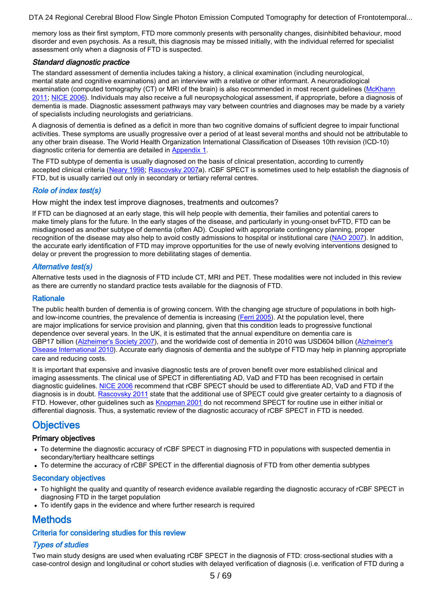<span id="page-4-0"></span>memory loss as their first symptom, FTD more commonly presents with personality changes, disinhibited behaviour, mood disorder and even psychosis. As a result, this diagnosis may be missed initially, with the individual referred for specialist assessment only when a diagnosis of FTD is suspected.

## Standard diagnostic practice

The standard assessment of dementia includes taking a history, a clinical examination (including neurological, mental state and cognitive examinations) and an interview with a relative or other informant. A neuroradiological examination (computed tomography (CT) or MRI of the brain) is also recommended in most recent guidelines [\(McKhann](#page-51-0) [2011](#page-51-0); [NICE 2006](#page-52-0)). Individuals may also receive a full neuropsychological assessment, if appropriate, before a diagnosis of dementia is made. Diagnostic assessment pathways may vary between countries and diagnoses may be made by a variety of specialists including neurologists and geriatricians.

A diagnosis of dementia is defined as a deficit in more than two cognitive domains of sufficient degree to impair functional activities. These symptoms are usually progressive over a period of at least several months and should not be attributable to any other brain disease. The World Health Organization International Classification of Diseases 10th revision (ICD-10) diagnostic criteria for dementia are detailed in [Appendix 1](#page-57-0).

The FTD subtype of dementia is usually diagnosed on the basis of clinical presentation, according to currently accepted clinical criteria [\(Neary 1998](#page-52-0); [Rascovsky 2007](#page-52-0)a). rCBF SPECT is sometimes used to help establish the diagnosis of FTD, but is usually carried out only in secondary or tertiary referral centres.

## Role of index test(s)

How might the index test improve diagnoses, treatments and outcomes?

If FTD can be diagnosed at an early stage, this will help people with dementia, their families and potential carers to make timely plans for the future. In the early stages of the disease, and particularly in young-onset bvFTD, FTD can be misdiagnosed as another subtype of dementia (often AD). Coupled with appropriate contingency planning, proper recognition of the disease may also help to avoid costly admissions to hospital or institutional care [\(NAO 2007](#page-52-0)). In addition, the accurate early identification of FTD may improve opportunities for the use of newly evolving interventions designed to delay or prevent the progression to more debilitating stages of dementia.

## Alternative test(s)

Alternative tests used in the diagnosis of FTD include CT, MRI and PET. These modalities were not included in this review as there are currently no standard practice tests available for the diagnosis of FTD.

## **Rationale**

The public health burden of dementia is of growing concern. With the changing age structure of populations in both highand low-income countries, the prevalence of dementia is increasing [\(Ferri 2005](#page-50-0)). At the population level, there are major implications for service provision and planning, given that this condition leads to progressive functional dependence over several years. In the UK, it is estimated that the annual expenditure on dementia care is GBP17 billion [\(Alzheimer's Society 2007](#page-49-0)), and the worldwide cost of dementia in 2010 was USD604 billion ([Alzheimer's](#page-49-0) [Disease International 2010](#page-49-0)). Accurate early diagnosis of dementia and the subtype of FTD may help in planning appropriate care and reducing costs.

It is important that expensive and invasive diagnostic tests are of proven benefit over more established clinical and imaging assessments. The clinical use of SPECT in differentiating AD, VaD and FTD has been recognised in certain diagnostic guidelines. [NICE 2006](#page-52-0) recommend that rCBF SPECT should be used to differentiate AD, VaD and FTD if the diagnosis is in doubt. [Rascovsky 2011](#page-52-0) state that the additional use of SPECT could give greater certainty to a diagnosis of FTD. However, other guidelines such as [Knopman 2001](#page-51-0) do not recommend SPECT for routine use in either initial or differential diagnosis. Thus, a systematic review of the diagnostic accuracy of rCBF SPECT in FTD is needed.

# **Objectives**

## Primary objectives

- To determine the diagnostic accuracy of rCBF SPECT in diagnosing FTD in populations with suspected dementia in secondary/tertiary healthcare settings
- To determine the accuracy of rCBF SPECT in the differential diagnosis of FTD from other dementia subtypes

## Secondary objectives

- To highlight the quality and quantity of research evidence available regarding the diagnostic accuracy of rCBF SPECT in diagnosing FTD in the target population
- To identify gaps in the evidence and where further research is required

# **Methods**

## Criteria for considering studies for this review

## Types of studies

Two main study designs are used when evaluating rCBF SPECT in the diagnosis of FTD: cross-sectional studies with a case-control design and longitudinal or cohort studies with delayed verification of diagnosis (i.e. verification of FTD during a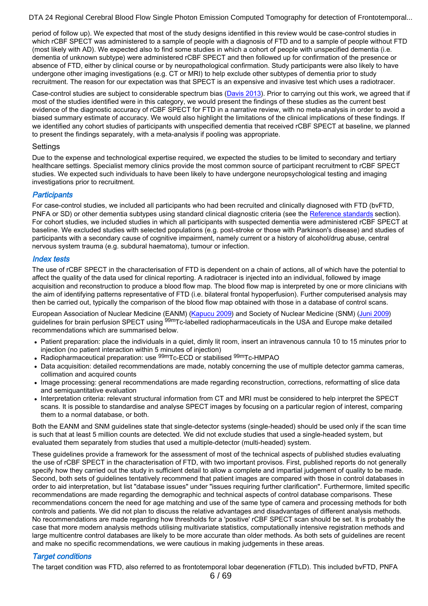period of follow up). We expected that most of the study designs identified in this review would be case-control studies in which rCBF SPECT was administered to a sample of people with a diagnosis of FTD and to a sample of people without FTD (most likely with AD). We expected also to find some studies in which a cohort of people with unspecified dementia (i.e. dementia of unknown subtype) were administered rCBF SPECT and then followed up for confirmation of the presence or absence of FTD, either by clinical course or by neuropathological confirmation. Study participants were also likely to have undergone other imaging investigations (e.g. CT or MRI) to help exclude other subtypes of dementia prior to study recruitment. The reason for our expectation was that SPECT is an expensive and invasive test which uses a radiotracer.

Case-control studies are subject to considerable spectrum bias [\(Davis 2013](#page-50-0)). Prior to carrying out this work, we agreed that if most of the studies identified were in this category, we would present the findings of these studies as the current best evidence of the diagnostic accuracy of rCBF SPECT for FTD in a narrative review, with no meta-analysis in order to avoid a biased summary estimate of accuracy. We would also highlight the limitations of the clinical implications of these findings. If we identified any cohort studies of participants with unspecified dementia that received rCBF SPECT at baseline, we planned to present the findings separately, with a meta-analysis if pooling was appropriate.

#### **Settings**

Due to the expense and technological expertise required, we expected the studies to be limited to secondary and tertiary healthcare settings. Specialist memory clinics provide the most common source of participant recruitment to rCBF SPECT studies. We expected such individuals to have been likely to have undergone neuropsychological testing and imaging investigations prior to recruitment.

## **Participants**

For case-control studies, we included all participants who had been recruited and clinically diagnosed with FTD (bvFTD, PNFA or SD) or other dementia subtypes using standard clinical diagnostic criteria (see the [Reference standards](http://archie.cochrane.org/sections/documents/view?version=z1506180948565187904845669137851&showNbsp=false&format=REVMAN_GRAPHS#CRIT_REFERENCE_STANDARDS) section). For cohort studies, we included studies in which all participants with suspected dementia were administered rCBF SPECT at baseline. We excluded studies with selected populations (e.g. post-stroke or those with Parkinson's disease) and studies of participants with a secondary cause of cognitive impairment, namely current or a history of alcohol/drug abuse, central nervous system trauma (e.g. subdural haematoma), tumour or infection.

## Index tests

The use of rCBF SPECT in the characterisation of FTD is dependent on a chain of actions, all of which have the potential to affect the quality of the data used for clinical reporting. A radiotracer is injected into an individual, followed by image acquisition and reconstruction to produce a blood flow map. The blood flow map is interpreted by one or more clinicians with the aim of identifying patterns representative of FTD (i.e. bilateral frontal hypoperfusion). Further computerised analysis may then be carried out, typically the comparison of the blood flow map obtained with those in a database of control scans.

European Association of Nuclear Medicine (EANM) [\(Kapucu 2009](#page-50-0)) and Society of Nuclear Medicine (SNM) [\(Juni 2009](#page-50-0)) guidelines for brain perfusion SPECT using 99mTc-labelled radiopharmaceuticals in the USA and Europe make detailed recommendations which are summarised below.

- Patient preparation: place the individuals in a quiet, dimly lit room, insert an intravenous cannula 10 to 15 minutes prior to injection (no patient interaction within 5 minutes of injection)
- Radiopharmaceutical preparation: use <sup>99m</sup>Tc-ECD or stabilised <sup>99m</sup>Tc-HMPAO
- Data acquisition: detailed recommendations are made, notably concerning the use of multiple detector gamma cameras,  $\bullet$ collimation and acquired counts
- Image processing: general recommendations are made regarding reconstruction, corrections, reformatting of slice data and semiquantitative evaluation
- Interpretation criteria: relevant structural information from CT and MRI must be considered to help interpret the SPECT scans. It is possible to standardise and analyse SPECT images by focusing on a particular region of interest, comparing them to a normal database, or both.

Both the EANM and SNM guidelines state that single-detector systems (single-headed) should be used only if the scan time is such that at least 5 million counts are detected. We did not exclude studies that used a single-headed system, but evaluated them separately from studies that used a multiple-detector (multi-headed) system.

These guidelines provide a framework for the assessment of most of the technical aspects of published studies evaluating the use of rCBF SPECT in the characterisation of FTD, with two important provisos. First, published reports do not generally specify how they carried out the study in sufficient detail to allow a complete and impartial judgement of quality to be made. Second, both sets of guidelines tentatively recommend that patient images are compared with those in control databases in order to aid interpretation, but list "database issues" under "issues requiring further clarification". Furthermore, limited specific recommendations are made regarding the demographic and technical aspects of control database comparisons. These recommendations concern the need for age matching and use of the same type of camera and processing methods for both controls and patients. We did not plan to discuss the relative advantages and disadvantages of different analysis methods. No recommendations are made regarding how thresholds for a 'positive' rCBF SPECT scan should be set. It is probably the case that more modern analysis methods utilising multivariate statistics, computationally intensive registration methods and large multicentre control databases are likely to be more accurate than older methods. As both sets of guidelines are recent and make no specific recommendations, we were cautious in making judgements in these areas.

## Target conditions

The target condition was FTD, also referred to as frontotemporal lobar degeneration (FTLD). This included bvFTD, PNFA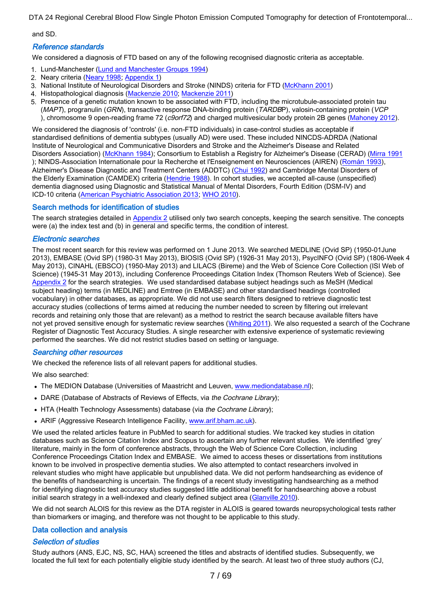and SD.

## Reference standards

We considered a diagnosis of FTD based on any of the following recognised diagnostic criteria as acceptable.

- 1. Lund-Manchester [\(Lund and Manchester Groups 1994](#page-51-0))
- 2. Neary criteria ([Neary 1998](#page-52-0); [Appendix 1](#page-57-0))
- 3. National Institute of Neurological Disorders and Stroke (NINDS) criteria for FTD [\(McKhann 2001](#page-51-0))
- 4. Histopathological diagnosis [\(Mackenzie 2010](#page-51-0); [Mackenzie 2011](#page-51-0))
- 5. Presence of a genetic mutation known to be associated with FTD, including the microtubule-associated protein tau (MAPT), progranulin (GRN), transactive response DNA-binding protein (TARDBP), valosin-containing protein (VCP ), chromosome 9 open-reading frame 72 (c9orf72) and charged multivesicular body protein 2B genes [\(Mahoney 2012](#page-51-0)).

We considered the diagnosis of 'controls' (i.e. non-FTD individuals) in case-control studies as acceptable if standardised definitions of dementia subtypes (usually AD) were used. These included NINCDS-ADRDA (National Institute of Neurological and Communicative Disorders and Stroke and the Alzheimer's Disease and Related Disorders Association) [\(McKhann 1984](#page-51-0)); Consortium to Establish a Registry for Alzheimer's Disease (CERAD) [\(Mirra 1991](#page-51-0) ); NINDS-Association Internationale pour la Recherche et l'Enseignement en Neurosciences (AIREN) [\(Román 1993](#page-52-0)), Alzheimer's Disease Diagnostic and Treatment Centers (ADDTC) [\(Chui 1992](#page-50-0)) and Cambridge Mental Disorders of the Elderly Examination (CAMDEX) criteria [\(Hendrie 1988](#page-50-0)). In cohort studies, we accepted all-cause (unspecified) dementia diagnosed using Diagnostic and Statistical Manual of Mental Disorders, Fourth Edition (DSM-IV) and ICD-10 criteria [\(American Psychiatric Association 2013](#page-49-0); [WHO 2010](#page-53-0)).

## Search methods for identification of studies

The search strategies detailed in [Appendix 2](#page-59-0) utilised only two search concepts, keeping the search sensitive. The concepts were (a) the index test and (b) in general and specific terms, the condition of interest.

## Electronic searches

The most recent search for this review was performed on 1 June 2013. We searched MEDLINE (Ovid SP) (1950-01June 2013), EMBASE (Ovid SP) (1980-31 May 2013), BIOSIS (Ovid SP) (1926-31 May 2013), PsycINFO (Ovid SP) (1806-Week 4 May 2013), CINAHL (EBSCO) (1950-May 2013) and LILACS (Bireme) and the Web of Science Core Collection (ISI Web of Science) (1945-31 May 2013), including Conference Proceedings Citation Index (Thomson Reuters Web of Science). See [Appendix 2](#page-59-0) for the search strategies. We used standardised database subject headings such as MeSH (Medical subject heading) terms (in MEDLINE) and Emtree (in EMBASE) and other standardised headings (controlled vocabulary) in other databases, as appropriate. We did not use search filters designed to retrieve diagnostic test accuracy studies (collections of terms aimed at reducing the number needed to screen by filtering out irrelevant records and retaining only those that are relevant) as a method to restrict the search because available filters have not yet proved sensitive enough for systematic review searches [\(Whiting 2011](#page-53-0)). We also requested a search of the Cochrane Register of Diagnostic Test Accuracy Studies. A single researcher with extensive experience of systematic reviewing performed the searches. We did not restrict studies based on setting or language.

## Searching other resources

We checked the reference lists of all relevant papers for additional studies.

We also searched:

- The MEDION Database (Universities of Maastricht and Leuven, [www.mediondatabase.nl](http://www.mediondatabase.nl));
- DARE (Database of Abstracts of Reviews of Effects, via the Cochrane Library);
- HTA (Health Technology Assessments) database (via the Cochrane Library);
- ARIF (Aggressive Research Intelligence Facility, [www.arif.bham.ac.uk](http://www.arif.bham.ac.uk)).

We used the related articles feature in PubMed to search for additional studies. We tracked key studies in citation databases such as Science Citation Index and Scopus to ascertain any further relevant studies. We identified 'grey' literature, mainly in the form of conference abstracts, through the Web of Science Core Collection, including Conference Proceedings Citation Index and EMBASE. We aimed to access theses or dissertations from institutions known to be involved in prospective dementia studies. We also attempted to contact researchers involved in relevant studies who might have applicable but unpublished data. We did not perform handsearching as evidence of the benefits of handsearching is uncertain. The findings of a recent study investigating handsearching as a method for identifying diagnostic test accuracy studies suggested little additional benefit for handsearching above a robust initial search strategy in a well-indexed and clearly defined subject area [\(Glanville 2010](#page-50-0)).

We did not search ALOIS for this review as the DTA register in ALOIS is geared towards neuropsychological tests rather than biomarkers or imaging, and therefore was not thought to be applicable to this study.

## Data collection and analysis

## Selection of studies

Study authors (ANS, EJC, NS, SC, HAA) screened the titles and abstracts of identified studies. Subsequently, we located the full text for each potentially eligible study identified by the search. At least two of three study authors (CJ,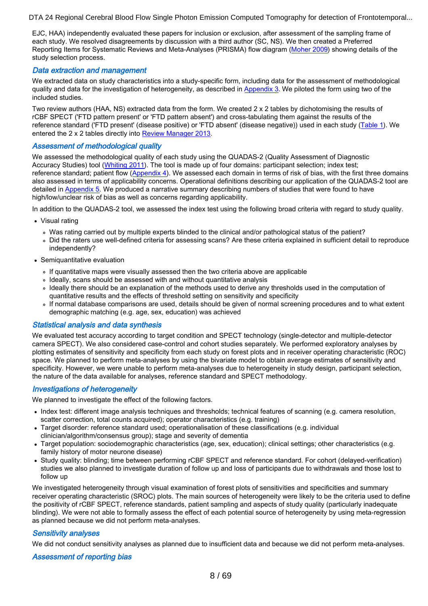EJC, HAA) independently evaluated these papers for inclusion or exclusion, after assessment of the sampling frame of each study. We resolved disagreements by discussion with a third author (SC, NS). We then created a Preferred Reporting Items for Systematic Reviews and Meta-Analyses (PRISMA) flow diagram [\(Moher 2009](#page-51-0)) showing details of the study selection process.

#### Data extraction and management

We extracted data on study characteristics into a study-specific form, including data for the assessment of methodological quality and data for the investigation of heterogeneity, as described in [Appendix 3](#page-63-0). We piloted the form using two of the included studies.

Two review authors (HAA, NS) extracted data from the form. We created 2 x 2 tables by dichotomising the results of rCBF SPECT ('FTD pattern present' or 'FTD pattern absent') and cross-tabulating them against the results of the reference standard ('FTD present' (disease positive) or 'FTD absent' (disease negative)) used in each study [\(Table 1](#page-43-0)). We entered the 2 x 2 tables directly into [Review Manager 2013](#page-52-0).

#### Assessment of methodological quality

We assessed the methodological quality of each study using the QUADAS-2 (Quality Assessment of Diagnostic Accuracy Studies) tool [\(Whiting 2011](#page-53-0)). The tool is made up of four domains: participant selection; index test; reference standard; patient flow [\(Appendix 4](#page-63-0)). We assessed each domain in terms of risk of bias, with the first three domains also assessed in terms of applicability concerns. Operational definitions describing our application of the QUADAS-2 tool are detailed in [Appendix 5](#page-64-0). We produced a narrative summary describing numbers of studies that were found to have high/low/unclear risk of bias as well as concerns regarding applicability.

In addition to the QUADAS-2 tool, we assessed the index test using the following broad criteria with regard to study quality.

- Visual rating
	- Was rating carried out by multiple experts blinded to the clinical and/or pathological status of the patient?
	- Did the raters use well-defined criteria for assessing scans? Are these criteria explained in sufficient detail to reproduce independently?
- Semiguantitative evaluation
	- If quantitative maps were visually assessed then the two criteria above are applicable
	- Ideally, scans should be assessed with and without quantitative analysis
	- Ideally there should be an explanation of the methods used to derive any thresholds used in the computation of quantitative results and the effects of threshold setting on sensitivity and specificity
	- If normal database comparisons are used, details should be given of normal screening procedures and to what extent demographic matching (e.g. age, sex, education) was achieved

## Statistical analysis and data synthesis

We evaluated test accuracy according to target condition and SPECT technology (single-detector and multiple-detector camera SPECT). We also considered case-control and cohort studies separately. We performed exploratory analyses by plotting estimates of sensitivity and specificity from each study on forest plots and in receiver operating characteristic (ROC) space. We planned to perform meta-analyses by using the bivariate model to obtain average estimates of sensitivity and specificity. However, we were unable to perform meta-analyses due to heterogeneity in study design, participant selection, the nature of the data available for analyses, reference standard and SPECT methodology.

## Investigations of heterogeneity

We planned to investigate the effect of the following factors.

- Index test: different image analysis techniques and thresholds; technical features of scanning (e.g. camera resolution, scatter correction, total counts acquired); operator characteristics (e.g. training)
- Target disorder: reference standard used; operationalisation of these classifications (e.g. individual clinician/algorithm/consensus group); stage and severity of dementia
- Target population: sociodemographic characteristics (age, sex, education); clinical settings; other characteristics (e.g. family history of motor neurone disease)
- Study quality: blinding; time between performing rCBF SPECT and reference standard. For cohort (delayed-verification) studies we also planned to investigate duration of follow up and loss of participants due to withdrawals and those lost to follow up

We investigated heterogeneity through visual examination of forest plots of sensitivities and specificities and summary receiver operating characteristic (SROC) plots. The main sources of heterogeneity were likely to be the criteria used to define the positivity of rCBF SPECT, reference standards, patient sampling and aspects of study quality (particularly inadequate blinding). We were not able to formally assess the effect of each potential source of heterogeneity by using meta-regression as planned because we did not perform meta-analyses.

## Sensitivity analyses

We did not conduct sensitivity analyses as planned due to insufficient data and because we did not perform meta-analyses.

#### Assessment of reporting bias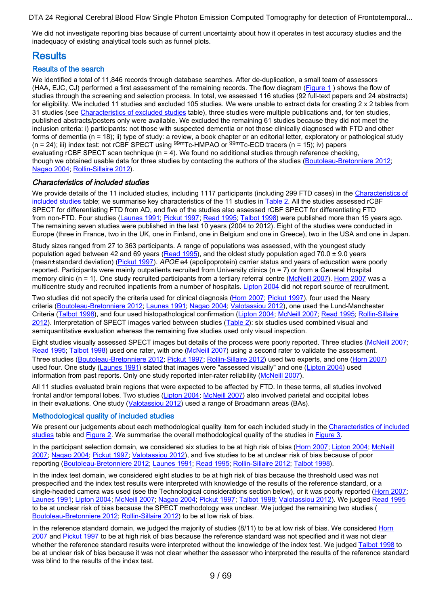We did not investigate reporting bias because of current uncertainty about how it operates in test accuracy studies and the inadequacy of existing analytical tools such as funnel plots.

# **Results**

## Results of the search

We identified a total of 11,846 records through database searches. After de-duplication, a small team of assessors (HAA, EJC, CJ) performed a first assessment of the remaining records. The flow diagram [\(Figure 1](#page-53-0)) shows the flow of studies through the screening and selection process. In total, we assessed 116 studies (92 full-text papers and 24 abstracts) for eligibility. We included 11 studies and excluded 105 studies. We were unable to extract data for creating 2 x 2 tables from 31 studies (see [Characteristics of excluded studies](#page-38-0) table), three studies were multiple publications and, for ten studies, published abstracts/posters only were available. We excluded the remaining 61 studies because they did not meet the inclusion criteria: i) participants: not those with suspected dementia or not those clinically diagnosed with FTD and other forms of dementia (n = 18); ii) type of study: a review, a book chapter or an editorial letter, exploratory or pathological study  $(n = 24)$ ; iii) index test: not rCBF SPECT using  $99mTc$ -HMPAO or  $99mTc$ -ECD tracers (n = 15); iv) papers evaluating rCBF SPECT scan technique (n = 4). We found no additional studies through reference checking, though we obtained usable data for three studies by contacting the authors of the studies [\(Boutoleau-Bretonniere 2012](#page-46-0); [Nagao 2004](#page-47-0); [Rollin-Sillaire 2012](#page-47-0)).

## Characteristics of included studies

We provide details of the 11 included studies, including 1117 participants (including 299 FTD cases) in the [Characteristics of](#page-12-0) [included studies](#page-12-0) table; we summarise key characteristics of the 11 studies in [Table 2](#page-44-0). All the studies assessed rCBF SPECT for differentiating FTD from AD, and five of the studies also assessed rCBF SPECT for differentiating FTD from non-FTD. Four studies [\(Launes 1991](#page-46-0); [Pickut 1997](#page-47-0); [Read 1995](#page-47-0); [Talbot 1998](#page-47-0)) were published more than 15 years ago. The remaining seven studies were published in the last 10 years (2004 to 2012). Eight of the studies were conducted in Europe (three in France, two in the UK, one in Finland, one in Belgium and one in Greece), two in the USA and one in Japan.

Study sizes ranged from 27 to 363 participants. A range of populations was assessed, with the youngest study population aged between 42 and 69 years [\(Read 1995](#page-47-0)), and the oldest study population aged 70.0  $\pm$  9.0 years (mean±standard deviation) [\(Pickut 1997](#page-47-0)). APOE e4 (apolipoprotein) carrier status and years of education were poorly reported. Participants were mainly outpatients recruited from University clinics (n = 7) or from a General Hospital memory clinic (n = 1). One study recruited participants from a tertiary referral centre [\(McNeill 2007](#page-47-0)). [Horn 2007](#page-46-0) was a multicentre study and recruited inpatients from a number of hospitals. [Lipton 2004](#page-46-0) did not report source of recruitment.

Two studies did not specify the criteria used for clinical diagnosis [\(Horn 2007](#page-46-0); [Pickut 1997](#page-47-0)), four used the Neary criteria [\(Boutoleau-Bretonniere 2012](#page-46-0); [Launes 1991](#page-46-0); [Nagao 2004](#page-47-0); [Valotassiou 2012](#page-47-0)), one used the Lund-Manchester Criteria [\(Talbot 1998](#page-47-0)), and four used histopathological confirmation [\(Lipton 2004](#page-46-0); [McNeill 2007](#page-47-0); [Read 1995](#page-47-0); [Rollin-Sillaire](#page-47-0) [2012](#page-47-0)). Interpretation of SPECT images varied between studies [\(Table 2](#page-44-0)): six studies used combined visual and semiquantitative evaluation whereas the remaining five studies used only visual inspection.

Eight studies visually assessed SPECT images but details of the process were poorly reported. Three studies [\(McNeill 2007](#page-47-0); [Read 1995](#page-47-0); [Talbot 1998](#page-47-0)) used one rater, with one [\(McNeill 2007](#page-47-0)) using a second rater to validate the assessment. Three studies [\(Boutoleau-Bretonniere 2012](#page-46-0); [Pickut 1997](#page-47-0); [Rollin-Sillaire 2012](#page-47-0)) used two experts, and one [\(Horn 2007](#page-46-0)) used four. One study [\(Launes 1991](#page-46-0)) stated that images were "assessed visually" and one [\(Lipton 2004](#page-46-0)) used information from past reports. Only one study reported inter-rater reliability [\(McNeill 2007](#page-47-0)).

All 11 studies evaluated brain regions that were expected to be affected by FTD. In these terms, all studies involved frontal and/or temporal lobes. Two studies [\(Lipton 2004](#page-46-0); [McNeill 2007](#page-47-0)) also involved parietal and occipital lobes in their evaluations. One study [\(Valotassiou 2012](#page-47-0)) used a range of Broadmann areas (BAs).

## Methodological quality of included studies

We present our judgements about each methodological quality item for each included study in the [Characteristics of included](http://archie.cochrane.org/sections/documents/view?version=z1310081101152248131802582459257&format=REVMAN#CHARACTERISTICS_OF_INCLUDED_STUDIES) [studies](http://archie.cochrane.org/sections/documents/view?version=z1310081101152248131802582459257&format=REVMAN#CHARACTERISTICS_OF_INCLUDED_STUDIES) table and [Figure 2](#page-54-0). We summarise the overall methodological quality of the studies in [Figure 3](#page-55-0).

In the participant selection domain, we considered six studies to be at high risk of bias [\(Horn 2007](#page-46-0); [Lipton 2004](#page-46-0); [McNeill](#page-47-0) [2007](#page-47-0); [Nagao 2004](#page-47-0); [Pickut 1997](#page-47-0); [Valotassiou 2012](#page-47-0)), and five studies to be at unclear risk of bias because of poor reporting [\(Boutoleau-Bretonniere 2012](#page-46-0); [Launes 1991](#page-46-0); [Read 1995](#page-47-0); [Rollin-Sillaire 2012](#page-47-0); [Talbot 1998](#page-47-0)).

In the index test domain, we considered eight studies to be at high risk of bias because the threshold used was not prespecified and the index test results were interpreted with knowledge of the results of the reference standard, or a single-headed camera was used (see the Technological considerations section below), or it was poorly reported [\(Horn 2007](#page-46-0); [Launes 1991](#page-46-0); [Lipton 2004](#page-46-0); [McNeill 2007](#page-47-0); [Nagao 2004](#page-47-0); [Pickut 1997](#page-47-0); [Talbot 1998](#page-47-0); [Valotassiou 2012](#page-47-0)). We judged [Read 1995](#page-47-0) to be at unclear risk of bias because the SPECT methodology was unclear. We judged the remaining two studies ( [Boutoleau-Bretonniere 2012](#page-46-0); [Rollin-Sillaire 2012](#page-47-0)) to be at low risk of bias.

In the reference standard domain, we judged the majority of studies (8/11) to be at low risk of bias. We considered [Horn](#page-46-0) [2007](#page-46-0) and [Pickut 1997](#page-47-0) to be at high risk of bias because the reference standard was not specified and it was not clear whether the reference standard results were interpreted without the knowledge of the index test. We judged [Talbot 1998](#page-47-0) to be at unclear risk of bias because it was not clear whether the assessor who interpreted the results of the reference standard was blind to the results of the index test.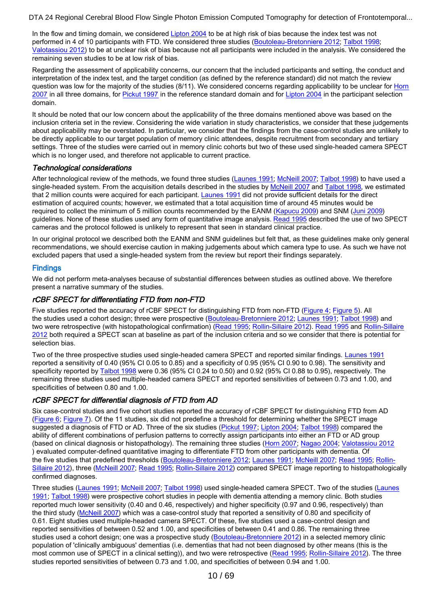In the flow and timing domain, we considered [Lipton 2004](#page-46-0) to be at high risk of bias because the index test was not performed in 4 of 10 participants with FTD. We considered three studies [\(Boutoleau-Bretonniere 2012](#page-46-0); [Talbot 1998](#page-47-0); [Valotassiou 2012](#page-47-0)) to be at unclear risk of bias because not all participants were included in the analysis. We considered the remaining seven studies to be at low risk of bias.

Regarding the assessment of applicability concerns, our concern that the included participants and setting, the conduct and interpretation of the index test, and the target condition (as defined by the reference standard) did not match the review question was low for the majority of the studies (8/11). We considered concerns regarding applicability to be unclear for [Horn](#page-46-0) [2007](#page-46-0) in all three domains, for [Pickut 1997](#page-47-0) in the reference standard domain and for [Lipton 2004](#page-46-0) in the participant selection domain.

It should be noted that our low concern about the applicability of the three domains mentioned above was based on the inclusion criteria set in the review. Considering the wide variation in study characteristics, we consider that these judgements about applicability may be overstated. In particular, we consider that the findings from the case-control studies are unlikely to be directly applicable to our target population of memory clinic attendees, despite recruitment from secondary and tertiary settings. Three of the studies were carried out in memory clinic cohorts but two of these used single-headed camera SPECT which is no longer used, and therefore not applicable to current practice.

## Technological considerations

After technological review of the methods, we found three studies [\(Launes 1991](#page-46-0); [McNeill 2007](#page-47-0); [Talbot 1998](#page-47-0)) to have used a single-headed system. From the acquisition details described in the studies by [McNeill 2007](#page-47-0) and [Talbot 1998](#page-47-0), we estimated that 2 million counts were acquired for each participant. [Launes 1991](#page-46-0) did not provide sufficient details for the direct estimation of acquired counts; however, we estimated that a total acquisition time of around 45 minutes would be required to collect the minimum of 5 million counts recommended by the EANM [\(Kapucu 2009](#page-50-0)) and SNM [\(Juni 2009](#page-50-0)) guidelines. None of these studies used any form of quantitative image analysis. [Read 1995](#page-47-0) described the use of two SPECT cameras and the protocol followed is unlikely to represent that seen in standard clinical practice.

In our original protocol we described both the EANM and SNM guidelines but felt that, as these guidelines make only general recommendations, we should exercise caution in making judgements about which camera type to use. As such we have not excluded papers that used a single-headed system from the review but report their findings separately.

## **Findings**

We did not perform meta-analyses because of substantial differences between studies as outlined above. We therefore present a narrative summary of the studies.

## rCBF SPECT for differentiating FTD from non-FTD

Five studies reported the accuracy of rCBF SPECT for distinguishing FTD from non-FTD [\(Figure 4](#page-55-0); [Figure 5](#page-56-0)). All the studies used a cohort design; three were prospective ([Boutoleau-Bretonniere 2012](#page-46-0); [Launes 1991](#page-46-0); [Talbot 1998](#page-47-0)) and two were retrospective (with histopathological confirmation) [\(Read 1995](#page-47-0); [Rollin-Sillaire 2012](#page-47-0)). [Read 1995](#page-47-0) and [Rollin-Sillaire](#page-47-0) [2012](#page-47-0) both required a SPECT scan at baseline as part of the inclusion criteria and so we consider that there is potential for selection bias.

Two of the three prospective studies used single-headed camera SPECT and reported similar findings. [Launes 1991](#page-46-0) reported a sensitivity of 0.40 (95% CI 0.05 to 0.85) and a specificity of 0.95 (95% CI 0.90 to 0.98). The sensitivity and specificity reported by [Talbot 1998](#page-47-0) were 0.36 (95% CI 0.24 to 0.50) and 0.92 (95% CI 0.88 to 0.95), respectively. The remaining three studies used multiple-headed camera SPECT and reported sensitivities of between 0.73 and 1.00, and specificities of between 0.80 and 1.00.

## rCBF SPECT for differential diagnosis of FTD from AD

Six case-control studies and five cohort studies reported the accuracy of rCBF SPECT for distinguishing FTD from AD [\(Figure 6](#page-56-0); [Figure 7](#page-57-0)). Of the 11 studies, six did not predefine a threshold for determining whether the SPECT image suggested a diagnosis of FTD or AD. Three of the six studies [\(Pickut 1997](#page-47-0); [Lipton 2004](#page-46-0); [Talbot 1998](#page-47-0)) compared the ability of different combinations of perfusion patterns to correctly assign participants into either an FTD or AD group (based on clinical diagnosis or histopathology). The remaining three studies [\(Horn 2007](#page-46-0); [Nagao 2004](#page-47-0); [Valotassiou 2012](#page-47-0) ) evaluated computer-defined quantitative imaging to differentiate FTD from other participants with dementia. Of the five studies that predefined thresholds [\(Boutoleau-Bretonniere 2012](#page-46-0); [Launes 1991](#page-46-0); [McNeill 2007](#page-47-0); [Read 1995](#page-47-0); [Rollin-](#page-47-0)[Sillaire 2012](#page-47-0)), three [\(McNeill 2007](#page-47-0); [Read 1995](#page-47-0); [Rollin-Sillaire 2012](#page-47-0)) compared SPECT image reporting to histopathologically confirmed diagnoses.

Three studies [\(Launes 1991](#page-46-0); [McNeill 2007](#page-47-0); [Talbot 1998](#page-47-0)) used single-headed camera SPECT. Two of the studies [\(Launes](#page-46-0) [1991](#page-46-0); [Talbot 1998](#page-47-0)) were prospective cohort studies in people with dementia attending a memory clinic. Both studies reported much lower sensitivity (0.40 and 0.46, respectively) and higher specificity (0.97 and 0.96, respectively) than the third study [\(McNeill 2007](#page-47-0)) which was a case-control study that reported a sensitivity of 0.80 and specificity of 0.61. Eight studies used multiple-headed camera SPECT. Of these, five studies used a case-control design and reported sensitivities of between 0.52 and 1.00, and specificities of between 0.41 and 0.86. The remaining three studies used a cohort design; one was a prospective study [\(Boutoleau-Bretonniere 2012](#page-46-0)) in a selected memory clinic population of 'clinically ambiguous' dementias (i.e. dementias that had not been diagnosed by other means (this is the most common use of SPECT in a clinical setting)), and two were retrospective [\(Read 1995](#page-47-0); [Rollin-Sillaire 2012](#page-47-0)). The three studies reported sensitivities of between 0.73 and 1.00, and specificities of between 0.94 and 1.00.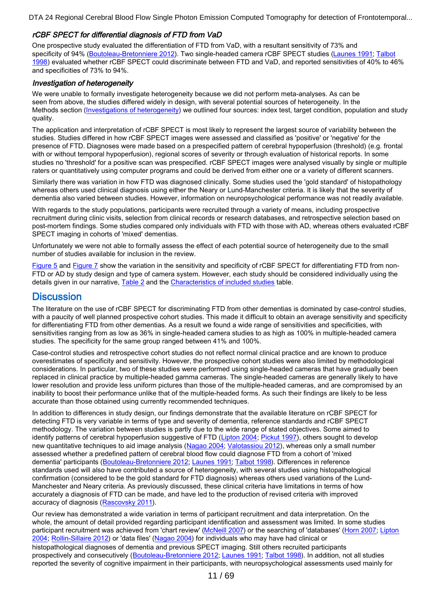## rCBF SPECT for differential diagnosis of FTD from VaD

One prospective study evaluated the differentiation of FTD from VaD, with a resultant sensitivity of 73% and specificity of 94% [\(Boutoleau-Bretonniere 2012](#page-46-0)). Two single-headed camera rCBF SPECT studies [\(Launes 1991](#page-46-0); [Talbot](#page-47-0) [1998](#page-47-0)) evaluated whether rCBF SPECT could discriminate between FTD and VaD, and reported sensitivities of 40% to 46% and specificities of 73% to 94%.

## Investigation of heterogeneity

We were unable to formally investigate heterogeneity because we did not perform meta-analyses. As can be seen from above, the studies differed widely in design, with several potential sources of heterogeneity. In the Methods section [\(Investigations of heterogeneity](http://archie.cochrane.org/sections/documents/view?version=z1506180948565187904845669137851&showNbsp=false&format=REVMAN_GRAPHS#HETEROGENEITY_ASSESSMENT)) we outlined four sources: index test, target condition, population and study quality.

The application and interpretation of rCBF SPECT is most likely to represent the largest source of variability between the studies. Studies differed in how rCBF SPECT images were assessed and classified as 'positive' or 'negative' for the presence of FTD. Diagnoses were made based on a prespecified pattern of cerebral hypoperfusion (threshold) (e.g. frontal with or without temporal hypoperfusion), regional scores of severity or through evaluation of historical reports. In some studies no 'threshold' for a positive scan was prespecified. rCBF SPECT images were analysed visually by single or multiple raters or quantitatively using computer programs and could be derived from either one or a variety of different scanners.

Similarly there was variation in how FTD was diagnosed clinically. Some studies used the 'gold standard' of histopathology whereas others used clinical diagnosis using either the Neary or Lund-Manchester criteria. It is likely that the severity of dementia also varied between studies. However, information on neuropsychological performance was not readily available.

With regards to the study populations, participants were recruited through a variety of means, including prospective recruitment during clinic visits, selection from clinical records or research databases, and retrospective selection based on post-mortem findings. Some studies compared only individuals with FTD with those with AD, whereas others evaluated rCBF SPECT imaging in cohorts of 'mixed' dementias.

Unfortunately we were not able to formally assess the effect of each potential source of heterogeneity due to the small number of studies available for inclusion in the review.

[Figure 5](#page-56-0) and [Figure 7](#page-57-0) show the variation in the sensitivity and specificity of rCBF SPECT for differentiating FTD from non-FTD or AD by study design and type of camera system. However, each study should be considered individually using the details given in our narrative, [Table 2](#page-44-0) and the [Characteristics of included studies](#page-12-0) table.

# **Discussion**

The literature on the use of rCBF SPECT for discriminating FTD from other dementias is dominated by case-control studies, with a paucity of well planned prospective cohort studies. This made it difficult to obtain an average sensitivity and specificity for differentiating FTD from other dementias. As a result we found a wide range of sensitivities and specificities, with sensitivities ranging from as low as 36% in single-headed camera studies to as high as 100% in multiple-headed camera studies. The specificity for the same group ranged between 41% and 100%.

Case-control studies and retrospective cohort studies do not reflect normal clinical practice and are known to produce overestimates of specificity and sensitivity. However, the prospective cohort studies were also limited by methodological considerations. In particular, two of these studies were performed using single-headed cameras that have gradually been replaced in clinical practice by multiple-headed gamma cameras. The single-headed cameras are generally likely to have lower resolution and provide less uniform pictures than those of the multiple-headed cameras, and are compromised by an inability to boost their performance unlike that of the multiple-headed forms. As such their findings are likely to be less accurate than those obtained using currently recommended techniques.

In addition to differences in study design, our findings demonstrate that the available literature on rCBF SPECT for detecting FTD is very variable in terms of type and severity of dementia, reference standards and rCBF SPECT methodology. The variation between studies is partly due to the wide range of stated objectives. Some aimed to identify patterns of cerebral hypoperfusion suggestive of FTD [\(Lipton 2004](#page-46-0); [Pickut 1997](#page-47-0)), others sought to develop new quantitative techniques to aid image analysis [\(Nagao 2004](#page-47-0); [Valotassiou 2012](#page-47-0)), whereas only a small number assessed whether a predefined pattern of cerebral blood flow could diagnose FTD from a cohort of 'mixed dementia' participants [\(Boutoleau-Bretonniere 2012](#page-46-0); [Launes 1991](#page-46-0); [Talbot 1998](#page-47-0)). Differences in reference standards used will also have contributed a source of heterogeneity, with several studies using histopathological confirmation (considered to be the gold standard for FTD diagnosis) whereas others used variations of the Lund-Manchester and Neary criteria. As previously discussed, these clinical criteria have limitations in terms of how accurately a diagnosis of FTD can be made, and have led to the production of revised criteria with improved accuracy of diagnosis ([Rascovsky 2011](#page-52-0)).

Our review has demonstrated a wide variation in terms of participant recruitment and data interpretation. On the whole, the amount of detail provided regarding participant identification and assessment was limited. In some studies participant recruitment was achieved from 'chart review' [\(McNeill 2007](#page-47-0)) or the searching of 'databases' [\(Horn 2007](#page-46-0); [Lipton](#page-46-0) [2004](#page-46-0); [Rollin-Sillaire 2012](#page-47-0)) or 'data files' [\(Nagao 2004](#page-47-0)) for individuals who may have had clinical or histopathological diagnoses of dementia and previous SPECT imaging. Still others recruited participants prospectively and consecutively [\(Boutoleau-Bretonniere 2012](#page-46-0); [Launes 1991](#page-46-0); [Talbot 1998](#page-47-0)). In addition, not all studies reported the severity of cognitive impairment in their participants, with neuropsychological assessments used mainly for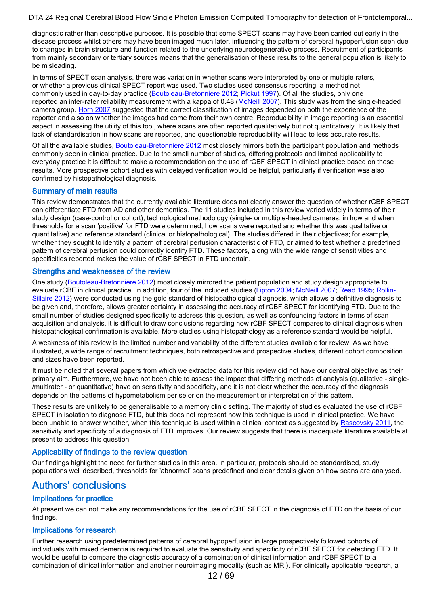diagnostic rather than descriptive purposes. It is possible that some SPECT scans may have been carried out early in the disease process whilst others may have been imaged much later, influencing the pattern of cerebral hypoperfusion seen due to changes in brain structure and function related to the underlying neurodegenerative process. Recruitment of participants from mainly secondary or tertiary sources means that the generalisation of these results to the general population is likely to be misleading.

In terms of SPECT scan analysis, there was variation in whether scans were interpreted by one or multiple raters, or whether a previous clinical SPECT report was used. Two studies used consensus reporting, a method not commonly used in day-to-day practice [\(Boutoleau-Bretonniere 2012](#page-46-0); [Pickut 1997](#page-47-0)). Of all the studies, only one reported an inter-rater reliability measurement with a kappa of 0.48 [\(McNeill 2007](#page-47-0)). This study was from the single-headed camera group. [Horn 2007](#page-46-0) suggested that the correct classification of images depended on both the experience of the reporter and also on whether the images had come from their own centre. Reproducibility in image reporting is an essential aspect in assessing the utility of this tool, where scans are often reported qualitatively but not quantitatively. It is likely that lack of standardisation in how scans are reported, and questionable reproducibility will lead to less accurate results.

Of all the available studies, [Boutoleau-Bretonniere 2012](#page-46-0) most closely mirrors both the participant population and methods commonly seen in clinical practice. Due to the small number of studies, differing protocols and limited applicability to everyday practice it is difficult to make a recommendation on the use of rCBF SPECT in clinical practice based on these results. More prospective cohort studies with delayed verification would be helpful, particularly if verification was also confirmed by histopathological diagnosis.

## Summary of main results

This review demonstrates that the currently available literature does not clearly answer the question of whether rCBF SPECT can differentiate FTD from AD and other dementias. The 11 studies included in this review varied widely in terms of their study design (case-control or cohort), technological methodology (single- or multiple-headed cameras, in how and when thresholds for a scan 'positive' for FTD were determined, how scans were reported and whether this was qualitative or quantitative) and reference standard (clinical or histopathological). The studies differed in their objectives; for example, whether they sought to identify a pattern of cerebral perfusion characteristic of FTD, or aimed to test whether a predefined pattern of cerebral perfusion could correctly identify FTD. These factors, along with the wide range of sensitivities and specificities reported makes the value of rCBF SPECT in FTD uncertain.

## Strengths and weaknesses of the review

One study ([Boutoleau-Bretonniere 2012](#page-46-0)) most closely mirrored the patient population and study design appropriate to evaluate rCBF in clinical practice. In addition, four of the included studies [\(Lipton 2004](#page-46-0); [McNeill 2007](#page-47-0); [Read 1995](#page-47-0); [Rollin-](#page-47-0)[Sillaire 2012](#page-47-0)) were conducted using the gold standard of histopathological diagnosis, which allows a definitive diagnosis to be given and, therefore, allows greater certainty in assessing the accuracy of rCBF SPECT for identifying FTD. Due to the small number of studies designed specifically to address this question, as well as confounding factors in terms of scan acquisition and analysis, it is difficult to draw conclusions regarding how rCBF SPECT compares to clinical diagnosis when histopathological confirmation is available. More studies using histopathology as a reference standard would be helpful.

A weakness of this review is the limited number and variability of the different studies available for review. As we have illustrated, a wide range of recruitment techniques, both retrospective and prospective studies, different cohort composition and sizes have been reported.

It must be noted that several papers from which we extracted data for this review did not have our central objective as their primary aim. Furthermore, we have not been able to assess the impact that differing methods of analysis (qualitative - single- /multirater - or quantitative) have on sensitivity and specificity, and it is not clear whether the accuracy of the diagnosis depends on the patterns of hypometabolism per se or on the measurement or interpretation of this pattern.

These results are unlikely to be generalisable to a memory clinic setting. The majority of studies evaluated the use of rCBF SPECT in isolation to diagnose FTD, but this does not represent how this technique is used in clinical practice. We have been unable to answer whether, when this technique is used within a clinical context as suggested by [Rascovsky 2011](#page-52-0), the sensitivity and specificity of a diagnosis of FTD improves. Our review suggests that there is inadequate literature available at present to address this question.

## Applicability of findings to the review question

Our findings highlight the need for further studies in this area. In particular, protocols should be standardised, study populations well described, thresholds for 'abnormal' scans predefined and clear details given on how scans are analysed.

# Authors' conclusions

## Implications for practice

At present we can not make any recommendations for the use of rCBF SPECT in the diagnosis of FTD on the basis of our findings.

## Implications for research

Further research using predetermined patterns of cerebral hypoperfusion in large prospectively followed cohorts of individuals with mixed dementia is required to evaluate the sensitivity and specificity of rCBF SPECT for detecting FTD. It would be useful to compare the diagnostic accuracy of a combination of clinical information and rCBF SPECT to a combination of clinical information and another neuroimaging modality (such as MRI). For clinically applicable research, a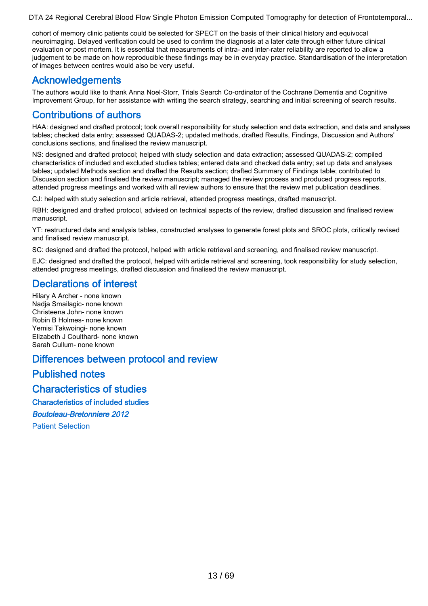<span id="page-12-0"></span>cohort of memory clinic patients could be selected for SPECT on the basis of their clinical history and equivocal neuroimaging. Delayed verification could be used to confirm the diagnosis at a later date through either future clinical evaluation or post mortem. It is essential that measurements of intra- and inter-rater reliability are reported to allow a judgement to be made on how reproducible these findings may be in everyday practice. Standardisation of the interpretation of images between centres would also be very useful.

# Acknowledgements

The authors would like to thank Anna Noel-Storr, Trials Search Co-ordinator of the Cochrane Dementia and Cognitive Improvement Group, for her assistance with writing the search strategy, searching and initial screening of search results.

# Contributions of authors

HAA: designed and drafted protocol; took overall responsibility for study selection and data extraction, and data and analyses tables; checked data entry; assessed QUADAS-2; updated methods, drafted Results, Findings, Discussion and Authors' conclusions sections, and finalised the review manuscript.

NS: designed and drafted protocol; helped with study selection and data extraction; assessed QUADAS-2; compiled characteristics of included and excluded studies tables; entered data and checked data entry; set up data and analyses tables; updated Methods section and drafted the Results section; drafted Summary of Findings table; contributed to Discussion section and finalised the review manuscript; managed the review process and produced progress reports, attended progress meetings and worked with all review authors to ensure that the review met publication deadlines.

CJ: helped with study selection and article retrieval, attended progress meetings, drafted manuscript.

RBH: designed and drafted protocol, advised on technical aspects of the review, drafted discussion and finalised review manuscript.

YT: restructured data and analysis tables, constructed analyses to generate forest plots and SROC plots, critically revised and finalised review manuscript.

SC: designed and drafted the protocol, helped with article retrieval and screening, and finalised review manuscript.

EJC: designed and drafted the protocol, helped with article retrieval and screening, took responsibility for study selection, attended progress meetings, drafted discussion and finalised the review manuscript.

# Declarations of interest

Hilary A Archer - none known Nadja Smailagic- none known Christeena John- none known Robin B Holmes- none known Yemisi Takwoingi- none known Elizabeth J Coulthard- none known Sarah Cullum- none known

# Differences between protocol and review

# Published notes

Characteristics of studies Characteristics of included studies Boutoleau-Bretonniere 2012

Patient Selection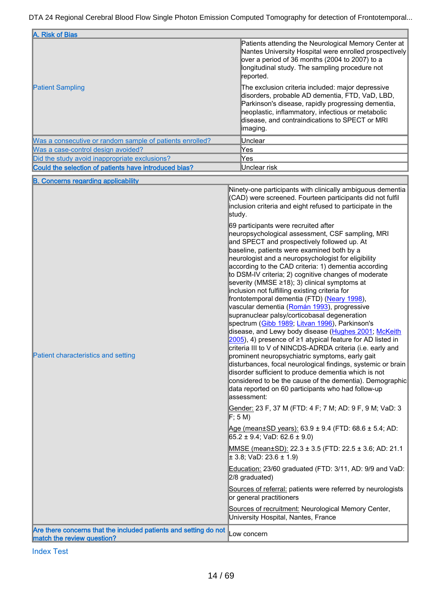| A. Risk of Bias                                          |                                                                                                                                                                                                                                                                                |
|----------------------------------------------------------|--------------------------------------------------------------------------------------------------------------------------------------------------------------------------------------------------------------------------------------------------------------------------------|
|                                                          | Patients attending the Neurological Memory Center at<br>Nantes University Hospital were enrolled prospectively<br>over a period of 36 months (2004 to 2007) to a<br>longitudinal study. The sampling procedure not<br>∥reported.                                               |
| <b>Patient Sampling</b>                                  | The exclusion criteria included: major depressive<br>disorders, probable AD dementia, FTD, VaD, LBD,<br>Parkinson's disease, rapidly progressing dementia,<br>neoplastic, inflammatory, infectious or metabolic<br>disease, and contraindications to SPECT or MRI<br>limaging. |
| Was a consecutive or random sample of patients enrolled? | Unclear                                                                                                                                                                                                                                                                        |
| Was a case-control design avoided?                       | lYes                                                                                                                                                                                                                                                                           |
| Did the study avoid inappropriate exclusions?            | lYes                                                                                                                                                                                                                                                                           |
| Could the selection of patients have introduced bias?    | Unclear risk                                                                                                                                                                                                                                                                   |

| <b>B. Concerns regarding applicability</b>                                                     |                                                                                                                                                                                                                                                                                                                                                                                                                                                                                                                                                                                                                                                                                                                                                                                                                                                                                                                                                                                                                                                                                                                                                                                |  |
|------------------------------------------------------------------------------------------------|--------------------------------------------------------------------------------------------------------------------------------------------------------------------------------------------------------------------------------------------------------------------------------------------------------------------------------------------------------------------------------------------------------------------------------------------------------------------------------------------------------------------------------------------------------------------------------------------------------------------------------------------------------------------------------------------------------------------------------------------------------------------------------------------------------------------------------------------------------------------------------------------------------------------------------------------------------------------------------------------------------------------------------------------------------------------------------------------------------------------------------------------------------------------------------|--|
|                                                                                                | Ninety-one participants with clinically ambiguous dementia<br>(CAD) were screened. Fourteen participants did not fulfil<br>inclusion criteria and eight refused to participate in the<br>study.                                                                                                                                                                                                                                                                                                                                                                                                                                                                                                                                                                                                                                                                                                                                                                                                                                                                                                                                                                                |  |
| Patient characteristics and setting                                                            | 69 participants were recruited after<br>neuropsychological assessment, CSF sampling, MRI<br>and SPECT and prospectively followed up. At<br>baseline, patients were examined both by a<br>neurologist and a neuropsychologist for eligibility<br>according to the CAD criteria: 1) dementia according<br>to DSM-IV criteria; 2) cognitive changes of moderate<br>severity (MMSE $\geq$ 18); 3) clinical symptoms at<br>inclusion not fulfilling existing criteria for<br>frontotemporal dementia (FTD) (Neary 1998),<br>vascular dementia (Román 1993), progressive<br>supranuclear palsy/corticobasal degeneration<br>spectrum (Gibb 1989; Litvan 1996), Parkinson's<br>disease, and Lewy body disease (Hughes 2001; McKeith<br>$2005$ ), 4) presence of $\geq$ 1 atypical feature for AD listed in<br>criteria III to V of NINCDS-ADRDA criteria (i.e. early and<br>prominent neuropsychiatric symptoms, early gait<br>disturbances, focal neurological findings, systemic or brain<br>disorder sufficient to produce dementia which is not<br>considered to be the cause of the dementia). Demographic<br>data reported on 60 participants who had follow-up<br>lassessment: |  |
|                                                                                                | Gender: 23 F, 37 M (FTD: 4 F; 7 M; AD: 9 F, 9 M; VaD: 3<br>$\mathsf{F}$ ; 5 M)                                                                                                                                                                                                                                                                                                                                                                                                                                                                                                                                                                                                                                                                                                                                                                                                                                                                                                                                                                                                                                                                                                 |  |
|                                                                                                | Age (mean $\pm$ SD years): 63.9 $\pm$ 9.4 (FTD: 68.6 $\pm$ 5.4; AD:<br>65.2 ± 9.4; VaD: 62.6 ± 9.0)                                                                                                                                                                                                                                                                                                                                                                                                                                                                                                                                                                                                                                                                                                                                                                                                                                                                                                                                                                                                                                                                            |  |
|                                                                                                | MMSE (mean±SD): 22.3 ± 3.5 (FTD: 22.5 ± 3.6; AD: 21.1<br>$\pm$ 3.8; VaD: 23.6 $\pm$ 1.9)                                                                                                                                                                                                                                                                                                                                                                                                                                                                                                                                                                                                                                                                                                                                                                                                                                                                                                                                                                                                                                                                                       |  |
|                                                                                                | Education: 23/60 graduated (FTD: 3/11, AD: 9/9 and VaD:<br>2/8 graduated)                                                                                                                                                                                                                                                                                                                                                                                                                                                                                                                                                                                                                                                                                                                                                                                                                                                                                                                                                                                                                                                                                                      |  |
|                                                                                                | Sources of referral: patients were referred by neurologists<br>or general practitioners                                                                                                                                                                                                                                                                                                                                                                                                                                                                                                                                                                                                                                                                                                                                                                                                                                                                                                                                                                                                                                                                                        |  |
|                                                                                                | Sources of recruitment: Neurological Memory Center,<br>University Hospital, Nantes, France                                                                                                                                                                                                                                                                                                                                                                                                                                                                                                                                                                                                                                                                                                                                                                                                                                                                                                                                                                                                                                                                                     |  |
| Are there concerns that the included patients and setting do not<br>match the review question? | Low concern                                                                                                                                                                                                                                                                                                                                                                                                                                                                                                                                                                                                                                                                                                                                                                                                                                                                                                                                                                                                                                                                                                                                                                    |  |

Index Test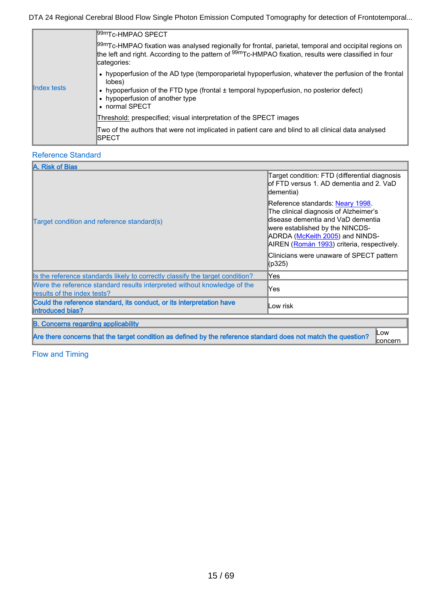|              | 99mTc-HMPAO SPECT                                                                                                                                                                                                                                              |
|--------------|----------------------------------------------------------------------------------------------------------------------------------------------------------------------------------------------------------------------------------------------------------------|
| lindex tests | 99mTc-HMPAO fixation was analysed regionally for frontal, parietal, temporal and occipital regions on<br>the left and right. According to the pattern of <sup>99m</sup> Tc-HMPAO fixation, results were classified in four<br>categories:                      |
|              | • hypoperfusion of the AD type (temporoparietal hypoperfusion, whatever the perfusion of the frontal<br>lobes)<br>• hypoperfusion of the FTD type (frontal ± temporal hypoperfusion, no posterior defect)<br>• hypoperfusion of another type<br>• normal SPECT |
|              | Threshold: prespecified; visual interpretation of the SPECT images                                                                                                                                                                                             |
|              | Two of the authors that were not implicated in patient care and blind to all clinical data analysed<br>ISPECT                                                                                                                                                  |

## Reference Standard

| A. Risk of Bias                                                                                                                    |                                                                                                                                                                                                                                     |
|------------------------------------------------------------------------------------------------------------------------------------|-------------------------------------------------------------------------------------------------------------------------------------------------------------------------------------------------------------------------------------|
|                                                                                                                                    | Target condition: FTD (differential diagnosis<br>lof FTD versus 1. AD dementia and 2. VaD<br>dementia)                                                                                                                              |
| Target condition and reference standard(s)                                                                                         | Reference standards: Neary 1998.<br>The clinical diagnosis of Alzheimer's<br>ldisease dementia and VaD dementia<br>were established by the NINCDS-<br>ADRDA (McKeith 2005) and NINDS-<br>AIREN (Román 1993) criteria, respectively. |
|                                                                                                                                    | Clinicians were unaware of SPECT pattern<br>(p325)                                                                                                                                                                                  |
| Is the reference standards likely to correctly classify the target condition?                                                      | lYes.                                                                                                                                                                                                                               |
| Were the reference standard results interpreted without knowledge of the<br><b>results of the index tests?</b>                     | lYes                                                                                                                                                                                                                                |
| Could the reference standard, its conduct, or its interpretation have<br>introduced bias?                                          | Low risk                                                                                                                                                                                                                            |
| <b>B. Concerns regarding applicability</b>                                                                                         |                                                                                                                                                                                                                                     |
| lLow<br>Are there concerns that the target condition as defined by the reference standard does not match the question?<br>Iconcern |                                                                                                                                                                                                                                     |

Flow and Timing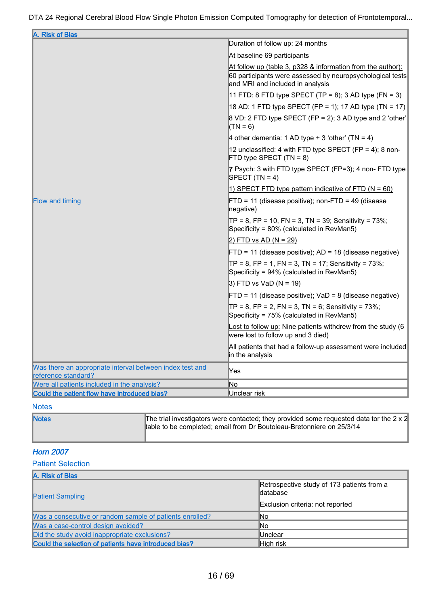| A. Risk of Bias                                                                 |                                                                                                                                                              |
|---------------------------------------------------------------------------------|--------------------------------------------------------------------------------------------------------------------------------------------------------------|
|                                                                                 | Duration of follow up: 24 months                                                                                                                             |
|                                                                                 | At baseline 69 participants                                                                                                                                  |
|                                                                                 | At follow up (table 3, p328 & information from the author):<br>60 participants were assessed by neuropsychological tests<br>and MRI and included in analysis |
|                                                                                 | 11 FTD: 8 FTD type SPECT (TP = 8); 3 AD type (FN = 3)                                                                                                        |
|                                                                                 | 18 AD: 1 FTD type SPECT (FP = 1); 17 AD type (TN = 17)                                                                                                       |
|                                                                                 | 8 VD: 2 FTD type SPECT (FP = 2); 3 AD type and 2 'other'<br>$(TN = 6)$                                                                                       |
|                                                                                 | 4 other dementia: 1 AD type + 3 'other' $(TN = 4)$                                                                                                           |
|                                                                                 | 12 unclassified: 4 with FTD type SPECT (FP = 4); 8 non-<br>FTD type SPECT $(TN = 8)$                                                                         |
|                                                                                 | 7 Psych: 3 with FTD type SPECT (FP=3); 4 non- FTD type<br>$SPECT (TN = 4)$                                                                                   |
|                                                                                 | 1) SPECT FTD type pattern indicative of FTD $(N = 60)$                                                                                                       |
| <b>Flow and timing</b>                                                          | $FTD = 11$ (disease positive); non-FTD = 49 (disease<br>negative)                                                                                            |
|                                                                                 | $TP = 8$ , FP = 10, FN = 3, TN = 39; Sensitivity = 73%;<br>Specificity = 80% (calculated in RevMan5)                                                         |
|                                                                                 | 2) FTD vs AD ( $N = 29$ )                                                                                                                                    |
|                                                                                 | $FTD = 11$ (disease positive); $AD = 18$ (disease negative)                                                                                                  |
|                                                                                 | $TP = 8$ , FP = 1, FN = 3, TN = 17; Sensitivity = 73%;<br>Specificity = 94% (calculated in RevMan5)                                                          |
|                                                                                 | $ 3\rangle$ FTD vs VaD (N = 19)                                                                                                                              |
|                                                                                 | $FTD = 11$ (disease positive); VaD = 8 (disease negative)                                                                                                    |
|                                                                                 | $TP = 8$ , FP = 2, FN = 3, TN = 6; Sensitivity = 73%;<br>Specificity = 75% (calculated in RevMan5)                                                           |
|                                                                                 | Lost to follow up: Nine patients withdrew from the study (6<br>were lost to follow up and 3 died)                                                            |
|                                                                                 | All patients that had a follow-up assessment were included<br>in the analysis                                                                                |
| Was there an appropriate interval between index test and<br>reference standard? | Yes                                                                                                                                                          |
| Were all patients included in the analysis?                                     | No                                                                                                                                                           |
| Could the patient flow have introduced bias?                                    | Unclear risk                                                                                                                                                 |

**Notes** 

| <b>Notes</b> | The trial investigators were contacted; they provided some requested data tor the $2 \times 2$<br>table to be completed; email from Dr Boutoleau-Bretonniere on 25/3/14 |
|--------------|-------------------------------------------------------------------------------------------------------------------------------------------------------------------------|

## Horn 2007

# Patient Selection

| A. Risk of Bias                                          |                                                               |
|----------------------------------------------------------|---------------------------------------------------------------|
| <b>Patient Sampling</b>                                  | Retrospective study of 173 patients from a<br><b>database</b> |
|                                                          | Exclusion criteria: not reported                              |
| Was a consecutive or random sample of patients enrolled? | ∥No                                                           |
| Was a case-control design avoided?                       | lNo.                                                          |
| Did the study avoid inappropriate exclusions?            | Unclear                                                       |
| Could the selection of patients have introduced bias?    | High risk                                                     |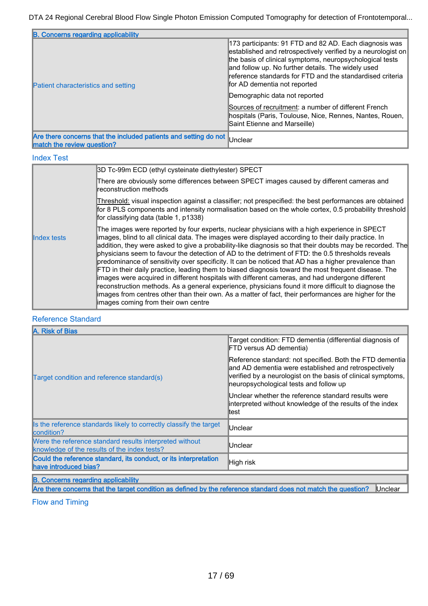| <b>B. Concerns regarding applicability</b>                                                     |                                                                                                                                                                                                                                                                                                                                       |
|------------------------------------------------------------------------------------------------|---------------------------------------------------------------------------------------------------------------------------------------------------------------------------------------------------------------------------------------------------------------------------------------------------------------------------------------|
| <b>Patient characteristics and setting</b>                                                     | 173 participants: 91 FTD and 82 AD. Each diagnosis was<br>established and retrospectively verified by a neurologist on<br>the basis of clinical symptoms, neuropsychological tests<br>and follow up. No further details. The widely used<br>reference standards for FTD and the standardised criteria<br>for AD dementia not reported |
|                                                                                                | Demographic data not reported                                                                                                                                                                                                                                                                                                         |
|                                                                                                | Sources of recruitment: a number of different French<br>hospitals (Paris, Toulouse, Nice, Rennes, Nantes, Rouen,<br>Saint Etienne and Marseille)                                                                                                                                                                                      |
| Are there concerns that the included patients and setting do not<br>match the review question? | Unclear                                                                                                                                                                                                                                                                                                                               |

#### Index Test

|                    | 3D Tc-99m ECD (ethyl cysteinate diethylester) SPECT                                                                                                                                                                                                                                                                                                                                                                                                                                                                                                                                                                                                                                                                                                                                                                                                                                                                                                                                           |
|--------------------|-----------------------------------------------------------------------------------------------------------------------------------------------------------------------------------------------------------------------------------------------------------------------------------------------------------------------------------------------------------------------------------------------------------------------------------------------------------------------------------------------------------------------------------------------------------------------------------------------------------------------------------------------------------------------------------------------------------------------------------------------------------------------------------------------------------------------------------------------------------------------------------------------------------------------------------------------------------------------------------------------|
|                    | There are obviously some differences between SPECT images caused by different cameras and<br>reconstruction methods                                                                                                                                                                                                                                                                                                                                                                                                                                                                                                                                                                                                                                                                                                                                                                                                                                                                           |
|                    | Threshold: visual inspection against a classifier; not prespecified: the best performances are obtained<br>for 8 PLS components and intensity normalisation based on the whole cortex, 0.5 probability threshold<br>for classifying data (table 1, p1338)                                                                                                                                                                                                                                                                                                                                                                                                                                                                                                                                                                                                                                                                                                                                     |
| <b>Index tests</b> | The images were reported by four experts, nuclear physicians with a high experience in SPECT<br>images, blind to all clinical data. The images were displayed according to their daily practice. In<br>addition, they were asked to give a probability-like diagnosis so that their doubts may be recorded. The<br>physicians seem to favour the detection of AD to the detriment of FTD: the 0.5 thresholds reveals<br>predominance of sensitivity over specificity. It can be noticed that AD has a higher prevalence than<br>FTD in their daily practice, leading them to biased diagnosis toward the most frequent disease. The<br>images were acquired in different hospitals with different cameras, and had undergone different<br>reconstruction methods. As a general experience, physicians found it more difficult to diagnose the<br>images from centres other than their own. As a matter of fact, their performances are higher for the<br>limages coming from their own centre |

## Reference Standard

| A. Risk of Bias                                                                                         |                                                                                                                                                                                                                            |
|---------------------------------------------------------------------------------------------------------|----------------------------------------------------------------------------------------------------------------------------------------------------------------------------------------------------------------------------|
| Target condition and reference standard(s)                                                              | Target condition: FTD dementia (differential diagnosis of<br><b>FTD versus AD dementia)</b>                                                                                                                                |
|                                                                                                         | Reference standard: not specified. Both the FTD dementia<br>and AD dementia were established and retrospectively<br>verified by a neurologist on the basis of clinical symptoms,<br>neuropsychological tests and follow up |
|                                                                                                         | Unclear whether the reference standard results were<br>interpreted without knowledge of the results of the index<br>ltest                                                                                                  |
| Is the reference standards likely to correctly classify the target<br>condition?                        | Unclear                                                                                                                                                                                                                    |
| Were the reference standard results interpreted without<br>knowledge of the results of the index tests? | Unclear                                                                                                                                                                                                                    |
| Could the reference standard, its conduct, or its interpretation<br>have introduced bias?               | High risk                                                                                                                                                                                                                  |
|                                                                                                         |                                                                                                                                                                                                                            |

B. Concerns regarding applicability

Are there concerns that the target condition as defined by the reference standard does not match the question? Unclear

Flow and Timing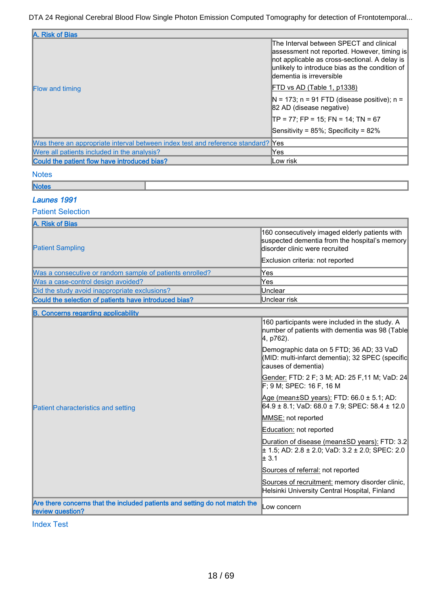| A. Risk of Bias                                                                  |                                                                                                                                                                                                                        |
|----------------------------------------------------------------------------------|------------------------------------------------------------------------------------------------------------------------------------------------------------------------------------------------------------------------|
|                                                                                  | The Interval between SPECT and clinical<br>assessment not reported. However, timing is<br>not applicable as cross-sectional. A delay is<br>unlikely to introduce bias as the condition of<br>Idementia is irreversible |
| <b>Flow and timing</b>                                                           | FTD vs AD (Table 1, p1338)                                                                                                                                                                                             |
|                                                                                  | $N = 173$ ; n = 91 FTD (disease positive); n =<br>82 AD (disease negative)                                                                                                                                             |
|                                                                                  | $\text{ITP} = 77$ : FP = 15: FN = 14: TN = 67                                                                                                                                                                          |
|                                                                                  | Sensitivity = $85\%$ ; Specificity = $82\%$                                                                                                                                                                            |
| Was there an appropriate interval between index test and reference standard? Yes |                                                                                                                                                                                                                        |
| Were all patients included in the analysis?                                      | lYes                                                                                                                                                                                                                   |
| Could the patient flow have introduced bias?                                     | ∥Low risk                                                                                                                                                                                                              |

## **Notes**

# **Notes**

## Launes 1991

# Patient Selection

| A. Risk of Bias                                                                                |                                                                                                                                   |
|------------------------------------------------------------------------------------------------|-----------------------------------------------------------------------------------------------------------------------------------|
| <b>Patient Sampling</b>                                                                        | 160 consecutively imaged elderly patients with<br>suspected dementia from the hospital's memory<br>disorder clinic were recruited |
|                                                                                                | Exclusion criteria: not reported                                                                                                  |
| Was a consecutive or random sample of patients enrolled?                                       | Yes                                                                                                                               |
| Was a case-control design avoided?                                                             | Yes                                                                                                                               |
| Did the study avoid inappropriate exclusions?                                                  | Unclear                                                                                                                           |
| Could the selection of patients have introduced bias?                                          | Unclear risk                                                                                                                      |
| <b>B. Concerns regarding applicability</b>                                                     |                                                                                                                                   |
|                                                                                                | 160 participants were included in the study. A<br>number of patients with dementia was 98 (Table<br>4, p762).                     |
|                                                                                                | Demographic data on 5 FTD; 36 AD; 33 VaD<br>(MID: multi-infarct dementia); 32 SPEC (specific<br>causes of dementia)               |
|                                                                                                | Gender: FTD: 2 F; 3 M; AD: 25 F, 11 M; VaD: 24<br>F; 9 M; SPEC: 16 F, 16 M                                                        |
| <b>Patient characteristics and setting</b>                                                     | Age (mean $\pm$ SD years): FTD: 66.0 $\pm$ 5.1; AD:<br>64.9 ± 8.1; VaD: 68.0 ± 7.9; SPEC: 58.4 ± 12.0                             |
|                                                                                                | MMSE: not reported                                                                                                                |
|                                                                                                | Education: not reported                                                                                                           |
|                                                                                                | Duration of disease (mean±SD years): FTD: 3.2<br>$\pm$ 1.5; AD: 2.8 $\pm$ 2.0; VaD: 3.2 $\pm$ 2.0; SPEC: 2.0<br>l± 3.1            |
|                                                                                                | Sources of referral: not reported                                                                                                 |
|                                                                                                | Sources of recruitment: memory disorder clinic,<br>Helsinki University Central Hospital, Finland                                  |
| Are there concerns that the included patients and setting do not match the<br>review question? | Low concern                                                                                                                       |

Index Test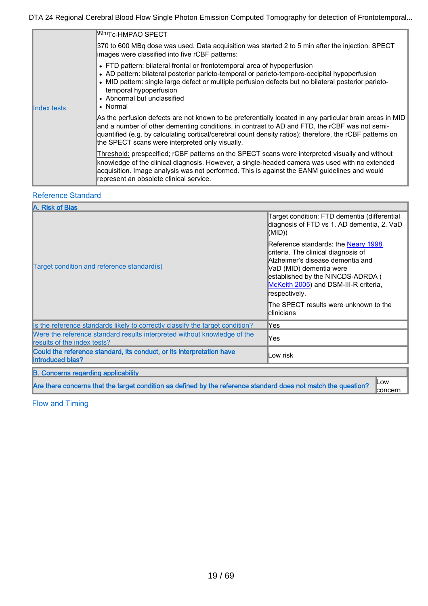|              | <sup>99m</sup> Tc-HMPAO SPECT                                                                                                                                                                                                                                                                                                                                            |
|--------------|--------------------------------------------------------------------------------------------------------------------------------------------------------------------------------------------------------------------------------------------------------------------------------------------------------------------------------------------------------------------------|
| llndex tests | 370 to 600 MBq dose was used. Data acquisition was started 2 to 5 min after the injection. SPECT<br>images were classified into five rCBF patterns:                                                                                                                                                                                                                      |
|              | • FTD pattern: bilateral frontal or frontotemporal area of hypoperfusion<br>• AD pattern: bilateral posterior parieto-temporal or parieto-temporo-occipital hypoperfusion<br>• MID pattern: single large defect or multiple perfusion defects but no bilateral posterior parieto-<br>temporal hypoperfusion<br>• Abnormal but unclassified<br>• Normal                   |
|              | As the perfusion defects are not known to be preferentially located in any particular brain areas in MID<br>and a number of other dementing conditions, in contrast to AD and FTD, the rCBF was not semi-<br>quantified (e.g. by calculating cortical/cerebral count density ratios); therefore, the rCBF patterns on<br>the SPECT scans were interpreted only visually. |
|              | Threshold: prespecified; rCBF patterns on the SPECT scans were interpreted visually and without<br>knowledge of the clinical diagnosis. However, a single-headed camera was used with no extended<br>acquisition. Image analysis was not performed. This is against the EANM guidelines and would<br>represent an obsolete clinical service.                             |

## Reference Standard

| A. Risk of Bias                                                                                                                    |                                                                                                                                                                                                                                          |
|------------------------------------------------------------------------------------------------------------------------------------|------------------------------------------------------------------------------------------------------------------------------------------------------------------------------------------------------------------------------------------|
|                                                                                                                                    | Target condition: FTD dementia (differential<br>diagnosis of FTD vs 1. AD dementia, 2. VaD<br>(MID))                                                                                                                                     |
| Target condition and reference standard(s)                                                                                         | Reference standards: the Neary 1998<br>criteria. The clinical diagnosis of<br>Alzheimer's disease dementia and<br>VaD (MID) dementia were<br>established by the NINCDS-ADRDA (<br>McKeith 2005) and DSM-III-R criteria,<br>respectively. |
|                                                                                                                                    | The SPECT results were unknown to the<br>lclinicians                                                                                                                                                                                     |
| Is the reference standards likely to correctly classify the target condition?                                                      | lYes                                                                                                                                                                                                                                     |
| Were the reference standard results interpreted without knowledge of the<br>results of the index tests?                            | lYes.                                                                                                                                                                                                                                    |
| Could the reference standard, its conduct, or its interpretation have<br><b>introduced bias?</b>                                   | Low risk                                                                                                                                                                                                                                 |
| <b>B. Concerns regarding applicability</b>                                                                                         |                                                                                                                                                                                                                                          |
| lLow<br>Are there concerns that the target condition as defined by the reference standard does not match the question?<br>lconcern |                                                                                                                                                                                                                                          |

Flow and Timing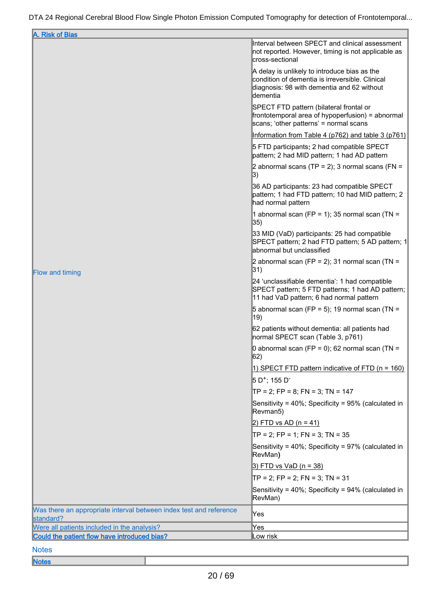| A. Risk of Bias                                                                 |                                                                                                                                                            |
|---------------------------------------------------------------------------------|------------------------------------------------------------------------------------------------------------------------------------------------------------|
|                                                                                 | Interval between SPECT and clinical assessment<br>not reported. However, timing is not applicable as<br>cross-sectional                                    |
|                                                                                 | A delay is unlikely to introduce bias as the<br>condition of dementia is irreversible. Clinical<br>diagnosis: 98 with dementia and 62 without<br>ldementia |
|                                                                                 | SPECT FTD pattern (bilateral frontal or<br>frontotemporal area of hypoperfusion) = abnormal<br>scans; 'other patterns' = normal scans                      |
|                                                                                 | Information from Table 4 (p762) and table 3 (p761)                                                                                                         |
|                                                                                 | 5 FTD participants: 2 had compatible SPECT<br>pattern; 2 had MID pattern; 1 had AD pattern                                                                 |
|                                                                                 | 2 abnormal scans (TP = 2); 3 normal scans (FN =<br>3)                                                                                                      |
|                                                                                 | 36 AD participants: 23 had compatible SPECT<br>pattern; 1 had FTD pattern; 10 had MID pattern; 2<br>had normal pattern                                     |
|                                                                                 | 1 abnormal scan (FP = 1); 35 normal scan (TN =<br>35)                                                                                                      |
|                                                                                 | 33 MID (VaD) participants: 25 had compatible<br>SPECT pattern; 2 had FTD pattern; 5 AD pattern; 1<br>abnormal but unclassified                             |
| <b>Flow and timing</b>                                                          | 2 abnormal scan (FP = 2); 31 normal scan (TN =<br>31)                                                                                                      |
|                                                                                 | 24 'unclassifiable dementia': 1 had compatible<br>SPECT pattern; 5 FTD patterns; 1 had AD pattern;<br>11 had VaD pattern; 6 had normal pattern             |
|                                                                                 | 5 abnormal scan (FP = 5); 19 normal scan (TN =<br>19)                                                                                                      |
|                                                                                 | 62 patients without dementia: all patients had<br>normal SPECT scan (Table 3, p761)                                                                        |
|                                                                                 | 0 abnormal scan (FP = 0); 62 normal scan (TN =<br>62)                                                                                                      |
|                                                                                 | 1) SPECT FTD pattern indicative of FTD $(n = 160)$                                                                                                         |
|                                                                                 | 5 D <sup>+</sup> ; 155 D <sup>-</sup>                                                                                                                      |
|                                                                                 | $TP = 2$ ; FP = 8; FN = 3; TN = 147                                                                                                                        |
|                                                                                 | Sensitivity = $40\%$ ; Specificity = $95\%$ (calculated in<br>Revman5)                                                                                     |
|                                                                                 | 2) FTD vs AD ( $n = 41$ )                                                                                                                                  |
|                                                                                 | $TP = 2$ ; FP = 1; FN = 3; TN = 35                                                                                                                         |
|                                                                                 | Sensitivity = $40\%$ ; Specificity = $97\%$ (calculated in<br>RevMan)                                                                                      |
|                                                                                 | $\vert$ 3) FTD vs VaD (n = 38)                                                                                                                             |
|                                                                                 | $TP = 2$ ; FP = 2; FN = 3; TN = 31                                                                                                                         |
|                                                                                 | Sensitivity = $40\%$ ; Specificity = $94\%$ (calculated in<br>RevMan)                                                                                      |
| Was there an appropriate interval between index test and reference<br>standard? | Yes                                                                                                                                                        |
| Were all patients included in the analysis?                                     | Yes                                                                                                                                                        |
| Could the patient flow have introduced bias?                                    | <u>Low risk</u>                                                                                                                                            |

- **Notes**
- **Notes**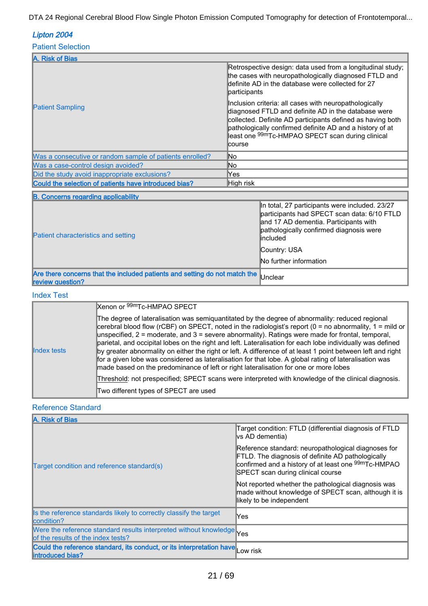# Lipton 2004

Patient Selection

| A. Risk of Bias                                          |                                                                                                                                                                                                                                                                                                                    |
|----------------------------------------------------------|--------------------------------------------------------------------------------------------------------------------------------------------------------------------------------------------------------------------------------------------------------------------------------------------------------------------|
|                                                          | Retrospective design: data used from a longitudinal study;<br>the cases with neuropathologically diagnosed FTLD and<br>definite AD in the database were collected for 27<br>participants                                                                                                                           |
| <b>Patient Sampling</b>                                  | Inclusion criteria: all cases with neuropathologically<br>diagnosed FTLD and definite AD in the database were<br>collected. Definite AD participants defined as having both<br>pathologically confirmed definite AD and a history of at<br>least one <sup>99m</sup> Tc-HMPAO SPECT scan during clinical<br>lcourse |
| Was a consecutive or random sample of patients enrolled? | lNo.                                                                                                                                                                                                                                                                                                               |
| Was a case-control design avoided?                       | lNo.                                                                                                                                                                                                                                                                                                               |
| Did the study avoid inappropriate exclusions?            | Yes.                                                                                                                                                                                                                                                                                                               |
| Could the selection of patients have introduced bias?    | ∥High risk                                                                                                                                                                                                                                                                                                         |

| <b>B. Concerns regarding applicability</b>                                                            |                                                                                                                                                                                                |
|-------------------------------------------------------------------------------------------------------|------------------------------------------------------------------------------------------------------------------------------------------------------------------------------------------------|
| <b>Patient characteristics and setting</b>                                                            | In total, 27 participants were included. 23/27<br>participants had SPECT scan data: 6/10 FTLD<br>and 17 AD dementia. Participants with<br>pathologically confirmed diagnosis were<br>lincluded |
|                                                                                                       | Country: USA                                                                                                                                                                                   |
|                                                                                                       | No further information                                                                                                                                                                         |
| Are there concerns that the included patients and setting do not match the<br><b>review question?</b> | Unclear                                                                                                                                                                                        |

## Index Test

|             | Xenon or <sup>99m</sup> Tc-HMPAO SPECT                                                                                                                                                                                                                                                                                                                                                                                                                                                                                                                                                                                                                                                                                                             |
|-------------|----------------------------------------------------------------------------------------------------------------------------------------------------------------------------------------------------------------------------------------------------------------------------------------------------------------------------------------------------------------------------------------------------------------------------------------------------------------------------------------------------------------------------------------------------------------------------------------------------------------------------------------------------------------------------------------------------------------------------------------------------|
| Index tests | The degree of lateralisation was semiguantitated by the degree of abnormality: reduced regional<br>cerebral blood flow (rCBF) on SPECT, noted in the radiologist's report ( $0 =$ no abnormality, $1 =$ mild or<br>unspecified, 2 = moderate, and 3 = severe abnormality). Ratings were made for frontal, temporal,<br>parietal, and occipital lobes on the right and left. Lateralisation for each lobe individually was defined<br>by greater abnormality on either the right or left. A difference of at least 1 point between left and right<br>for a given lobe was considered as lateralisation for that lobe. A global rating of lateralisation was<br>made based on the predominance of left or right lateralisation for one or more lobes |
|             | Threshold: not prespecified; SPECT scans were interpreted with knowledge of the clinical diagnosis.                                                                                                                                                                                                                                                                                                                                                                                                                                                                                                                                                                                                                                                |
|             | Two different types of SPECT are used                                                                                                                                                                                                                                                                                                                                                                                                                                                                                                                                                                                                                                                                                                              |

# Reference Standard

| A. Risk of Bias                                                                                             |                                                                                                                                                                                                                  |
|-------------------------------------------------------------------------------------------------------------|------------------------------------------------------------------------------------------------------------------------------------------------------------------------------------------------------------------|
| Target condition and reference standard(s)                                                                  | Target condition: FTLD (differential diagnosis of FTLD<br>lvs AD dementia)                                                                                                                                       |
|                                                                                                             | Reference standard: neuropathological diagnoses for<br>FTLD. The diagnosis of definite AD pathologically<br>confirmed and a history of at least one <sup>99m</sup> Tc-HMPAO<br>SPECT scan during clinical course |
|                                                                                                             | Not reported whether the pathological diagnosis was<br>made without knowledge of SPECT scan, although it is<br>likely to be independent                                                                          |
| Is the reference standards likely to correctly classify the target<br>condition?                            | Yes                                                                                                                                                                                                              |
| Were the reference standard results interpreted without knowledge Yes<br>of the results of the index tests? |                                                                                                                                                                                                                  |
| Could the reference standard, its conduct, or its interpretation have<br>lintroduced bias?                  | ow risk.                                                                                                                                                                                                         |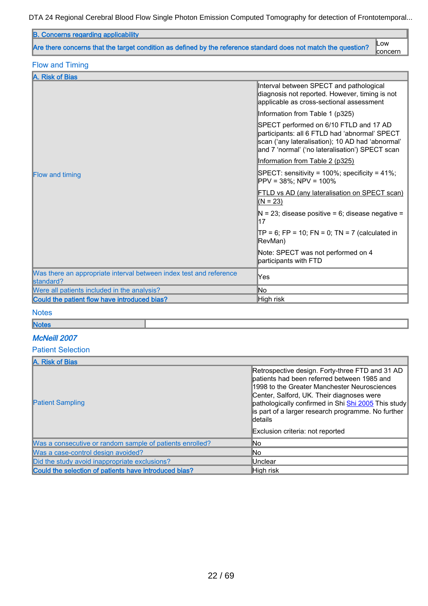| DTA 24 Regional Cerebral Blood Flow Single Photon Emission Computed Tomography for detection of Frontotemporal.                                                                 |                                                                                                                                                                                                |
|---------------------------------------------------------------------------------------------------------------------------------------------------------------------------------|------------------------------------------------------------------------------------------------------------------------------------------------------------------------------------------------|
| <b>B. Concerns regarding applicability</b><br>Low<br>Are there concerns that the target condition as defined by the reference standard does not match the question?<br>lconcern |                                                                                                                                                                                                |
| <b>Flow and Timing</b>                                                                                                                                                          |                                                                                                                                                                                                |
| A. Risk of Bias                                                                                                                                                                 |                                                                                                                                                                                                |
|                                                                                                                                                                                 | Interval between SPECT and pathological<br>diagnosis not reported. However, timing is not<br>applicable as cross-sectional assessment                                                          |
|                                                                                                                                                                                 | Information from Table 1 (p325)                                                                                                                                                                |
|                                                                                                                                                                                 | SPECT performed on 6/10 FTLD and 17 AD<br>participants: all 6 FTLD had 'abnormal' SPECT<br>scan ('any lateralisation); 10 AD had 'abnormal'<br>and 7 'normal' ('no lateralisation') SPECT scan |
|                                                                                                                                                                                 | Information from Table 2 (p325)                                                                                                                                                                |
| <b>Flow and timing</b>                                                                                                                                                          | SPECT: sensitivity = $100\%$ ; specificity = $41\%$ ;<br>$PPV = 38\%$ ; NPV = 100%                                                                                                             |
|                                                                                                                                                                                 | FTLD vs AD (any lateralisation on SPECT scan)<br>$(N = 23)$                                                                                                                                    |
|                                                                                                                                                                                 | $\mathbb{N}$ = 23; disease positive = 6; disease negative =<br>17                                                                                                                              |
|                                                                                                                                                                                 | $TP = 6$ ; FP = 10; FN = 0; TN = 7 (calculated in<br>RevMan)                                                                                                                                   |
|                                                                                                                                                                                 | Note: SPECT was not performed on 4<br>participants with FTD                                                                                                                                    |
| Was there an appropriate interval between index test and reference<br><b>standard?</b>                                                                                          | lYes                                                                                                                                                                                           |

## **Notes**

## **Notes**

# McNeill 2007

## Patient Selection

| A. Risk of Bias                                          |                                                                                                                                                                                                                                                                                                                                                          |
|----------------------------------------------------------|----------------------------------------------------------------------------------------------------------------------------------------------------------------------------------------------------------------------------------------------------------------------------------------------------------------------------------------------------------|
| <b>Patient Sampling</b>                                  | Retrospective design. Forty-three FTD and 31 AD<br>patients had been referred between 1985 and<br>1998 to the Greater Manchester Neurosciences<br>Center, Salford, UK. Their diagnoses were<br>pathologically confirmed in Shi Shi 2005 This study<br>is part of a larger research programme. No further<br>ldetails<br>Exclusion criteria: not reported |
| Was a consecutive or random sample of patients enrolled? | lNo                                                                                                                                                                                                                                                                                                                                                      |
| Was a case-control design avoided?                       | lNo.                                                                                                                                                                                                                                                                                                                                                     |
| Did the study avoid inappropriate exclusions?            | Unclear                                                                                                                                                                                                                                                                                                                                                  |
| Could the selection of patients have introduced bias?    | High risk                                                                                                                                                                                                                                                                                                                                                |

Were all patients included in the analysis?  $\blacksquare$ Could the patient flow have introduced bias? High risk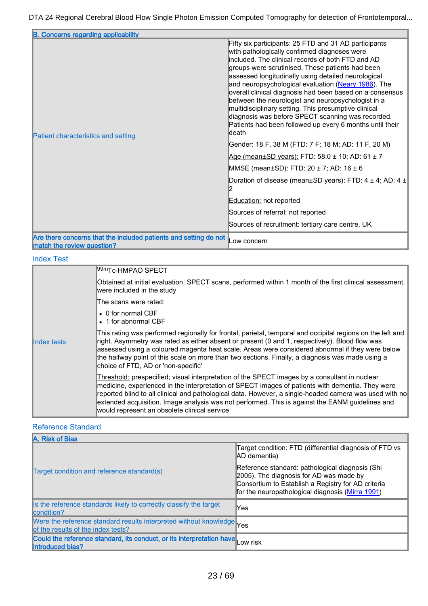| <b>B. Concerns regarding applicability</b>                                                     |                                                                                                                                                                                                                                                                                                                                                                                                                                                                                                                                                                                                                                    |
|------------------------------------------------------------------------------------------------|------------------------------------------------------------------------------------------------------------------------------------------------------------------------------------------------------------------------------------------------------------------------------------------------------------------------------------------------------------------------------------------------------------------------------------------------------------------------------------------------------------------------------------------------------------------------------------------------------------------------------------|
| <b>Patient characteristics and setting</b>                                                     | Fifty six participants: 25 FTD and 31 AD participants<br>with pathologically confirmed diagnoses were<br>lincluded. The clinical records of both FTD and AD<br>groups were scrutinised. These patients had been<br>assessed longitudinally using detailed neurological<br>and neuropsychological evaluation (Neary 1986). The<br>overall clinical diagnosis had been based on a consensus<br>between the neurologist and neuropsychologist in a<br>multidisciplinary setting. This presumptive clinical<br>diagnosis was before SPECT scanning was recorded.<br>Patients had been followed up every 6 months until their<br>ldeath |
|                                                                                                | Gender: 18 F, 38 M (FTD: 7 F; 18 M; AD: 11 F, 20 M)<br>Age (mean $\pm$ SD years): FTD: 58.0 $\pm$ 10; AD: 61 $\pm$ 7                                                                                                                                                                                                                                                                                                                                                                                                                                                                                                               |
|                                                                                                | MMSE (mean $\pm$ SD): FTD: 20 $\pm$ 7; AD: 16 $\pm$ 6                                                                                                                                                                                                                                                                                                                                                                                                                                                                                                                                                                              |
|                                                                                                | Duration of disease (mean±SD years): FTD: 4 ± 4; AD: 4 ±                                                                                                                                                                                                                                                                                                                                                                                                                                                                                                                                                                           |
|                                                                                                | Education: not reported                                                                                                                                                                                                                                                                                                                                                                                                                                                                                                                                                                                                            |
|                                                                                                | Sources of referral: not reported                                                                                                                                                                                                                                                                                                                                                                                                                                                                                                                                                                                                  |
|                                                                                                | Sources of recruitment: tertiary care centre, UK                                                                                                                                                                                                                                                                                                                                                                                                                                                                                                                                                                                   |
| Are there concerns that the included patients and setting do not<br>match the review question? | Low concern                                                                                                                                                                                                                                                                                                                                                                                                                                                                                                                                                                                                                        |

Index Test

|              | 99mTc-HMPAO SPECT                                                                                                                                                                                                                                                                                                                                                                                                                                              |
|--------------|----------------------------------------------------------------------------------------------------------------------------------------------------------------------------------------------------------------------------------------------------------------------------------------------------------------------------------------------------------------------------------------------------------------------------------------------------------------|
|              | Obtained at initial evaluation. SPECT scans, performed within 1 month of the first clinical assessment,<br>were included in the study                                                                                                                                                                                                                                                                                                                          |
|              | The scans were rated:                                                                                                                                                                                                                                                                                                                                                                                                                                          |
| llndex tests | $\bullet$ 0 for normal CBF<br>• 1 for abnormal CBF                                                                                                                                                                                                                                                                                                                                                                                                             |
|              | This rating was performed regionally for frontal, parietal, temporal and occipital regions on the left and<br>right. Asymmetry was rated as either absent or present (0 and 1, respectively). Blood flow was<br>assessed using a coloured magenta heat scale. Areas were considered abnormal if they were below<br>the halfway point of this scale on more than two sections. Finally, a diagnosis was made using a<br>choice of FTD, AD or 'non-specific'     |
|              | Threshold: prespecified; visual interpretation of the SPECT images by a consultant in nuclear<br>medicine, experienced in the interpretation of SPECT images of patients with dementia. They were<br>reported blind to all clinical and pathological data. However, a single-headed camera was used with no<br>extended acquisition. Image analysis was not performed. This is against the EANM guidelines and<br>would represent an obsolete clinical service |

## Reference Standard

| A. Risk of Bias                                                                                              |                                                                                                                                                                                                      |
|--------------------------------------------------------------------------------------------------------------|------------------------------------------------------------------------------------------------------------------------------------------------------------------------------------------------------|
|                                                                                                              | Target condition: FTD (differential diagnosis of FTD vs<br><b>IAD</b> dementia)                                                                                                                      |
| Target condition and reference standard(s)                                                                   | Reference standard: pathological diagnosis (Shi<br>2005). The diagnosis for AD was made by<br>Consortium to Establish a Registry for AD criteria<br>for the neuropathological diagnosis (Mirra 1991) |
| Is the reference standards likely to correctly classify the target<br>condition?                             | lYes                                                                                                                                                                                                 |
| Were the reference standard results interpreted without knowledge Yes<br>lof the results of the index tests? |                                                                                                                                                                                                      |
| Could the reference standard, its conduct, or its interpretation have<br><b>introduced bias?</b>             | ow risk                                                                                                                                                                                              |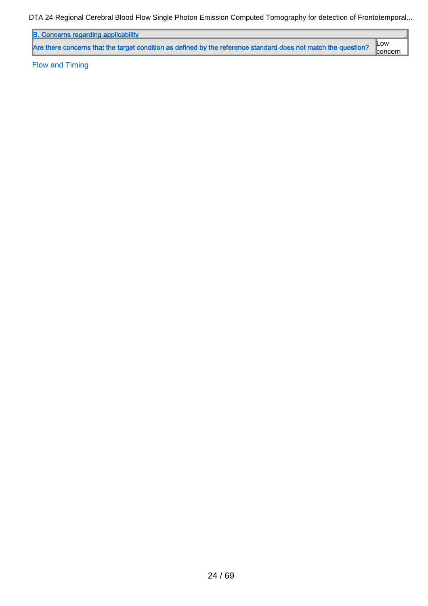| <b>B. Concerns regarding applicability</b>                                                                     |                 |
|----------------------------------------------------------------------------------------------------------------|-----------------|
| Are there concerns that the target condition as defined by the reference standard does not match the question? | $\mathbb{L}$ ow |
| <b>Concern</b>                                                                                                 |                 |

Flow and Timing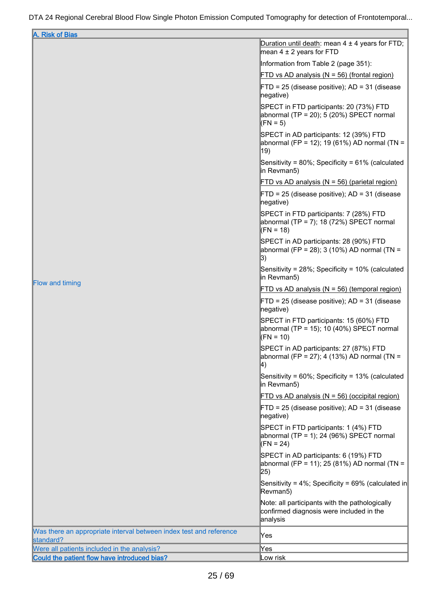| A. Risk of Bias                                                                 |                                                                                                        |
|---------------------------------------------------------------------------------|--------------------------------------------------------------------------------------------------------|
|                                                                                 | Duration until death: mean 4 ± 4 years for FTD;<br>mean $4 \pm 2$ years for FTD                        |
|                                                                                 | Information from Table 2 (page 351):                                                                   |
|                                                                                 | FTD vs AD analysis ( $N = 56$ ) (frontal region)                                                       |
|                                                                                 | $FTD = 25$ (disease positive); AD = 31 (disease<br>negative)                                           |
|                                                                                 | SPECT in FTD participants: 20 (73%) FTD<br>abnormal (TP = 20); $5(20%)$ SPECT normal<br>$K = 5$        |
|                                                                                 | SPECT in AD participants: 12 (39%) FTD<br>abnormal (FP = 12); 19 (61%) AD normal (TN =<br>$ 19\rangle$ |
|                                                                                 | Sensitivity = $80\%$ ; Specificity = $61\%$ (calculated<br>in Revman5)                                 |
|                                                                                 | FTD vs AD analysis ( $N = 56$ ) (parietal region)                                                      |
|                                                                                 | FTD = 25 (disease positive); $AD = 31$ (disease<br>negative)                                           |
|                                                                                 | SPECT in FTD participants: 7 (28%) FTD<br>abnormal (TP = 7); 18 (72%) SPECT normal<br>$(FN = 18)$      |
|                                                                                 | SPECT in AD participants: 28 (90%) FTD<br>abnormal (FP = 28); 3 (10%) AD normal (TN =<br>3)            |
|                                                                                 | Sensitivity = $28\%$ ; Specificity = $10\%$ (calculated<br>in Revman5)                                 |
| <b>Flow and timing</b>                                                          | FTD vs AD analysis ( $N = 56$ ) (temporal region)                                                      |
|                                                                                 | $FTD = 25$ (disease positive); AD = 31 (disease<br>negative)                                           |
|                                                                                 | SPECT in FTD participants: 15 (60%) FTD<br>abnormal (TP = 15); 10 (40%) SPECT normal<br>$K = 10$       |
|                                                                                 | SPECT in AD participants: 27 (87%) FTD<br>abnormal (FP = 27); 4 (13%) AD normal (TN =<br>4)            |
|                                                                                 | Sensitivity = 60%; Specificity = 13% (calculated<br>in Revman5)                                        |
|                                                                                 | FTD vs AD analysis ( $N = 56$ ) (occipital region)                                                     |
|                                                                                 | $FTD = 25$ (disease positive); AD = 31 (disease<br>negative)                                           |
|                                                                                 | SPECT in FTD participants: 1 (4%) FTD<br>abnormal (TP = 1); 24 (96%) SPECT normal<br>$(FN = 24)$       |
|                                                                                 | SPECT in AD participants: 6 (19%) FTD<br>abnormal (FP = 11); 25 (81%) AD normal (TN =<br>25)           |
|                                                                                 | Sensitivity = $4\%$ ; Specificity = $69\%$ (calculated in<br>Revman5)                                  |
|                                                                                 | Note: all participants with the pathologically<br>confirmed diagnosis were included in the<br>analysis |
| Was there an appropriate interval between index test and reference<br>standard? | Yes                                                                                                    |
| Were all patients included in the analysis?                                     | Yes                                                                                                    |
| Could the patient flow have introduced bias?                                    | Low risk                                                                                               |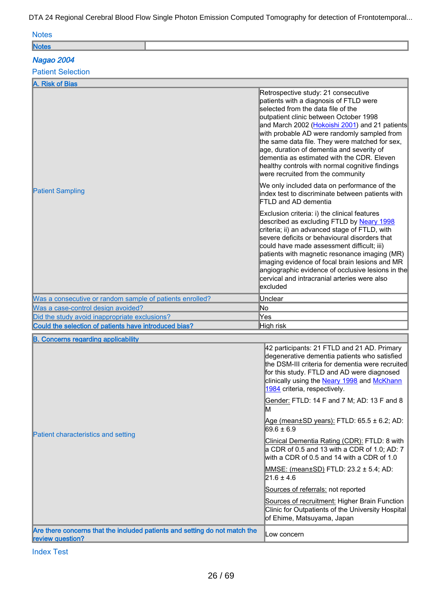| <b>Notes</b>                                             |                                                                                                                                                                                                                                                                                                                                                                                                                                                                                                     |
|----------------------------------------------------------|-----------------------------------------------------------------------------------------------------------------------------------------------------------------------------------------------------------------------------------------------------------------------------------------------------------------------------------------------------------------------------------------------------------------------------------------------------------------------------------------------------|
| <b>Notes</b>                                             |                                                                                                                                                                                                                                                                                                                                                                                                                                                                                                     |
| <b>Nagao 2004</b>                                        |                                                                                                                                                                                                                                                                                                                                                                                                                                                                                                     |
| <b>Patient Selection</b>                                 |                                                                                                                                                                                                                                                                                                                                                                                                                                                                                                     |
| A. Risk of Bias                                          |                                                                                                                                                                                                                                                                                                                                                                                                                                                                                                     |
|                                                          | Retrospective study: 21 consecutive<br>patients with a diagnosis of FTLD were<br>selected from the data file of the<br>outpatient clinic between October 1998<br>and March 2002 (Hokoishi 2001) and 21 patients<br>with probable AD were randomly sampled from<br>the same data file. They were matched for sex,<br>age, duration of dementia and severity of<br>dementia as estimated with the CDR. Eleven<br>healthy controls with normal cognitive findings<br>were recruited from the community |
| <b>Patient Sampling</b>                                  | We only included data on performance of the<br>index test to discriminate between patients with<br>FTLD and AD dementia                                                                                                                                                                                                                                                                                                                                                                             |
|                                                          | Exclusion criteria: i) the clinical features<br>described as excluding FTLD by Neary 1998<br>criteria; ii) an advanced stage of FTLD, with<br>severe deficits or behavioural disorders that<br>could have made assessment difficult; iii)<br>patients with magnetic resonance imaging (MR)<br>imaging evidence of focal brain lesions and MR<br>angiographic evidence of occlusive lesions in the<br>cervical and intracranial arteries were also<br>excluded                                       |
| Was a consecutive or random sample of patients enrolled? | Unclear                                                                                                                                                                                                                                                                                                                                                                                                                                                                                             |
| Was a case-control design avoided?                       | No.                                                                                                                                                                                                                                                                                                                                                                                                                                                                                                 |
| Did the study avoid inappropriate exclusions?            | Yes                                                                                                                                                                                                                                                                                                                                                                                                                                                                                                 |
| Could the selection of patients have introduced bias?    | High risk                                                                                                                                                                                                                                                                                                                                                                                                                                                                                           |
| <b>B. Concerns regarding applicability</b>               |                                                                                                                                                                                                                                                                                                                                                                                                                                                                                                     |
|                                                          | 42 participants: 21 FTLD and 21 AD. Primary<br>degenerative dementia patients who satisfied<br>the DSM-III criteria for dementia were recruited<br>for this study. FTLD and AD were diagnosed<br>clinically using the Neary 1998 and McKhann<br>1984 criteria, respectively.<br>Gender: FTLD: 14 F and 7 M; AD: 13 F and 8<br>M<br>Age (mean±SD years): FTLD: 65.5 ± 6.2; AD:<br>$69.6 \pm 6.9$                                                                                                     |
| Patient characteristics and setting                      | Clinical Dementia Rating (CDR): FTLD: 8 with<br>a CDR of 0.5 and 13 with a CDR of 1.0; AD: 7<br>with a CDR of 0.5 and 14 with a CDR of 1.0<br>MMSE: (mean±SD) FTLD: 23.2 ± 5.4; AD:                                                                                                                                                                                                                                                                                                                 |
|                                                          | $21.6 \pm 4.6$                                                                                                                                                                                                                                                                                                                                                                                                                                                                                      |
|                                                          | Sources of referrals: not reported                                                                                                                                                                                                                                                                                                                                                                                                                                                                  |
|                                                          | Sources of recruitment: Higher Brain Function<br>Clinic for Outpatients of the University Hospital<br>of Ehime, Matsuyama, Japan                                                                                                                                                                                                                                                                                                                                                                    |
|                                                          | Are there concerns that the included patients and setting do not match the                                                                                                                                                                                                                                                                                                                                                                                                                          |

Index Test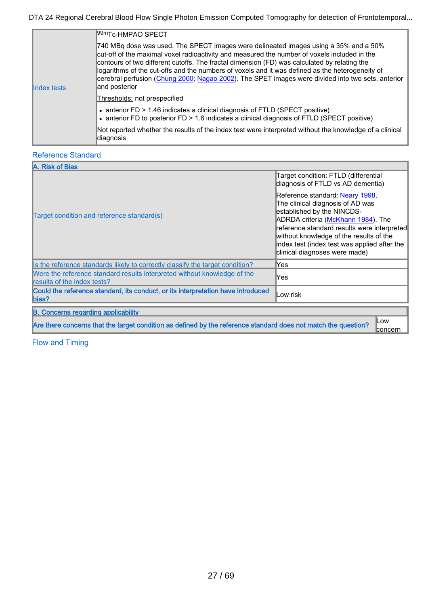|                    | 99mTc-HMPAO SPECT                                                                                                                                                                                                                                                                                                                                                                                                                                                                                             |
|--------------------|---------------------------------------------------------------------------------------------------------------------------------------------------------------------------------------------------------------------------------------------------------------------------------------------------------------------------------------------------------------------------------------------------------------------------------------------------------------------------------------------------------------|
| <b>Index tests</b> | 740 MBq dose was used. The SPECT images were delineated images using a 35% and a 50%<br>cut-off of the maximal voxel radioactivity and measured the number of voxels included in the<br>contours of two different cutoffs. The fractal dimension (FD) was calculated by relating the<br>logarithms of the cut-offs and the numbers of voxels and it was defined as the heterogeneity of<br>cerebral perfusion (Chung 2000; Nagao 2002). The SPET images were divided into two sets, anterior<br>and posterior |
|                    | Thresholds: not prespecified                                                                                                                                                                                                                                                                                                                                                                                                                                                                                  |
|                    | • anterior FD > 1.46 indicates a clinical diagnosis of FTLD (SPECT positive)<br>• anterior FD to posterior FD > 1.6 indicates a clinical diagnosis of FTLD (SPECT positive)                                                                                                                                                                                                                                                                                                                                   |
|                    | Not reported whether the results of the index test were interpreted without the knowledge of a clinical<br>ldiagnosis                                                                                                                                                                                                                                                                                                                                                                                         |

# Reference Standard

| A. Risk of Bias                                                                                                                    |                                                                                                                                                                                                                                                                                                                    |
|------------------------------------------------------------------------------------------------------------------------------------|--------------------------------------------------------------------------------------------------------------------------------------------------------------------------------------------------------------------------------------------------------------------------------------------------------------------|
|                                                                                                                                    | Target condition: FTLD (differential<br>diagnosis of FTLD vs AD dementia)                                                                                                                                                                                                                                          |
| Target condition and reference standard(s)                                                                                         | Reference standard: Neary 1998.<br>The clinical diagnosis of AD was<br>established by the NINCDS-<br>ADRDA criteria (McKhann 1984). The<br>reference standard results were interpreted<br>without knowledge of the results of the<br>index test (index test was applied after the<br>clinical diagnoses were made) |
| Is the reference standards likely to correctly classify the target condition?                                                      | lYes                                                                                                                                                                                                                                                                                                               |
| Were the reference standard results interpreted without knowledge of the<br><b>results of the index tests?</b>                     | Yes                                                                                                                                                                                                                                                                                                                |
| Could the reference standard, its conduct, or its interpretation have introduced<br>bias?                                          | Low risk                                                                                                                                                                                                                                                                                                           |
| <b>B. Concerns regarding applicability</b>                                                                                         |                                                                                                                                                                                                                                                                                                                    |
| lLow<br>Are there concerns that the target condition as defined by the reference standard does not match the question?<br>∥concern |                                                                                                                                                                                                                                                                                                                    |

Flow and Timing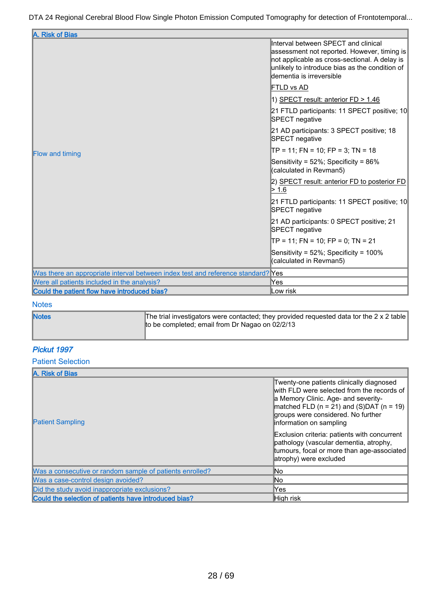| Interval between SPECT and clinical<br>assessment not reported. However, timing is<br>not applicable as cross-sectional. A delay is<br>unlikely to introduce bias as the condition of<br>dementia is irreversible<br>FTLD vs AD<br>1) SPECT result: anterior FD > 1.46<br>21 FTLD participants: 11 SPECT positive; 10<br>SPECT negative<br>21 AD participants: 3 SPECT positive; 18<br>SPECT negative<br>$TP = 11$ ; $FN = 10$ ; $FP = 3$ ; $TN = 18$<br><b>Flow and timing</b><br>Sensitivity = $52\%$ ; Specificity = $86\%$<br>(calculated in Revman5)<br>2) SPECT result: anterior FD to posterior FD<br>> 1.6<br>21 FTLD participants: 11 SPECT positive; 10<br>SPECT negative<br>21 AD participants: 0 SPECT positive; 21<br>SPECT negative<br>$TP = 11$ ; $FN = 10$ ; $FP = 0$ ; $TN = 21$<br>Sensitivity = 52%; Specificity = 100%<br>(calculated in Revman5)<br>Was there an appropriate interval between index test and reference standard? Yes<br>Yes<br>Low risk | A. Risk of Bias                              |  |
|------------------------------------------------------------------------------------------------------------------------------------------------------------------------------------------------------------------------------------------------------------------------------------------------------------------------------------------------------------------------------------------------------------------------------------------------------------------------------------------------------------------------------------------------------------------------------------------------------------------------------------------------------------------------------------------------------------------------------------------------------------------------------------------------------------------------------------------------------------------------------------------------------------------------------------------------------------------------------|----------------------------------------------|--|
|                                                                                                                                                                                                                                                                                                                                                                                                                                                                                                                                                                                                                                                                                                                                                                                                                                                                                                                                                                              |                                              |  |
|                                                                                                                                                                                                                                                                                                                                                                                                                                                                                                                                                                                                                                                                                                                                                                                                                                                                                                                                                                              |                                              |  |
|                                                                                                                                                                                                                                                                                                                                                                                                                                                                                                                                                                                                                                                                                                                                                                                                                                                                                                                                                                              |                                              |  |
|                                                                                                                                                                                                                                                                                                                                                                                                                                                                                                                                                                                                                                                                                                                                                                                                                                                                                                                                                                              |                                              |  |
|                                                                                                                                                                                                                                                                                                                                                                                                                                                                                                                                                                                                                                                                                                                                                                                                                                                                                                                                                                              |                                              |  |
|                                                                                                                                                                                                                                                                                                                                                                                                                                                                                                                                                                                                                                                                                                                                                                                                                                                                                                                                                                              |                                              |  |
|                                                                                                                                                                                                                                                                                                                                                                                                                                                                                                                                                                                                                                                                                                                                                                                                                                                                                                                                                                              |                                              |  |
|                                                                                                                                                                                                                                                                                                                                                                                                                                                                                                                                                                                                                                                                                                                                                                                                                                                                                                                                                                              |                                              |  |
|                                                                                                                                                                                                                                                                                                                                                                                                                                                                                                                                                                                                                                                                                                                                                                                                                                                                                                                                                                              |                                              |  |
|                                                                                                                                                                                                                                                                                                                                                                                                                                                                                                                                                                                                                                                                                                                                                                                                                                                                                                                                                                              |                                              |  |
|                                                                                                                                                                                                                                                                                                                                                                                                                                                                                                                                                                                                                                                                                                                                                                                                                                                                                                                                                                              |                                              |  |
|                                                                                                                                                                                                                                                                                                                                                                                                                                                                                                                                                                                                                                                                                                                                                                                                                                                                                                                                                                              |                                              |  |
|                                                                                                                                                                                                                                                                                                                                                                                                                                                                                                                                                                                                                                                                                                                                                                                                                                                                                                                                                                              |                                              |  |
|                                                                                                                                                                                                                                                                                                                                                                                                                                                                                                                                                                                                                                                                                                                                                                                                                                                                                                                                                                              | Were all patients included in the analysis?  |  |
|                                                                                                                                                                                                                                                                                                                                                                                                                                                                                                                                                                                                                                                                                                                                                                                                                                                                                                                                                                              | Could the patient flow have introduced bias? |  |

## **Notes**

| <b>Notes</b> | The trial investigators were contacted; they provided requested data tor the $2 \times 2$ table<br>to be completed; email from Dr Nagao on 02/2/13 |
|--------------|----------------------------------------------------------------------------------------------------------------------------------------------------|
|              |                                                                                                                                                    |

# Pickut 1997

# Patient Selection

| A. Risk of Bias                                          |                                                                                                                                                                                                                                                    |
|----------------------------------------------------------|----------------------------------------------------------------------------------------------------------------------------------------------------------------------------------------------------------------------------------------------------|
| <b>Patient Sampling</b>                                  | Twenty-one patients clinically diagnosed<br>with FLD were selected from the records of<br>a Memory Clinic. Age- and severity-<br>matched FLD ( $n = 21$ ) and (S)DAT ( $n = 19$ )<br>groups were considered. No further<br>information on sampling |
|                                                          | Exclusion criteria: patients with concurrent<br>pathology (vascular dementia, atrophy,<br>tumours, focal or more than age-associated<br>atrophy) were excluded                                                                                     |
| Was a consecutive or random sample of patients enrolled? | lNo.                                                                                                                                                                                                                                               |
| Was a case-control design avoided?                       | lNo.                                                                                                                                                                                                                                               |
| Did the study avoid inappropriate exclusions?            | lYes                                                                                                                                                                                                                                               |
| Could the selection of patients have introduced bias?    | High risk                                                                                                                                                                                                                                          |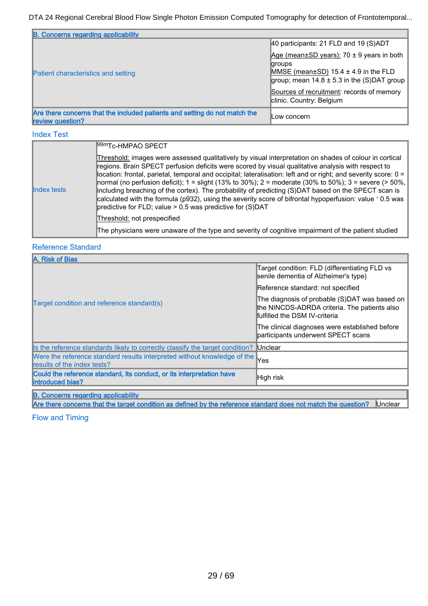| <b>B. Concerns regarding applicability</b>                                                            |                                                                                                                                                                           |
|-------------------------------------------------------------------------------------------------------|---------------------------------------------------------------------------------------------------------------------------------------------------------------------------|
|                                                                                                       | 40 participants: 21 FLD and 19 (S)ADT                                                                                                                                     |
| <b>Patient characteristics and setting</b>                                                            | Age (mean $\pm$ SD years): 70 $\pm$ 9 years in both<br><b>A</b> ccups<br>MMSE (mean $\pm$ SD) 15.4 $\pm$ 4.9 in the FLD<br>group; mean $14.8 \pm 5.3$ in the (S)DAT group |
|                                                                                                       | Sources of recruitment: records of memory<br>clinic. Country: Belgium                                                                                                     |
| Are there concerns that the included patients and setting do not match the<br><b>review question?</b> | ∥Low concern                                                                                                                                                              |

## Index Test

|              | 99mTc-HMPAO SPECT                                                                                                                                                                                                                                                                                                                                                                                                                                                                                                                                                                                                                                                                                                                    |
|--------------|--------------------------------------------------------------------------------------------------------------------------------------------------------------------------------------------------------------------------------------------------------------------------------------------------------------------------------------------------------------------------------------------------------------------------------------------------------------------------------------------------------------------------------------------------------------------------------------------------------------------------------------------------------------------------------------------------------------------------------------|
| lindex tests | Threshold: images were assessed qualitatively by visual interpretation on shades of colour in cortical<br>regions. Brain SPECT perfusion deficits were scored by visual qualitative analysis with respect to<br>location: frontal, parietal, temporal and occipital; lateralisation: left and or right; and severity score: $0 =$<br>normal (no perfusion deficit); $1 =$ slight (13% to 30%); $2 =$ moderate (30% to 50%); $3 =$ severe (> 50%,<br>including breaching of the cortex). The probability of predicting (S)DAT based on the SPECT scan is<br>calculated with the formula (p932), using the severity score of bifrontal hypoperfusion: value '0.5 was<br>predictive for FLD; value $> 0.5$ was predictive for $(S)$ DAT |
|              | Threshold: not prespecified                                                                                                                                                                                                                                                                                                                                                                                                                                                                                                                                                                                                                                                                                                          |
|              | The physicians were unaware of the type and severity of cognitive impairment of the patient studied                                                                                                                                                                                                                                                                                                                                                                                                                                                                                                                                                                                                                                  |

## Reference Standard

| A. Risk of Bias                                                                                                |                                                                                                                                       |
|----------------------------------------------------------------------------------------------------------------|---------------------------------------------------------------------------------------------------------------------------------------|
| Target condition and reference standard(s)                                                                     | Target condition: FLD (differentiating FLD vs<br>senile dementia of Alzheimer's type)                                                 |
|                                                                                                                | Reference standard: not specified                                                                                                     |
|                                                                                                                | The diagnosis of probable (S)DAT was based on<br>the NINCDS-ADRDA criteria. The patients also<br><b>fulfilled the DSM IV-criteria</b> |
|                                                                                                                | The clinical diagnoses were established before<br>participants underwent SPECT scans                                                  |
| Is the reference standards likely to correctly classify the target condition? Unclear                          |                                                                                                                                       |
| Were the reference standard results interpreted without knowledge of the<br><b>results of the index tests?</b> | lYes                                                                                                                                  |
| Could the reference standard, its conduct, or its interpretation have<br>introduced bias?                      | High risk                                                                                                                             |
| <b>B. Concerns regarding applicability</b>                                                                     |                                                                                                                                       |

Are there concerns that the target condition as defined by the reference standard does not match the question? Unclear

Flow and Timing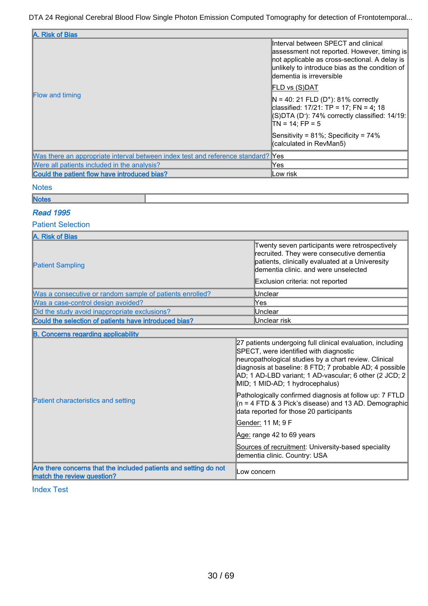| A. Risk of Bias                                                                  |                                                                                                                                                                                                                    |
|----------------------------------------------------------------------------------|--------------------------------------------------------------------------------------------------------------------------------------------------------------------------------------------------------------------|
| <b>Flow and timing</b>                                                           | Interval between SPECT and clinical<br>assessment not reported. However, timing is<br>not applicable as cross-sectional. A delay is<br>unlikely to introduce bias as the condition of<br>Idementia is irreversible |
|                                                                                  | ∥FLD vs (S)DAT                                                                                                                                                                                                     |
|                                                                                  | $N = 40$ : 21 FLD (D <sup>+</sup> ): 81% correctly<br>classified: $17/21$ : TP = 17; FN = 4; 18<br>(S)DTA (D <sup>-</sup> ): 74% correctly classified: 14/19:<br>$TN = 14: FP = 5$                                 |
|                                                                                  | Sensitivity = $81\%$ ; Specificity = $74\%$<br>(calculated in RevMan5)                                                                                                                                             |
| Was there an appropriate interval between index test and reference standard? Yes |                                                                                                                                                                                                                    |
| Were all patients included in the analysis?                                      | Yes                                                                                                                                                                                                                |
| Could the patient flow have introduced bias?                                     | Low risk                                                                                                                                                                                                           |

## **Notes**

# **Notes**

# Read 1995

## Patient Selection

| A. Risk of Bias                                          |                                                                                                                                                                                                                            |
|----------------------------------------------------------|----------------------------------------------------------------------------------------------------------------------------------------------------------------------------------------------------------------------------|
| <b>Patient Sampling</b>                                  | Twenty seven participants were retrospectively<br>recruited. They were consecutive dementia<br>patients, clinically evaluated at a Univeresity<br>dementia clinic. and were unselected<br>Exclusion criteria: not reported |
| Was a consecutive or random sample of patients enrolled? | Unclear                                                                                                                                                                                                                    |
| Was a case-control design avoided?                       | Yes                                                                                                                                                                                                                        |
| Did the study avoid inappropriate exclusions?            | Unclear                                                                                                                                                                                                                    |
| Could the selection of patients have introduced bias?    | IUnclear risk                                                                                                                                                                                                              |
|                                                          |                                                                                                                                                                                                                            |

| <b>B. Concerns regarding applicability</b>                                                     |                                                                                                                                                                                                                                                                                                                       |
|------------------------------------------------------------------------------------------------|-----------------------------------------------------------------------------------------------------------------------------------------------------------------------------------------------------------------------------------------------------------------------------------------------------------------------|
| <b>Patient characteristics and setting</b>                                                     | 27 patients undergoing full clinical evaluation, including<br>SPECT, were identified with diagnostic<br>neuropathological studies by a chart review. Clinical<br>diagnosis at baseline: 8 FTD; 7 probable AD; 4 possible<br>AD; 1 AD-LBD variant; 1 AD-vascular; 6 other (2 JCD; 2<br>MID; 1 MID-AD; 1 hydrocephalus) |
|                                                                                                | Pathologically confirmed diagnosis at follow up: 7 FTLD<br>$(n = 4$ FTD & 3 Pick's disease) and 13 AD. Demographic<br>data reported for those 20 participants                                                                                                                                                         |
|                                                                                                | lGender: 11 M; 9 F                                                                                                                                                                                                                                                                                                    |
|                                                                                                | Age: range 42 to 69 years                                                                                                                                                                                                                                                                                             |
|                                                                                                | Sources of recruitment: University-based speciality<br>dementia clinic. Country: USA                                                                                                                                                                                                                                  |
| Are there concerns that the included patients and setting do not<br>match the review question? | _ow concern                                                                                                                                                                                                                                                                                                           |

Index Test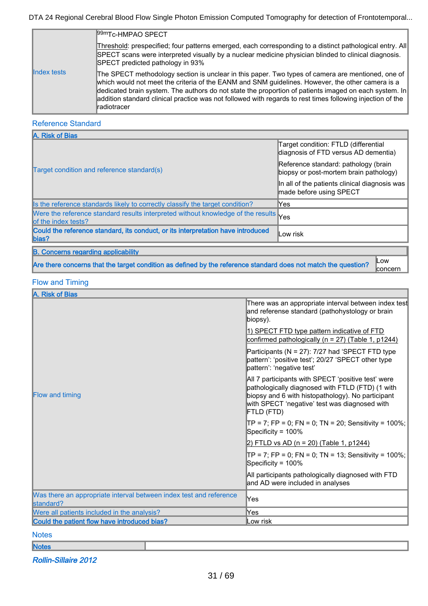|              | 99mTc-HMPAO SPECT                                                                                                                                                                                                                                                                                                                                                                                                                            |
|--------------|----------------------------------------------------------------------------------------------------------------------------------------------------------------------------------------------------------------------------------------------------------------------------------------------------------------------------------------------------------------------------------------------------------------------------------------------|
|              | Threshold: prespecified; four patterns emerged, each corresponding to a distinct pathological entry. All<br>SPECT scans were interpreted visually by a nuclear medicine physician blinded to clinical diagnosis.<br>SPECT predicted pathology in 93%                                                                                                                                                                                         |
| llndex tests | The SPECT methodology section is unclear in this paper. Two types of camera are mentioned, one of<br>which would not meet the criteria of the EANM and SNM guidelines. However, the other camera is a<br>dedicated brain system. The authors do not state the proportion of patients imaged on each system. In<br>addition standard clinical practice was not followed with regards to rest times following injection of the<br>lradiotracer |

## Reference Standard

| A. Risk of Bias                                                                                         |                                                                                |
|---------------------------------------------------------------------------------------------------------|--------------------------------------------------------------------------------|
| Target condition and reference standard(s)                                                              | Target condition: FTLD (differential<br>diagnosis of FTD versus AD dementia)   |
|                                                                                                         | Reference standard: pathology (brain<br>biopsy or post-mortem brain pathology) |
|                                                                                                         | In all of the patients clinical diagnosis was<br>made before using SPECT       |
| Is the reference standards likely to correctly classify the target condition?                           | lYes                                                                           |
| Were the reference standard results interpreted without knowledge of the results<br>of the index tests? | lYes                                                                           |
| Could the reference standard, its conduct, or its interpretation have introduced<br>bias?               | ∥Low risk                                                                      |
|                                                                                                         |                                                                                |
| <b>B. Concerns regarding applicability</b>                                                              |                                                                                |
|                                                                                                         | $\sim$                                                                         |

Are there concerns that the target condition as defined by the reference standard does not match the question? concern

## Flow and Timing

| A. Risk of Bias                                                                 |                                                                                                                                                                                                                            |
|---------------------------------------------------------------------------------|----------------------------------------------------------------------------------------------------------------------------------------------------------------------------------------------------------------------------|
| <b>Flow and timing</b>                                                          | There was an appropriate interval between index test<br>and referense standard (pathohystology or brain<br>biopsy).                                                                                                        |
|                                                                                 | 1) SPECT FTD type pattern indicative of FTD<br>confirmed pathologically ( $n = 27$ ) (Table 1, p1244)                                                                                                                      |
|                                                                                 | Participants (N = 27): 7/27 had 'SPECT FTD type<br>pattern': 'positive test'; 20/27 'SPECT other type<br>pattern': 'negative test'                                                                                         |
|                                                                                 | All 7 participants with SPECT 'positive test' were<br>pathologically diagnosed with FTLD (FTD) (1 with<br>biopsy and 6 with histopathology). No participant<br>with SPECT 'negative' test was diagnosed with<br>FTLD (FTD) |
|                                                                                 | $TP = 7$ ; FP = 0; FN = 0; TN = 20; Sensitivity = 100%;<br>Specificity = $100\%$                                                                                                                                           |
|                                                                                 | 2) FTLD vs AD ( $n = 20$ ) (Table 1, p1244)                                                                                                                                                                                |
|                                                                                 | $TP = 7$ ; FP = 0; FN = 0; TN = 13; Sensitivity = 100%;<br>Specificity = $100\%$                                                                                                                                           |
|                                                                                 | All participants pathologically diagnosed with FTD<br>and AD were included in analyses                                                                                                                                     |
| Was there an appropriate interval between index test and reference<br>standard? | lYes                                                                                                                                                                                                                       |
| Were all patients included in the analysis?                                     | Yes                                                                                                                                                                                                                        |
| Could the patient flow have introduced bias?                                    | Low risk                                                                                                                                                                                                                   |

**Notes** 

**Notes** 

Rollin-Sillaire 2012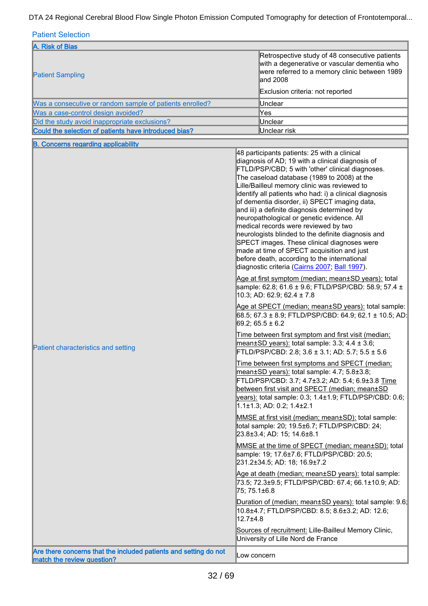| <b>Patient Selection</b>                                 |                                                                                                                                                                                                  |
|----------------------------------------------------------|--------------------------------------------------------------------------------------------------------------------------------------------------------------------------------------------------|
| A. Risk of Bias                                          |                                                                                                                                                                                                  |
| <b>Patient Sampling</b>                                  | Retrospective study of 48 consecutive patients<br>with a degenerative or vascular dementia who<br>were referred to a memory clinic between 1989<br>land 2008<br>Exclusion criteria: not reported |
| Was a consecutive or random sample of patients enrolled? | Unclear                                                                                                                                                                                          |
| Was a case-control design avoided?                       | lYes                                                                                                                                                                                             |
| Did the study avoid inappropriate exclusions?            | Unclear                                                                                                                                                                                          |
| Could the selection of patients have introduced bias?    | Unclear risk                                                                                                                                                                                     |

| <b>B. Concerns regarding applicability</b>                                                     |                                                                                                                                                                                                                                                                                                                                                                                                                                                                                                                                                                                                                                                                                                                                                         |
|------------------------------------------------------------------------------------------------|---------------------------------------------------------------------------------------------------------------------------------------------------------------------------------------------------------------------------------------------------------------------------------------------------------------------------------------------------------------------------------------------------------------------------------------------------------------------------------------------------------------------------------------------------------------------------------------------------------------------------------------------------------------------------------------------------------------------------------------------------------|
|                                                                                                | 48 participants patients: 25 with a clinical<br>diagnosis of AD; 19 with a clinical diagnosis of<br>FTLD/PSP/CBD; 5 with 'other' clinical diagnoses.<br>The caseload database (1989 to 2008) at the<br>Lille/Bailleul memory clinic was reviewed to<br>identify all patients who had: i) a clinical diagnosis<br>of dementia disorder, ii) SPECT imaging data,<br>and iii) a definite diagnosis determined by<br>neuropathological or genetic evidence. All<br>medical records were reviewed by two<br>neurologists blinded to the definite diagnosis and<br>SPECT images. These clinical diagnoses were<br>made at time of SPECT acquisition and just<br>before death, according to the international<br>diagnostic criteria (Cairns 2007; Ball 1997). |
| Patient characteristics and setting                                                            | Age at first symptom (median; mean±SD years): total<br>sample: 62.8; 61.6 ± 9.6; FTLD/PSP/CBD: 58.9; 57.4 ±<br>$10.3$ ; AD: 62.9; 62.4 ± 7.8                                                                                                                                                                                                                                                                                                                                                                                                                                                                                                                                                                                                            |
|                                                                                                | Age at SPECT (median; mean±SD years): total sample:<br>68.5; 67.3 ± 8.9; FTLD/PSP/CBD: 64.9; 62.1 ± 10.5; AD:<br>$69.2; 65.5 \pm 6.2$                                                                                                                                                                                                                                                                                                                                                                                                                                                                                                                                                                                                                   |
|                                                                                                | Time between first symptom and first visit (median;<br>mean $\pm$ SD years): total sample: 3.3; 4.4 $\pm$ 3.6;<br>FTLD/PSP/CBD: 2.8; 3.6 $\pm$ 3.1; AD: 5.7; 5.5 $\pm$ 5.6                                                                                                                                                                                                                                                                                                                                                                                                                                                                                                                                                                              |
|                                                                                                | Time between first symptoms and SPECT (median;<br>mean $\pm$ SD years): total sample: 4.7; 5.8 $\pm$ 3.8;<br>FTLD/PSP/CBD: 3.7; 4.7±3.2; AD: 5.4; 6.9±3.8 Time<br>between first visit and SPECT (median; mean±SD<br>years): total sample: 0.3; 1.4±1.9; FTLD/PSP/CBD: 0.6;<br>1.1±1.3; AD: 0.2; 1.4±2.1                                                                                                                                                                                                                                                                                                                                                                                                                                                 |
|                                                                                                | MMSE at first visit (median; mean±SD): total sample:<br>total sample: 20; 19.5±6.7; FTLD/PSP/CBD: 24;<br>23.8±3.4; AD: 15; 14.6±8.1                                                                                                                                                                                                                                                                                                                                                                                                                                                                                                                                                                                                                     |
|                                                                                                | MMSE at the time of SPECT (median; mean±SD): total<br>sample: 19; 17.6±7.6; FTLD/PSP/CBD: 20.5;<br>231.2±34.5; AD: 18; 16.9±7.2                                                                                                                                                                                                                                                                                                                                                                                                                                                                                                                                                                                                                         |
|                                                                                                | Age at death (median; mean±SD years): total sample:<br>73.5; 72.3±9.5; FTLD/PSP/CBD: 67.4; 66.1±10.9; AD:<br>¶75; 75.1±6.8                                                                                                                                                                                                                                                                                                                                                                                                                                                                                                                                                                                                                              |
|                                                                                                | Duration of (median; mean±SD years): total sample: 9.6;<br>10.8±4.7; FTLD/PSP/CBD: 8.5; 8.6±3.2; AD: 12.6;<br>12.7±4.8                                                                                                                                                                                                                                                                                                                                                                                                                                                                                                                                                                                                                                  |
|                                                                                                | Sources of recruitment: Lille-Bailleul Memory Clinic,<br>University of Lille Nord de France                                                                                                                                                                                                                                                                                                                                                                                                                                                                                                                                                                                                                                                             |
| Are there concerns that the included patients and setting do not<br>match the review question? | Low concern                                                                                                                                                                                                                                                                                                                                                                                                                                                                                                                                                                                                                                                                                                                                             |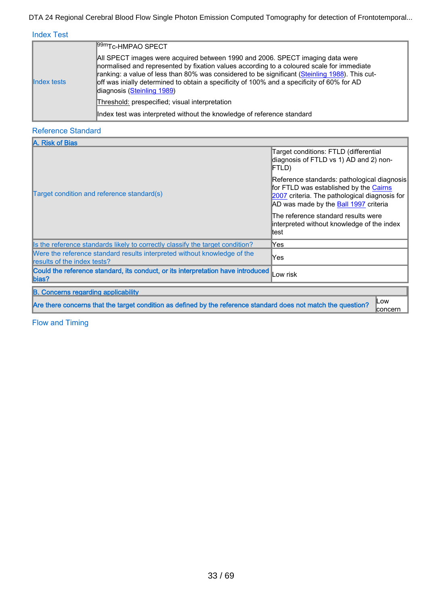Index Test

|                    | 99mTc-HMPAO SPECT                                                                                                                                                                                                                                                                                                                                                                                        |
|--------------------|----------------------------------------------------------------------------------------------------------------------------------------------------------------------------------------------------------------------------------------------------------------------------------------------------------------------------------------------------------------------------------------------------------|
| <b>Index tests</b> | All SPECT images were acquired between 1990 and 2006. SPECT imaging data were<br>normalised and represented by fixation values according to a coloured scale for immediate<br>ranking: a value of less than 80% was considered to be significant (Steinling 1988). This cut-<br>off was inially determined to obtain a specificity of 100% and a specificity of 60% for AD<br>diagnosis (Steinling 1989) |
|                    | Threshold: prespecified; visual interpretation                                                                                                                                                                                                                                                                                                                                                           |
|                    | Index test was interpreted without the knowledge of reference standard                                                                                                                                                                                                                                                                                                                                   |

# Reference Standard

| A. Risk of Bias                                                                                                                    |                                                                                                                                                                                 |
|------------------------------------------------------------------------------------------------------------------------------------|---------------------------------------------------------------------------------------------------------------------------------------------------------------------------------|
| Target condition and reference standard(s)                                                                                         | Target conditions: FTLD (differential<br>diagnosis of FTLD vs 1) AD and 2) non-<br>IFTLD)                                                                                       |
|                                                                                                                                    | Reference standards: pathological diagnosis<br>for FTLD was established by the Cairns<br>2007 criteria. The pathological diagnosis for<br>AD was made by the Ball 1997 criteria |
|                                                                                                                                    | The reference standard results were<br>interpreted without knowledge of the index<br>ltest                                                                                      |
| Is the reference standards likely to correctly classify the target condition?                                                      | lYes.                                                                                                                                                                           |
| Were the reference standard results interpreted without knowledge of the<br><b>results of the index tests?</b>                     | Yes                                                                                                                                                                             |
| Could the reference standard, its conduct, or its interpretation have introduced<br>bias?                                          | ∥Low risk                                                                                                                                                                       |
|                                                                                                                                    |                                                                                                                                                                                 |
| <b>B. Concerns regarding applicability</b>                                                                                         |                                                                                                                                                                                 |
| ⊩Low<br>Are there concerns that the target condition as defined by the reference standard does not match the question?<br>lconcern |                                                                                                                                                                                 |

Flow and Timing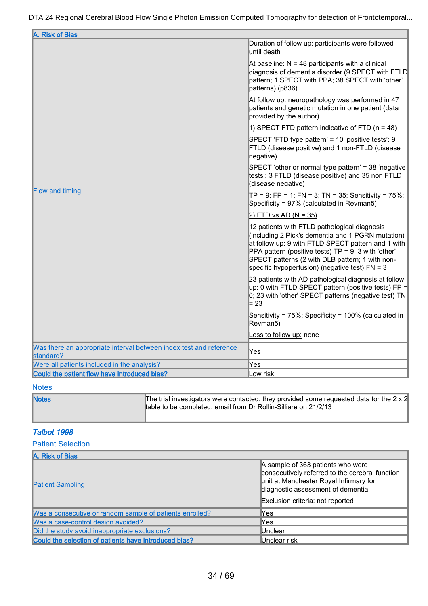| A. Risk of Bias                                                                 |                                                                                                                                                                                                                                                                                                                          |
|---------------------------------------------------------------------------------|--------------------------------------------------------------------------------------------------------------------------------------------------------------------------------------------------------------------------------------------------------------------------------------------------------------------------|
|                                                                                 | Duration of follow up: participants were followed<br>luntil death                                                                                                                                                                                                                                                        |
|                                                                                 | At baseline: $N = 48$ participants with a clinical<br>diagnosis of dementia disorder (9 SPECT with FTLD<br>pattern; 1 SPECT with PPA; 38 SPECT with 'other'<br>patterns) (p836)                                                                                                                                          |
|                                                                                 | At follow up: neuropathology was performed in 47<br>patients and genetic mutation in one patient (data<br>provided by the author)                                                                                                                                                                                        |
|                                                                                 | 1) SPECT FTD pattern indicative of FTD $(n = 48)$                                                                                                                                                                                                                                                                        |
| <b>Flow and timing</b>                                                          | SPECT 'FTD type pattern' = 10 'positive tests': 9<br>FTLD (disease positive) and 1 non-FTLD (disease<br>negative)                                                                                                                                                                                                        |
|                                                                                 | SPECT 'other or normal type pattern' = 38 'negative<br>tests': 3 FTLD (disease positive) and 35 non FTLD<br>(disease negative)                                                                                                                                                                                           |
|                                                                                 | $TP = 9$ ; FP = 1; FN = 3; TN = 35; Sensitivity = 75%;<br>Specificity = 97% (calculated in Revman5)                                                                                                                                                                                                                      |
|                                                                                 | 2) FTD vs AD (N = 35)                                                                                                                                                                                                                                                                                                    |
|                                                                                 | 12 patients with FTLD pathological diagnosis<br>(including 2 Pick's dementia and 1 PGRN mutation)<br>at follow up: 9 with FTLD SPECT pattern and 1 with<br>PPA pattern (positive tests) $TP = 9$ ; 3 with 'other'<br>SPECT patterns (2 with DLB pattern; 1 with non-<br>specific hypoperfusion) (negative test) $FN = 3$ |
|                                                                                 | 23 patients with AD pathological diagnosis at follow<br>$\mu$ p: 0 with FTLD SPECT pattern (positive tests) FP =<br>0; 23 with 'other' SPECT patterns (negative test) TN<br>⊫ 23                                                                                                                                         |
|                                                                                 | Sensitivity = $75\%$ ; Specificity = $100\%$ (calculated in<br>Revman5)                                                                                                                                                                                                                                                  |
|                                                                                 | Loss to follow up: none                                                                                                                                                                                                                                                                                                  |
| Was there an appropriate interval between index test and reference<br>standard? | ∣Yes                                                                                                                                                                                                                                                                                                                     |
| Were all patients included in the analysis?                                     | Yes                                                                                                                                                                                                                                                                                                                      |
| Could the patient flow have introduced bias?                                    | ∥Low risk                                                                                                                                                                                                                                                                                                                |

## **Notes**

| <b>Notes</b> | The trial investigators were contacted; they provided some requested data tor the $2 \times 2$<br>table to be completed; email from Dr Rollin-Silliare on 21/2/13 |
|--------------|-------------------------------------------------------------------------------------------------------------------------------------------------------------------|
|              |                                                                                                                                                                   |

# Talbot 1998

## Patient Selection

| A. Risk of Bias                                          |                                                                                                                                                                                                         |
|----------------------------------------------------------|---------------------------------------------------------------------------------------------------------------------------------------------------------------------------------------------------------|
| <b>Patient Sampling</b>                                  | A sample of 363 patients who were<br>consecutively referred to the cerebral function<br>unit at Manchester Royal Infirmary for<br>diagnostic assessment of dementia<br>Exclusion criteria: not reported |
| Was a consecutive or random sample of patients enrolled? | lYes                                                                                                                                                                                                    |
| Was a case-control design avoided?                       | lYes                                                                                                                                                                                                    |
| Did the study avoid inappropriate exclusions?            | Unclear                                                                                                                                                                                                 |
| Could the selection of patients have introduced bias?    | Unclear risk                                                                                                                                                                                            |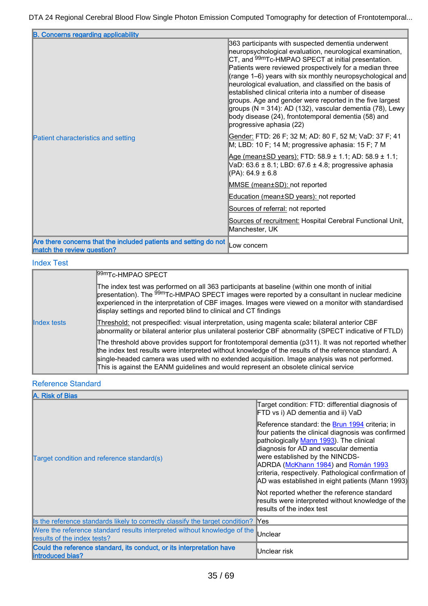| <b>B. Concerns regarding applicability</b>                                                     |                                                                                                                                                                                                                                                                                                                                                                                                                                                                                                                                                                                                                                               |
|------------------------------------------------------------------------------------------------|-----------------------------------------------------------------------------------------------------------------------------------------------------------------------------------------------------------------------------------------------------------------------------------------------------------------------------------------------------------------------------------------------------------------------------------------------------------------------------------------------------------------------------------------------------------------------------------------------------------------------------------------------|
|                                                                                                | 363 participants with suspected dementia underwent<br>neuropsychological evaluation, neurological examination,<br>CT, and <sup>99m</sup> Tc-HMPAO SPECT at initial presentation.<br>Patients were reviewed prospectively for a median three<br>(range 1–6) years with six monthly neuropsychological and<br>neurological evaluation, and classified on the basis of<br>lestablished clinical criteria into a number of disease<br>groups. Age and gender were reported in the five largest<br>groups ( $N = 314$ ): AD (132), vascular dementia (78), Lewy<br>body disease (24), frontotemporal dementia (58) and<br>progressive aphasia (22) |
| <b>Patient characteristics and setting</b>                                                     | Gender: FTD: 26 F; 32 M; AD: 80 F, 52 M; VaD: 37 F; 41<br>M; LBD: 10 F; 14 M; progressive aphasia: 15 F; 7 M                                                                                                                                                                                                                                                                                                                                                                                                                                                                                                                                  |
|                                                                                                | Age (mean $\pm$ SD years): FTD: 58.9 $\pm$ 1.1; AD: 58.9 $\pm$ 1.1;<br>VaD: $63.6 \pm 8.1$ ; LBD: $67.6 \pm 4.8$ ; progressive aphasia<br>(PA): 64.9 ± 6.8                                                                                                                                                                                                                                                                                                                                                                                                                                                                                    |
|                                                                                                | MMSE (mean±SD): not reported                                                                                                                                                                                                                                                                                                                                                                                                                                                                                                                                                                                                                  |
|                                                                                                | Education (mean±SD years): not reported                                                                                                                                                                                                                                                                                                                                                                                                                                                                                                                                                                                                       |
|                                                                                                | Sources of referral: not reported                                                                                                                                                                                                                                                                                                                                                                                                                                                                                                                                                                                                             |
|                                                                                                | Sources of recruitment: Hospital Cerebral Functional Unit,<br>Manchester, UK                                                                                                                                                                                                                                                                                                                                                                                                                                                                                                                                                                  |
| Are there concerns that the included patients and setting do not<br>match the review question? | Low concern                                                                                                                                                                                                                                                                                                                                                                                                                                                                                                                                                                                                                                   |

## Index Test

|              | 99mTc-HMPAO SPECT                                                                                                                                                                                                                                                                                                                                                                                      |
|--------------|--------------------------------------------------------------------------------------------------------------------------------------------------------------------------------------------------------------------------------------------------------------------------------------------------------------------------------------------------------------------------------------------------------|
|              | The index test was performed on all 363 participants at baseline (within one month of initial<br>presentation). The <sup>99m</sup> Tc-HMPAO SPECT images were reported by a consultant in nuclear medicine<br>experienced in the interpretation of CBF images. Images were viewed on a monitor with standardised<br>display settings and reported blind to clinical and CT findings                    |
| lindex tests | Threshold: not prespecified: visual interpretation, using magenta scale: bilateral anterior CBF<br>abnormality or bilateral anterior plus unilateral posterior CBF abnormality (SPECT indicative of FTLD)                                                                                                                                                                                              |
|              | The threshold above provides support for frontotemporal dementia (p311). It was not reported whether<br>the index test results were interpreted without knowledge of the results of the reference standard. A<br>single-headed camera was used with no extended acquisition. Image analysis was not performed.<br>This is against the EANM guidelines and would represent an obsolete clinical service |

# Reference Standard

| A. Risk of Bias                                                                                                |                                                                                                                                                                                                                                                                                                                                                                                                                                                                                     |
|----------------------------------------------------------------------------------------------------------------|-------------------------------------------------------------------------------------------------------------------------------------------------------------------------------------------------------------------------------------------------------------------------------------------------------------------------------------------------------------------------------------------------------------------------------------------------------------------------------------|
|                                                                                                                | Target condition: FTD: differential diagnosis of<br>FTD vs i) AD dementia and ii) VaD                                                                                                                                                                                                                                                                                                                                                                                               |
| Target condition and reference standard(s)                                                                     | Reference standard: the Brun 1994 criteria; in<br>four patients the clinical diagnosis was confirmed<br>pathologically Mann 1993). The clinical<br>diagnosis for AD and vascular dementia<br>were established by the NINCDS-<br>ADRDA (McKhann 1984) and Román 1993<br>criteria, respectively. Pathological confirmation of<br>AD was established in eight patients (Mann 1993)<br>Not reported whether the reference standard<br>results were interpreted without knowledge of the |
|                                                                                                                | results of the index test                                                                                                                                                                                                                                                                                                                                                                                                                                                           |
| Is the reference standards likely to correctly classify the target condition? Yes                              |                                                                                                                                                                                                                                                                                                                                                                                                                                                                                     |
| Were the reference standard results interpreted without knowledge of the<br><b>results of the index tests?</b> | Unclear                                                                                                                                                                                                                                                                                                                                                                                                                                                                             |
| Could the reference standard, its conduct, or its interpretation have<br><b>Introduced bias?</b>               | Unclear risk                                                                                                                                                                                                                                                                                                                                                                                                                                                                        |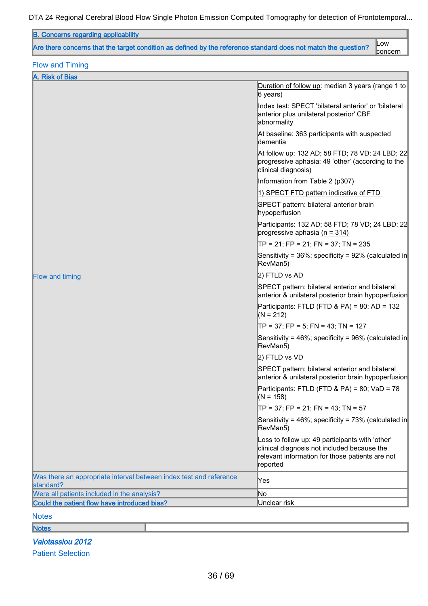| <b>B. Concerns regarding applicability</b>                                                                     |                                                                                                                                                               |
|----------------------------------------------------------------------------------------------------------------|---------------------------------------------------------------------------------------------------------------------------------------------------------------|
| Are there concerns that the target condition as defined by the reference standard does not match the question? | Low<br>∥concern                                                                                                                                               |
| <b>Flow and Timing</b>                                                                                         |                                                                                                                                                               |
| A. Risk of Bias                                                                                                |                                                                                                                                                               |
|                                                                                                                | Duration of follow up: median 3 years (range 1 to<br>6 years)                                                                                                 |
|                                                                                                                | Index test: SPECT 'bilateral anterior' or 'bilateral<br>anterior plus unilateral posterior' CBF<br>abnormality                                                |
|                                                                                                                | At baseline: 363 participants with suspected<br>ldementia                                                                                                     |
|                                                                                                                | At follow up: 132 AD; 58 FTD; 78 VD; 24 LBD; 22<br>progressive aphasia; 49 'other' (according to the<br>clinical diagnosis)                                   |
|                                                                                                                | Information from Table 2 (p307)                                                                                                                               |
|                                                                                                                | 1) SPECT FTD pattern indicative of FTD                                                                                                                        |
|                                                                                                                | SPECT pattern: bilateral anterior brain<br>hypoperfusion                                                                                                      |
|                                                                                                                | Participants: 132 AD; 58 FTD; 78 VD; 24 LBD; 22<br>progressive aphasia $(n = 314)$                                                                            |
|                                                                                                                | $TP = 21$ ; FP = 21; FN = 37; TN = 235                                                                                                                        |
|                                                                                                                | Sensitivity = $36\%$ ; specificity = $92\%$ (calculated in<br>RevMan5)                                                                                        |
| <b>Flow and timing</b>                                                                                         | 2) FTLD vs AD                                                                                                                                                 |
|                                                                                                                | SPECT pattern: bilateral anterior and bilateral<br>anterior & unilateral posterior brain hypoperfusion                                                        |
|                                                                                                                | Participants: FTLD (FTD & PA) = 80; AD = 132<br>$(N = 212)$                                                                                                   |
|                                                                                                                | $TP = 37$ ; FP = 5; FN = 43; TN = 127                                                                                                                         |
|                                                                                                                | Sensitivity = 46%; specificity = 96% (calculated in<br>RevMan5)                                                                                               |
|                                                                                                                | 2) FTLD vs VD                                                                                                                                                 |
|                                                                                                                | SPECT pattern: bilateral anterior and bilateral<br>anterior & unilateral posterior brain hypoperfusion                                                        |
|                                                                                                                | Participants: FTLD (FTD & PA) = 80; $VaD = 78$<br>$(N = 158)$                                                                                                 |
|                                                                                                                | $TP = 37$ ; FP = 21; FN = 43; TN = 57                                                                                                                         |
|                                                                                                                | Sensitivity = $46\%$ ; specificity = $73\%$ (calculated in<br>RevMan5)                                                                                        |
|                                                                                                                | Loss to follow up: 49 participants with 'other'<br>clinical diagnosis not included because the<br>relevant information for those patients are not<br>reported |
| Was there an appropriate interval between index test and reference<br>standard?                                | Yes                                                                                                                                                           |
| Were all patients included in the analysis?                                                                    | lNo.                                                                                                                                                          |

**Notes** 

**Notes** 

# Valotassiou 2012

Patient Selection

Could the patient flow have introduced bias?  $\Box$  Unclear risk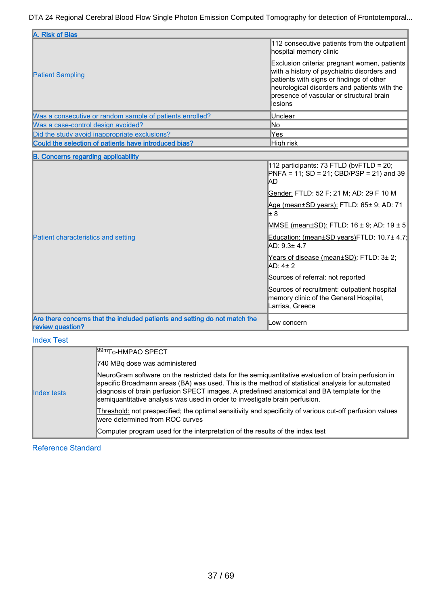| A. Risk of Bias                                          |                                                                                                                                                                                                                                                                                                                      |
|----------------------------------------------------------|----------------------------------------------------------------------------------------------------------------------------------------------------------------------------------------------------------------------------------------------------------------------------------------------------------------------|
|                                                          | 112 consecutive patients from the outpatient<br>hospital memory clinic                                                                                                                                                                                                                                               |
| <b>Patient Sampling</b>                                  | Exclusion criteria: pregnant women, patients<br>with a history of psychiatric disorders and<br>patients with signs or findings of other<br>neurological disorders and patients with the<br>presence of vascular or structural brain<br>lesions                                                                       |
| Was a consecutive or random sample of patients enrolled? | Unclear                                                                                                                                                                                                                                                                                                              |
| Was a case-control design avoided?                       | lNo.                                                                                                                                                                                                                                                                                                                 |
| Did the study avoid inappropriate exclusions?            | Yes                                                                                                                                                                                                                                                                                                                  |
| Could the selection of patients have introduced bias?    | High risk                                                                                                                                                                                                                                                                                                            |
| <b>B. Concerns regarding applicability</b>               |                                                                                                                                                                                                                                                                                                                      |
| Patient characteristics and setting                      | 112 participants: 73 FTLD (bvFTLD = 20;<br>$PNFA = 11$ ; SD = 21; CBD/PSP = 21) and 39<br>IAD<br>Gender: FTLD: 52 F; 21 M; AD: 29 F 10 M<br>Age (mean±SD years): FTLD: 65± 9; AD: 71<br>l± 8<br>MMSE (mean $\pm$ SD): FTLD: 16 $\pm$ 9; AD: 19 $\pm$ 5<br>Education: (mean±SD years)FTLD: 10.7± 4.7;<br>AD: 9.3± 4.7 |
|                                                          | Years of disease (mean±SD): FTLD: 3± 2;<br>AD: 4± 2<br>Sources of referral: not reported                                                                                                                                                                                                                             |
|                                                          | Sources of recruitment: outpatient hospital<br>memory clinic of the General Hospital,<br>Larrisa, Greece                                                                                                                                                                                                             |

Are there concerns that the included patients and setting do not match the review question? Low concern

Index Test

|              | 99mTc-HMPAO SPECT                                                                                                                                                                                                                                                                                                                                                                    |
|--------------|--------------------------------------------------------------------------------------------------------------------------------------------------------------------------------------------------------------------------------------------------------------------------------------------------------------------------------------------------------------------------------------|
|              | 740 MBq dose was administered                                                                                                                                                                                                                                                                                                                                                        |
| lindex tests | NeuroGram software on the restricted data for the semiquantitative evaluation of brain perfusion in<br>specific Broadmann areas (BA) was used. This is the method of statistical analysis for automated<br>diagnosis of brain perfusion SPECT images. A predefined anatomical and BA template for the<br>semiquantitative analysis was used in order to investigate brain perfusion. |
|              | Threshold: not prespecified; the optimal sensitivity and specificity of various cut-off perfusion values<br>were determined from ROC curves<br>Computer program used for the interpretation of the results of the index test                                                                                                                                                         |
|              |                                                                                                                                                                                                                                                                                                                                                                                      |

Reference Standard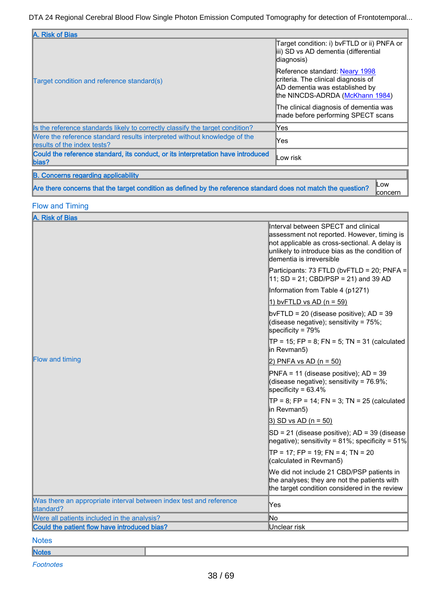| A. Risk of Bias                                                                                                |                                                                                                                                            |
|----------------------------------------------------------------------------------------------------------------|--------------------------------------------------------------------------------------------------------------------------------------------|
|                                                                                                                | Target condition: i) bvFTLD or ii) PNFA or<br>iii) SD vs AD dementia (differential<br>diagnosis)                                           |
| Target condition and reference standard(s)                                                                     | Reference standard: Neary 1998<br>criteria. The clinical diagnosis of<br>AD dementia was established by<br>the NINCDS-ADRDA (McKhann 1984) |
|                                                                                                                | The clinical diagnosis of dementia was<br>made before performing SPECT scans                                                               |
| Is the reference standards likely to correctly classify the target condition?                                  | lYes.                                                                                                                                      |
| Were the reference standard results interpreted without knowledge of the<br><b>results of the index tests?</b> | Yes                                                                                                                                        |
| Could the reference standard, its conduct, or its interpretation have introduced<br>bias?                      | _ow risk                                                                                                                                   |
| <b>B. Concerns regarding applicability</b>                                                                     |                                                                                                                                            |

concern

Are there concerns that the target condition as defined by the reference standard does not match the question?

## Flow and Timing

| A. Risk of Bias                                                                 |                                                                                                                                                                                                                   |
|---------------------------------------------------------------------------------|-------------------------------------------------------------------------------------------------------------------------------------------------------------------------------------------------------------------|
|                                                                                 | Interval between SPECT and clinical<br>assessment not reported. However, timing is<br>not applicable as cross-sectional. A delay is<br>unlikely to introduce bias as the condition of<br>dementia is irreversible |
|                                                                                 | Participants: 73 FTLD (bvFTLD = 20; PNFA =<br>11; SD = 21; CBD/PSP = 21) and 39 AD                                                                                                                                |
|                                                                                 | Information from Table 4 (p1271)                                                                                                                                                                                  |
|                                                                                 | 1) bvFTLD vs AD ( $n = 59$ )                                                                                                                                                                                      |
|                                                                                 | bvFTLD = 20 (disease positive); $AD = 39$<br>(disease negative); sensitivity = $75\%$ ;<br>specificity = $79%$                                                                                                    |
|                                                                                 | $TP = 15$ ; FP = 8; FN = 5; TN = 31 (calculated<br>in Revman5)                                                                                                                                                    |
| <b>Flow and timing</b>                                                          | $ 2)$ PNFA vs AD (n = 50)                                                                                                                                                                                         |
|                                                                                 | $PNFA = 11$ (disease positive); $AD = 39$<br>(disease negative); sensitivity = $76.9\%$ ;<br>specificity = $63.4\%$                                                                                               |
|                                                                                 | $TP = 8$ ; FP = 14; FN = 3; TN = 25 (calculated<br>in Revman5)                                                                                                                                                    |
|                                                                                 | $ 3)$ SD vs AD (n = 50)                                                                                                                                                                                           |
|                                                                                 | $SD = 21$ (disease positive); $AD = 39$ (disease<br>negative); sensitivity = $81\%$ ; specificity = $51\%$                                                                                                        |
|                                                                                 | $TP = 17$ ; FP = 19; FN = 4; TN = 20<br>(calculated in Revman5)                                                                                                                                                   |
|                                                                                 | We did not include 21 CBD/PSP patients in<br>the analyses; they are not the patients with<br>the target condition considered in the review                                                                        |
| Was there an appropriate interval between index test and reference<br>standard? | Yes                                                                                                                                                                                                               |
| Were all patients included in the analysis?                                     | No                                                                                                                                                                                                                |
| Could the patient flow have introduced bias?                                    | Unclear risk                                                                                                                                                                                                      |

## **Notes**

**Notes**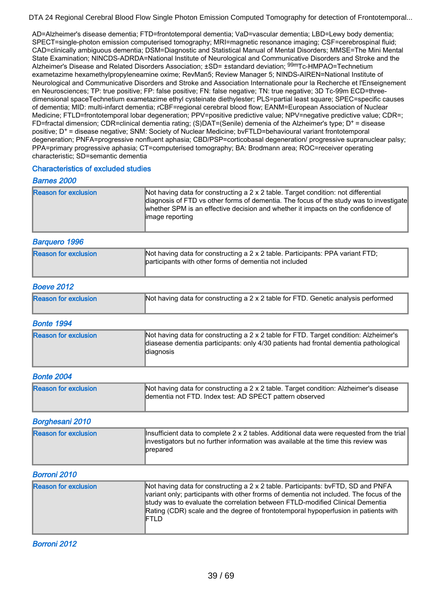<span id="page-38-0"></span>AD=Alzheimer's disease dementia; FTD=frontotemporal dementia; VaD=vascular dementia; LBD=Lewy body dementia; SPECT=single-photon emission computerised tomography; MRI=magnetic resonance imaging; CSF=cerebrospinal fluid; CAD=clinically ambiguous dementia; DSM=Diagnostic and Statistical Manual of Mental Disorders; MMSE=The Mini Mental State Examination; NINCDS-ADRDA=National Institute of Neurological and Communicative Disorders and Stroke and the Alzheimer's Disease and Related Disorders Association; ±SD= ±standard deviation; 99mTc-HMPAO=Technetium exametazime hexamethylpropyleneamine oxime; RevMan5; Review Manager 5; NINDS-AIREN=National Institute of Neurological and Communicative Disorders and Stroke and Association Internationale pour la Recherche et l'Enseignement en Neurosciences; TP: true positive; FP: false positive; FN: false negative; TN: true negative; 3D Tc-99m ECD=threedimensional spaceTechnetium exametazime ethyl cysteinate diethylester; PLS=partial least square; SPEC=specific causes of dementia; MID: multi-infarct dementia; rCBF=regional cerebral blood flow; EANM=European Association of Nuclear Medicine; FTLD=frontotemporal lobar degeneration; PPV=positive predictive value; NPV=negative predictive value; CDR=; FD=fractal dimension; CDR=clinical dementia rating; (S)DAT=(Senile) demenia of the Alzheimer's type; D<sup>+</sup> = disease positive; D+ = disease negative; SNM: Society of Nuclear Medicine; bvFTLD=behavioural variant frontotemporal degeneration; PNFA=progressive nonfluent aphasia; CBD/PSP=corticobasal degeneration/ progressive supranuclear palsy; PPA=primary progressive aphasia; CT=computerised tomography; BA: Brodmann area; ROC=receiver operating characteristic; SD=semantic dementia

## Characteristics of excluded studies

## Barnes 2000

| <b>Reason for exclusion</b> | Not having data for constructing a 2 x 2 table. Target condition: not differential<br>diagnosis of FTD vs other forms of dementia. The focus of the study was to investigate<br>whether SPM is an effective decision and whether it impacts on the confidence of<br>limage reporting |
|-----------------------------|--------------------------------------------------------------------------------------------------------------------------------------------------------------------------------------------------------------------------------------------------------------------------------------|
|                             |                                                                                                                                                                                                                                                                                      |

## Barquero 1996

| <b>Reason for exclusion</b> | Not having data for constructing a 2 x 2 table. Participants: PPA variant FTD;<br>participants with other forms of dementia not included |  |
|-----------------------------|------------------------------------------------------------------------------------------------------------------------------------------|--|

## Boeve 2012

| Not having data for constructing a $2 \times 2$ table for FTD. Genetic analysis performed<br><b>Reason for exclusion</b> |
|--------------------------------------------------------------------------------------------------------------------------|
|--------------------------------------------------------------------------------------------------------------------------|

## Bonte 1994

| <b>Reason for exclusion</b> | Not having data for constructing a 2 x 2 table for FTD. Target condition: Alzheimer's<br>diasease dementia participants: only 4/30 patients had frontal dementia pathological<br><b>diagnosis</b> |
|-----------------------------|---------------------------------------------------------------------------------------------------------------------------------------------------------------------------------------------------|
|                             |                                                                                                                                                                                                   |

## Bonte 2004

| <b>Reason for exclusion</b> | Not having data for constructing a $2 \times 2$ table. Target condition: Alzheimer's disease<br>dementia not FTD. Index test: AD SPECT pattern observed |
|-----------------------------|---------------------------------------------------------------------------------------------------------------------------------------------------------|
|                             |                                                                                                                                                         |

## Borghesani 2010

| <b>Reason for exclusion</b> | Insufficient data to complete 2 x 2 tables. Additional data were requested from the trial<br>investigators but no further information was available at the time this review was<br><b>I</b> brepared |
|-----------------------------|------------------------------------------------------------------------------------------------------------------------------------------------------------------------------------------------------|
|                             |                                                                                                                                                                                                      |

## Borroni 2010

| <b>Reason for exclusion</b> | Not having data for constructing a 2 x 2 table. Participants: bvFTD, SD and PNFA<br>variant only; participants with other frorms of dementia not included. The focus of the<br>study was to evaluate the correlation between FTLD-modified Clinical Dementia<br>Rating (CDR) scale and the degree of frontotemporal hypoperfusion in patients with<br>IFTLD |
|-----------------------------|-------------------------------------------------------------------------------------------------------------------------------------------------------------------------------------------------------------------------------------------------------------------------------------------------------------------------------------------------------------|
|                             |                                                                                                                                                                                                                                                                                                                                                             |

Borroni 2012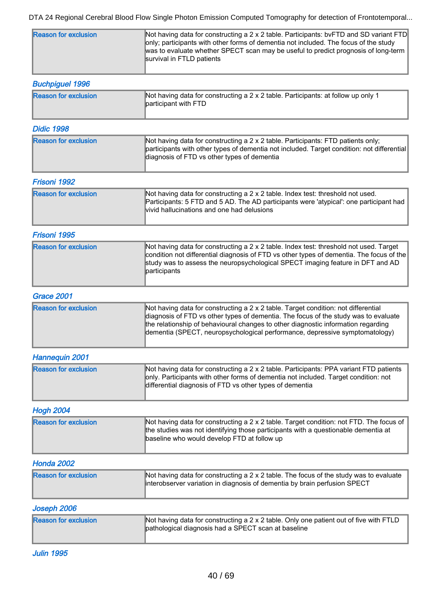| <b>Reason for exclusion</b> | Not having data for constructing a 2 x 2 table. Participants: by FTD and SD variant FTD<br>only; participants with other forms of dementia not included. The focus of the study<br>was to evaluate whether SPECT scan may be useful to predict prognosis of long-term<br>survival in FTLD patients |
|-----------------------------|----------------------------------------------------------------------------------------------------------------------------------------------------------------------------------------------------------------------------------------------------------------------------------------------------|
|                             |                                                                                                                                                                                                                                                                                                    |

# Buchpiguel 1996

| <b>Reason for exclusion</b> | Not having data for constructing a $2 \times 2$ table. Participants: at follow up only 1<br>participant with FTD |
|-----------------------------|------------------------------------------------------------------------------------------------------------------|
|                             |                                                                                                                  |

## Didic 1998

| <b>Reason for exclusion</b> | Not having data for constructing a 2 x 2 table. Participants: FTD patients only;<br>participants with other types of dementia not included. Target condition: not differential<br>diagnosis of FTD vs other types of dementia |
|-----------------------------|-------------------------------------------------------------------------------------------------------------------------------------------------------------------------------------------------------------------------------|
|                             |                                                                                                                                                                                                                               |

## Frisoni 1992

| <b>Reason for exclusion</b> | Not having data for constructing a 2 x 2 table. Index test: threshold not used.<br>Participants: 5 FTD and 5 AD. The AD participants were 'atypical': one participant had<br>vivid hallucinations and one had delusions |
|-----------------------------|-------------------------------------------------------------------------------------------------------------------------------------------------------------------------------------------------------------------------|
|                             |                                                                                                                                                                                                                         |

## Frisoni 1995

| <b>Reason for exclusion</b> | Not having data for constructing a $2 \times 2$ table. Index test: threshold not used. Target<br>condition not differential diagnosis of FTD vs other types of dementia. The focus of the<br>study was to assess the neuropsychological SPECT imaging feature in DFT and AD<br><b>participants</b> |
|-----------------------------|----------------------------------------------------------------------------------------------------------------------------------------------------------------------------------------------------------------------------------------------------------------------------------------------------|
|                             |                                                                                                                                                                                                                                                                                                    |

## Grace 2001

| <b>Reason for exclusion</b> | Not having data for constructing a 2 x 2 table. Target condition: not differential<br>diagnosis of FTD vs other types of dementia. The focus of the study was to evaluate<br>the relationship of behavioural changes to other diagnostic information regarding<br>dementia (SPECT, neuropsychological performance, depressive symptomatology) |
|-----------------------------|-----------------------------------------------------------------------------------------------------------------------------------------------------------------------------------------------------------------------------------------------------------------------------------------------------------------------------------------------|
|                             |                                                                                                                                                                                                                                                                                                                                               |

## Hannequin 2001

| <b>Reason for exclusion</b> | Not having data for constructing a 2 x 2 table. Participants: PPA variant FTD patients<br>only. Participants with other forms of dementia not included. Target condition: not<br>differential diagnosis of FTD vs other types of dementia |
|-----------------------------|-------------------------------------------------------------------------------------------------------------------------------------------------------------------------------------------------------------------------------------------|
|                             |                                                                                                                                                                                                                                           |

# Hogh 2004

| baseline who would develop FTD at follow up | <b>Reason for exclusion</b> | Not having data for constructing a $2 \times 2$ table. Target condition: not FTD. The focus of<br>the studies was not identifying those participants with a questionable dementia at |
|---------------------------------------------|-----------------------------|--------------------------------------------------------------------------------------------------------------------------------------------------------------------------------------|
|---------------------------------------------|-----------------------------|--------------------------------------------------------------------------------------------------------------------------------------------------------------------------------------|

## Honda 2002

| <b>Reason for exclusion</b> | Not having data for constructing a $2 \times 2$ table. The focus of the study was to evaluate<br>interobserver variation in diagnosis of dementia by brain perfusion SPECT |
|-----------------------------|----------------------------------------------------------------------------------------------------------------------------------------------------------------------------|
|                             |                                                                                                                                                                            |

## Joseph 2006

| <b>Reason for exclusion</b> | Not having data for constructing a $2 \times 2$ table. Only one patient out of five with FTLD<br>pathological diagnosis had a SPECT scan at baseline |
|-----------------------------|------------------------------------------------------------------------------------------------------------------------------------------------------|
|-----------------------------|------------------------------------------------------------------------------------------------------------------------------------------------------|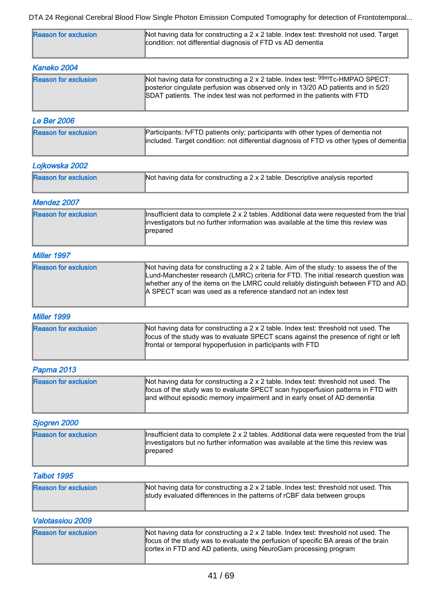| <b>Reason for exclusion</b> | Not having data for constructing a 2 x 2 table. Index test: threshold not used. Target<br>condition: not differential diagnosis of FTD vs AD dementia |
|-----------------------------|-------------------------------------------------------------------------------------------------------------------------------------------------------|
|-----------------------------|-------------------------------------------------------------------------------------------------------------------------------------------------------|

| Kaneko 2004                 |                                                                                                                                                                                                                                                   |
|-----------------------------|---------------------------------------------------------------------------------------------------------------------------------------------------------------------------------------------------------------------------------------------------|
| <b>Reason for exclusion</b> | Not having data for constructing a 2 x 2 table. Index test: $99mTc$ -HMPAO SPECT:<br>posterior cingulate perfusion was observed only in 13/20 AD patients and in 5/20<br>SDAT patients. The index test was not performed in the patients with FTD |

## Le Ber 2006

| <b>Reason for exclusion</b> | Participants: fvFTD patients only; participants with other types of dementia not<br> included. Target condition: not differential diagnosis of FTD vs other types of dementia |
|-----------------------------|-------------------------------------------------------------------------------------------------------------------------------------------------------------------------------|
|                             |                                                                                                                                                                               |

# Lojkowska 2002

| <b>Reason for exclusion</b> | Not having data for constructing a 2 x 2 table. Descriptive analysis reported |  |
|-----------------------------|-------------------------------------------------------------------------------|--|
|-----------------------------|-------------------------------------------------------------------------------|--|

## Mendez 2007

| <b>Reason for exclusion</b> | Insufficient data to complete $2 \times 2$ tables. Additional data were requested from the trial<br>investigators but no further information was available at the time this review was<br><b>I</b> brepared |
|-----------------------------|-------------------------------------------------------------------------------------------------------------------------------------------------------------------------------------------------------------|
|                             |                                                                                                                                                                                                             |

## Miller 1997

| <b>Reason for exclusion</b> | Not having data for constructing a $2 \times 2$ table. Aim of the study: to assess the of the<br>Lund-Manchester research (LMRC) criteria for FTD. The initial research question was<br>whether any of the items on the LMRC could reliably distinguish between FTD and AD.<br>A SPECT scan was used as a reference standard not an index test |
|-----------------------------|------------------------------------------------------------------------------------------------------------------------------------------------------------------------------------------------------------------------------------------------------------------------------------------------------------------------------------------------|
|                             |                                                                                                                                                                                                                                                                                                                                                |

## Miller 1999

| <b>Reason for exclusion</b> | Not having data for constructing a $2 \times 2$ table. Index test: threshold not used. The<br>focus of the study was to evaluate SPECT scans against the presence of right or left<br>frontal or temporal hypoperfusion in participants with FTD |
|-----------------------------|--------------------------------------------------------------------------------------------------------------------------------------------------------------------------------------------------------------------------------------------------|
|                             |                                                                                                                                                                                                                                                  |

# Papma 2013

| <b>Reason for exclusion</b> | Not having data for constructing a $2 \times 2$ table. Index test: threshold not used. The<br>focus of the study was to evaluate SPECT scan hypoperfusion patterns in FTD with<br>and without episodic memory impairment and in early onset of AD dementia |
|-----------------------------|------------------------------------------------------------------------------------------------------------------------------------------------------------------------------------------------------------------------------------------------------------|
|                             |                                                                                                                                                                                                                                                            |

# Sjogren 2000

| <b>Reason for exclusion</b> | Insufficient data to complete 2 x 2 tables. Additional data were requested from the trial<br>investigators but no further information was available at the time this review was |
|-----------------------------|---------------------------------------------------------------------------------------------------------------------------------------------------------------------------------|
|                             | <b>I</b> brepared                                                                                                                                                               |

## Talbot 1995

| <b>Reason for exclusion</b> | Not having data for constructing a 2 x 2 table. Index test: threshold not used. This<br>study evaluated differences in the patterns of rCBF data between groups |
|-----------------------------|-----------------------------------------------------------------------------------------------------------------------------------------------------------------|
|                             |                                                                                                                                                                 |

| Valotassiou 2009            |                                                                                                                                                                                                                                                      |
|-----------------------------|------------------------------------------------------------------------------------------------------------------------------------------------------------------------------------------------------------------------------------------------------|
| <b>Reason for exclusion</b> | Not having data for constructing a $2 \times 2$ table. Index test: threshold not used. The<br>focus of the study was to evaluate the perfusion of specific BA areas of the brain<br>cortex in FTD and AD patients, using NeuroGam processing program |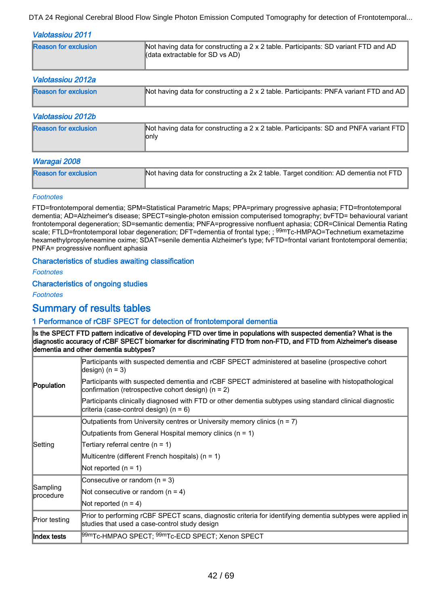| Valotassiou 2011            |                                                                                                                        |
|-----------------------------|------------------------------------------------------------------------------------------------------------------------|
| <b>Reason for exclusion</b> | Not having data for constructing a 2 x 2 table. Participants: SD variant FTD and AD<br>(data extractable for SD vs AD) |
| Valotassiou 2012a           |                                                                                                                        |
| <b>Reason for exclusion</b> | Not having data for constructing a 2 x 2 table. Participants: PNFA variant FTD and AD                                  |
| Valotassiou 2012b           |                                                                                                                        |
| <b>Reason for exclusion</b> | Not having data for constructing a 2 x 2 table. Participants: SD and PNFA variant FTD<br>∥only                         |
| Waragai 2008                |                                                                                                                        |

| <b>Reason for exclusion</b> | Not having data for constructing a 2x 2 table. Target condition: AD dementia not FTD |
|-----------------------------|--------------------------------------------------------------------------------------|
|                             |                                                                                      |

## **Footnotes**

FTD=frontotemporal dementia; SPM=Statistical Parametric Maps; PPA=primary progressive aphasia; FTD=frontotemporal dementia; AD=Alzheimer's disease; SPECT=single-photon emission computerised tomography; bvFTD= behavioural variant frontotemporal degeneration; SD=semantic dementia; PNFA=progressive nonfluent aphasia; CDR=Clinical Dementia Rating scale; FTLD=frontotemporal lobar degeneration; DFT=dementia of frontal type; ; <sup>99m</sup>Tc-HMPAO=Technetium exametazime hexamethylpropyleneamine oxime; SDAT=senile dementia Alzheimer's type; fvFTD=frontal variant frontotemporal dementia; PNFA= progressive nonfluent aphasia

## Characteristics of studies awaiting classification

**Footnotes** 

## Characteristics of ongoing studies

Footnotes

# Summary of results tables

## 1 Performance of rCBF SPECT for detection of frontotemporal dementia

Is the SPECT FTD pattern indicative of developing FTD over time in populations with suspected dementia? What is the diagnostic accuracy of rCBF SPECT biomarker for discriminating FTD from non-FTD, and FTD from Alzheimer's disease dementia and other dementia subtypes?

|                              | Participants with suspected dementia and rCBF SPECT administered at baseline (prospective cohort<br>design) $(n = 3)$                                        |
|------------------------------|--------------------------------------------------------------------------------------------------------------------------------------------------------------|
| Population                   | Participants with suspected dementia and rCBF SPECT administered at baseline with histopathological<br>confirmation (retrospective cohort design) $(n = 2)$  |
|                              | Participants clinically diagnosed with FTD or other dementia subtypes using standard clinical diagnostic<br>criteria (case-control design) ( $n = 6$ )       |
|                              | Outpatients from University centres or University memory clinics ( $n = 7$ )                                                                                 |
|                              | Outpatients from General Hospital memory clinics $(n = 1)$                                                                                                   |
| <b>Setting</b>               | Tertiary referral centre (n = 1)                                                                                                                             |
|                              | Multicentre (different French hospitals) ( $n = 1$ )                                                                                                         |
|                              | Not reported $(n = 1)$                                                                                                                                       |
|                              | Consecutive or random $(n = 3)$                                                                                                                              |
| Sampling<br><b>procedure</b> | Not consecutive or random $(n = 4)$                                                                                                                          |
|                              | Not reported $(n = 4)$                                                                                                                                       |
| Prior testing                | Prior to performing rCBF SPECT scans, diagnostic criteria for identifying dementia subtypes were applied in<br>studies that used a case-control study design |
| Index tests                  | 99mTc-HMPAO SPECT; 99mTc-ECD SPECT; Xenon SPECT                                                                                                              |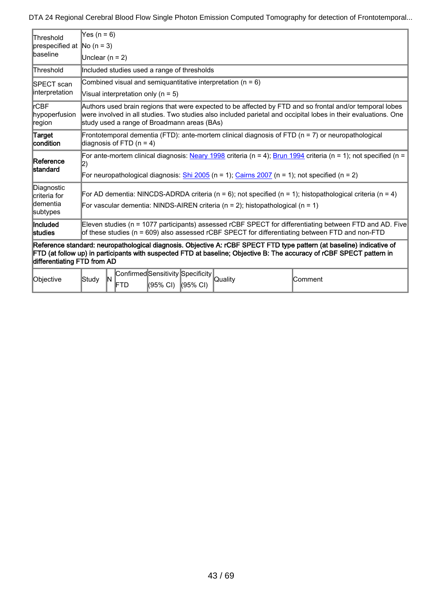|                                                     | Yes (n = $6$ )                                                                                                                                                                                                                                                            |
|-----------------------------------------------------|---------------------------------------------------------------------------------------------------------------------------------------------------------------------------------------------------------------------------------------------------------------------------|
| Threshold<br>prespecified at $No(n = 3)$            |                                                                                                                                                                                                                                                                           |
| <b>baseline</b>                                     | Unclear (n = 2)                                                                                                                                                                                                                                                           |
| Threshold                                           | Included studies used a range of thresholds                                                                                                                                                                                                                               |
| SPECT scan                                          | Combined visual and semiquantitative interpretation ( $n = 6$ )                                                                                                                                                                                                           |
| interpretation                                      | Visual interpretation only $(n = 5)$                                                                                                                                                                                                                                      |
| ICBF<br>hypoperfusion<br>region                     | Authors used brain regions that were expected to be affected by FTD and so frontal and/or temporal lobes<br>were involved in all studies. Two studies also included parietal and occipital lobes in their evaluations. One<br>study used a range of Broadmann areas (BAs) |
| <b>Target</b><br>condition                          | Frontotemporal dementia (FTD): ante-mortem clinical diagnosis of FTD (n = 7) or neuropathological<br>diagnosis of FTD $(n = 4)$                                                                                                                                           |
| Reference<br><b>standard</b>                        | For ante-mortem clinical diagnosis: Neary 1998 criteria (n = 4); Brun 1994 criteria (n = 1); not specified (n =<br> 2)<br>For neuropathological diagnosis: Shi 2005 ( $n = 1$ ); Cairns 2007 ( $n = 1$ ); not specified ( $n = 2$ )                                       |
| Diagnostic<br>criteria for<br>ldementia<br>subtypes | For AD dementia: NINCDS-ADRDA criteria ( $n = 6$ ); not specified ( $n = 1$ ); histopathological criteria ( $n = 4$ )<br>For vascular dementia: NINDS-AIREN criteria (n = 2); histopathological (n = 1)                                                                   |
| Included<br><b>studies</b>                          | Eleven studies (n = 1077 participants) assessed rCBF SPECT for differentiating between FTD and AD. Five<br>of these studies (n = 609) also assessed rCBF SPECT for differentiating between FTD and non-FTD                                                                |

| differentiating FTD from AD |       |    |                                   |                                         |           |          |  |
|-----------------------------|-------|----|-----------------------------------|-----------------------------------------|-----------|----------|--|
| Objective                   | Study | ΙN | Confirmed Sensitivity Specificity | $(95\% \text{ Cl})$ $(95\% \text{ Cl})$ | ا Quality | lComment |  |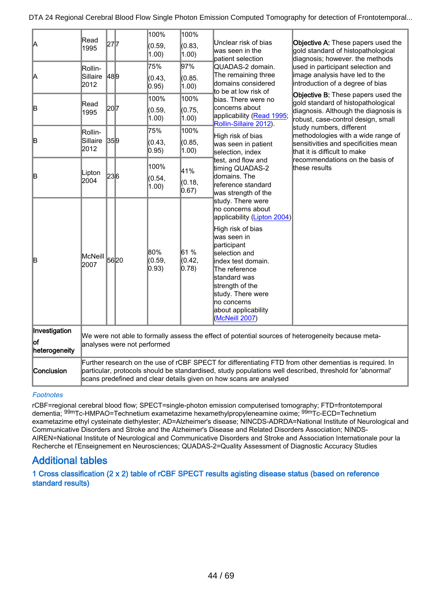<span id="page-43-0"></span>

| lA                                    | Read                           | 27   |                             | 100%                            | 100%                             | Unclear risk of bias                                                                                                                                                                                                                                                                               | <b>Objective A:</b> These papers used the                                                                                                                                                                          |
|---------------------------------------|--------------------------------|------|-----------------------------|---------------------------------|----------------------------------|----------------------------------------------------------------------------------------------------------------------------------------------------------------------------------------------------------------------------------------------------------------------------------------------------|--------------------------------------------------------------------------------------------------------------------------------------------------------------------------------------------------------------------|
|                                       | 1995                           |      |                             | (0.59,<br>1.00                  | (0.83,<br>1.00                   | lwas seen in the<br>patient selection                                                                                                                                                                                                                                                              | gold standard of histopathological<br>diagnosis; however. the methods                                                                                                                                              |
|                                       | Rollin-                        |      |                             | 75%                             | 97%                              | QUADAS-2 domain.                                                                                                                                                                                                                                                                                   | used in participant selection and                                                                                                                                                                                  |
| ΙA                                    | Sillaire<br>2012               | 489  |                             | (0.43,<br>$ 0.95\rangle$        | (0.85.<br>1.00                   | The remaining three<br>domains considered<br>to be at low risk of                                                                                                                                                                                                                                  | image analysis have led to the<br>introduction of a degree of bias                                                                                                                                                 |
|                                       | Read                           |      |                             | 100%                            | 100%                             | bias. There were no                                                                                                                                                                                                                                                                                | Objective B: These papers used the<br>gold standard of histopathological                                                                                                                                           |
| B                                     | 1995                           | 20 7 |                             | (0.59,<br>1.00                  | (0.75,<br>1.00                   | concerns about<br>applicability (Read 1995,<br>Rollin-Sillaire 2012).                                                                                                                                                                                                                              | diagnosis. Although the diagnosis is<br>robust, case-control design, small                                                                                                                                         |
|                                       | Rollin-                        |      |                             | 75%                             | 100%                             | High risk of bias                                                                                                                                                                                                                                                                                  | study numbers, different<br>methodologies with a wide range of                                                                                                                                                     |
| B                                     | Sillaire<br>2012               | 359  |                             | (0.43,<br>$ 0.95\rangle$        | (0.85,<br>1.00                   | was seen in patient<br>selection, index                                                                                                                                                                                                                                                            | sensitivities and specificities mean<br>that it is difficult to make                                                                                                                                               |
| <b>B</b>                              | Lipton<br>2004                 | 236  |                             | 100%<br>(0.54,<br>1.00          | 41%<br>(0.18,<br>$ 0.67\rangle$  | test, and flow and<br>timing QUADAS-2<br>domains. The<br>lreference standard<br>was strength of the                                                                                                                                                                                                | recommendations on the basis of<br>these results                                                                                                                                                                   |
| IΒ                                    | $M$ cNeill $ _{56}$ 20<br>2007 |      |                             | 80%<br>(0.59,<br>$ 0.93\rangle$ | 61 %<br>(0.42,<br>$ 0.78\rangle$ | study. There were<br>no concerns about<br>applicability (Lipton 2004)<br>High risk of bias<br>lwas seen in<br>participant<br>selection and<br>lindex test domain.<br>The reference<br>standard was<br>strength of the<br>study. There were<br>no concerns<br>about applicability<br>(McNeill 2007) |                                                                                                                                                                                                                    |
| Investigation<br>of.<br>heterogeneity |                                |      | analyses were not performed |                                 |                                  |                                                                                                                                                                                                                                                                                                    | We were not able to formally assess the effect of potential sources of heterogeneity because meta-                                                                                                                 |
| Conclusion                            |                                |      |                             |                                 |                                  | scans predefined and clear details given on how scans are analysed                                                                                                                                                                                                                                 | Further research on the use of rCBF SPECT for differentiating FTD from other dementias is required. In<br>particular, protocols should be standardised, study populations well described, threshold for 'abnormal' |

## Footnotes

rCBF=regional cerebral blood flow; SPECT=single-photon emission computerised tomography; FTD=frontotemporal dementia; <sup>99m</sup>Tc-HMPAO=Technetium exametazime hexamethylpropyleneamine oxime; <sup>99m</sup>Tc-ECD=Technetium exametazime ethyl cysteinate diethylester; AD=Alzheimer's disease; NINCDS-ADRDA=National Institute of Neurological and Communicative Disorders and Stroke and the Alzheimer's Disease and Related Disorders Association; NINDS-AIREN=National Institute of Neurological and Communicative Disorders and Stroke and Association Internationale pour la Recherche et l'Enseignement en Neurosciences; QUADAS-2=Quality Assessment of Diagnostic Accuracy Studies

# Additional tables

1 Cross classification (2 x 2) table of rCBF SPECT results agisting disease status (based on reference standard results)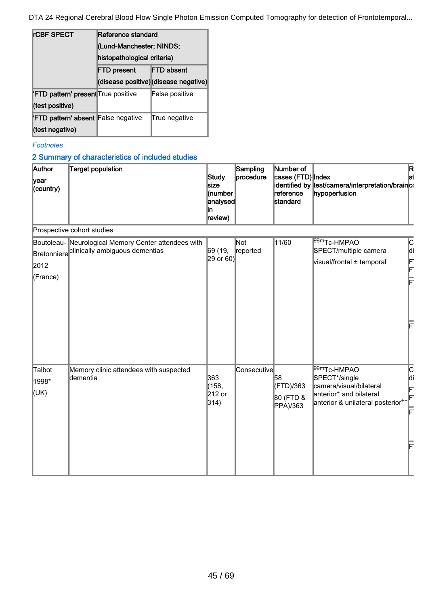<span id="page-44-0"></span>

| <b>rCBF SPECT</b>                         | Reference standard          |                                       |
|-------------------------------------------|-----------------------------|---------------------------------------|
|                                           | (Lund-Manchester; NINDS;    |                                       |
|                                           | histopathological criteria) |                                       |
|                                           | <b>FTD</b> present          | <b>FTD absent</b>                     |
|                                           |                             | (disease positive) (disease negative) |
| <b>FTD pattern' present</b> True positive |                             | False positive                        |
| (test positive)                           |                             |                                       |
| <b>FTD pattern' absent</b> False negative |                             | True negative                         |
| (test negative)                           |                             |                                       |

## **Footnotes**

# 2 Summary of characteristics of included studies

| Author<br><b>year</b><br>(country) | Target population                                                                                  | Study<br>size<br>(number<br>analysed<br>lin.<br>review) | Sampling<br>procedure | Number of<br>cases (FTD) Index<br>reference<br>standard | identified by test/camera/interpretation/braincx<br>hypoperfusion                                                                              | R                               |
|------------------------------------|----------------------------------------------------------------------------------------------------|---------------------------------------------------------|-----------------------|---------------------------------------------------------|------------------------------------------------------------------------------------------------------------------------------------------------|---------------------------------|
|                                    | Prospective cohort studies                                                                         |                                                         |                       |                                                         |                                                                                                                                                |                                 |
| 2012<br>KFrance)                   | Boutoleau- Neurological Memory Center attendees with<br>Bretonniere clinically ambiguous dementias | 69 (19,<br>29 or 60)                                    | Not<br>reported       | 11/60                                                   | 99mTc-HMPAO<br>SPECT/multiple camera<br>visual/frontal ± temporal                                                                              | C<br> di<br>F<br>Ŀ.<br>F<br>lF. |
| Talbot<br>1998*<br>(UK)            | Memory clinic attendees with suspected<br>dementia                                                 | 363<br>(158,<br>212 or<br>$ 314\rangle$                 | Consecutive           | 58<br>(FTD)/363<br>80 (FTD &<br>PPA)/363                | 99mTc-HMPAO<br>SPECT*/single<br>camera/visual/bilateral<br>anterior <sup>+</sup> and bilateral<br>anterior & unilateral posterior <sup>+</sup> | di<br>lF.                       |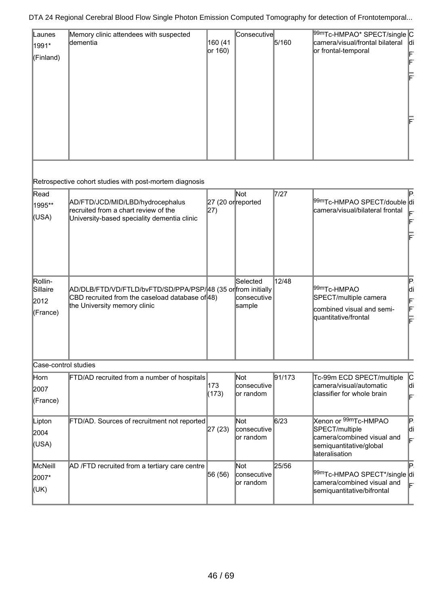| Launes        | Memory clinic attendees with suspected |         | Consecutive |       | 99mTc-HMPAO* SPECT/single C     |     |
|---------------|----------------------------------------|---------|-------------|-------|---------------------------------|-----|
| 1991*         | dementia                               | 160 (41 |             | 5/160 | camera/visual/frontal bilateral | ldi |
|               |                                        | or 160  |             |       | or frontal-temporal             |     |
| $ $ (Finland) |                                        |         |             |       |                                 |     |
|               |                                        |         |             |       |                                 |     |
|               |                                        |         |             |       |                                 |     |
|               |                                        |         |             |       |                                 |     |
|               |                                        |         |             |       |                                 |     |
|               |                                        |         |             |       |                                 |     |
|               |                                        |         |             |       |                                 |     |
|               |                                        |         |             |       |                                 |     |
|               |                                        |         |             |       |                                 |     |
|               |                                        |         |             |       |                                 |     |
|               |                                        |         |             |       |                                 |     |
|               |                                        |         |             |       |                                 |     |
|               |                                        |         |             |       |                                 |     |

Retrospective cohort studies with post-mortem diagnosis

| Read<br>1995**<br>(USA)                 | AD/FTD/JCD/MID/LBD/hydrocephalus<br>recruited from a chart review of the<br>University-based speciality dementia clinic                         | 27) | INot∶<br>27 (20 or reported       | 7/27  | <sup>99m</sup> Tc-HMPAO SPECT/double di<br>camera/visual/bilateral frontal                |
|-----------------------------------------|-------------------------------------------------------------------------------------------------------------------------------------------------|-----|-----------------------------------|-------|-------------------------------------------------------------------------------------------|
| Rollin-<br>Sillaire<br>2012<br>(France) | AD/DLB/FTD/VD/FTLD/bvFTD/SD/PPA/PSP/48 (35 or from initially<br>CBD recruited from the caseload database of 48)<br>the University memory clinic |     | Selected<br>consecutive<br>sample | 12/48 | 99mTc-HMPAO<br>SPECT/multiple camera<br>combined visual and semi-<br>quantitative/frontal |

## Case-control studies

| Horn<br>2007<br>(France) | FTD/AD recruited from a number of hospitals        | 173<br>(173) | $\blacksquare$<br>consecutive<br>lor random | 91/173 | Tc-99m ECD SPECT/multiple<br>camera/visual/automatic<br>classifier for whole brain                                                     | $\mathbb C$ |
|--------------------------|----------------------------------------------------|--------------|---------------------------------------------|--------|----------------------------------------------------------------------------------------------------------------------------------------|-------------|
| Lipton<br>2004<br>(USA)  | <b>FTD/AD.</b> Sources of recruitment not reported | 27(23)       | lNot ⊺<br><b>consecutive</b><br>lor random  | 6/23   | Xenon or <sup>99m</sup> Tc-HMPAO<br>SPECT/multiple<br>camera/combined visual and<br>semiquantitative/global<br><b>l</b> lateralisation |             |
| McNeill<br>2007*<br>(UK) | AD /FTD recruited from a tertiary care centre      | 56(56)       | lNot ⊺<br>consecutive<br>lor random         | 25/56  | 99mTc-HMPAO SPECT*/single di<br>camera/combined visual and<br>semiquantitative/bifrontal                                               |             |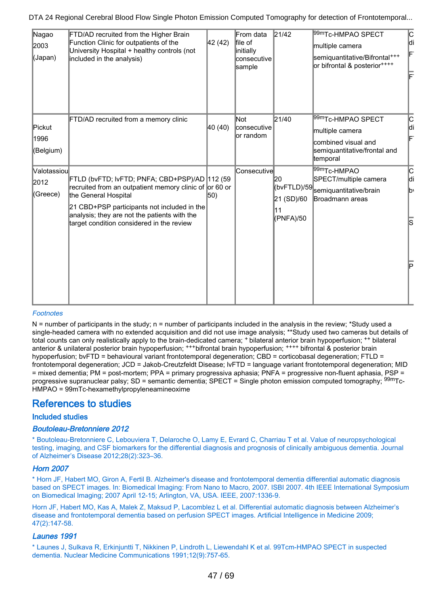<span id="page-46-0"></span>

| Nagao<br>2003<br>(Japan)        | FTD/AD recruited from the Higher Brain<br>Function Clinic for outpatients of the<br>University Hospital + healthy controls (not<br>included in the analysis)                                                                                                                | 42 (42) | From data<br>file of<br>initially<br>consecutive<br>sample | 21/42                                | 99mTc-HMPAO SPECT<br>multiple camera<br>semiquantitative/Bifrontal <sup>+++</sup><br>or bifrontal & posterior <sup>+++++</sup> | ldi             |
|---------------------------------|-----------------------------------------------------------------------------------------------------------------------------------------------------------------------------------------------------------------------------------------------------------------------------|---------|------------------------------------------------------------|--------------------------------------|--------------------------------------------------------------------------------------------------------------------------------|-----------------|
| Pickut<br>1996<br>(Belgium)     | FTD/AD recruited from a memory clinic                                                                                                                                                                                                                                       | 40 (40) | Not<br>consecutive<br>lor random                           | 21/40                                | <sup>99m</sup> Tc-HMPAO SPECT<br>multiple camera<br>combined visual and<br>semiquantitative/frontal and<br>∥temporal           | ldi             |
| Valotassiou<br>2012<br>(Greece) | FTLD (bvFTD; lvFTD; PNFA; CBD+PSP)/AD 112 (59<br>recruited from an outpatient memory clinic of or 60 or<br>the General Hospital<br>21 CBD+PSP participants not included in the<br>analysis; they are not the patients with the<br>target condition considered in the review | 50)     | Consecutive                                                | 20<br>21 (SD)/60<br> 11<br>(PNFA)/50 | 99mTc-HMPAO<br>SPECT/multiple camera<br>(bvFTLD)/59 semiquantitative/brain<br>Broadmann areas                                  | di<br>ľ۱۱<br>ls |
|                                 |                                                                                                                                                                                                                                                                             |         |                                                            |                                      |                                                                                                                                |                 |

#### Footnotes

 $N =$  number of participants in the study; n = number of participants included in the analysis in the review; \*Study used a single-headed camera with no extended acquisition and did not use image analysis; \*\*Study used two cameras but details of total counts can only realistically apply to the brain-dedicated camera; <sup>+</sup> bilateral anterior brain hypoperfusion; <sup>++</sup> bilateral anterior & unilateral posterior brain hypoperfusion; <sup>+++</sup>bifrontal brain hypoperfusion; <sup>++++</sup> bifrontal & posterior brain hypoperfusion; bvFTD = behavioural variant frontotemporal degeneration; CBD = corticobasal degeneration; FTLD = frontotemporal degeneration; JCD = Jakob-Creutzfeldt Disease; lvFTD = language variant frontotemporal degeneration; MID = mixed dementia; PM = post-mortem; PPA = primary progressiva aphasia; PNFA = progressive non-fluent aphasia, PSP = progressive supranuclear palsy; SD = semantic dementia; SPECT = Single photon emission computed tomography; <sup>99m</sup>Tc-HMPAO = 99mTc-hexamethylpropyleneamineoxime

# References to studies

## Included studies

## Boutoleau-Bretonniere 2012

\* Boutoleau-Bretonniere C, Lebouviera T, Delaroche O, Lamy E, Evrard C, Charriau T et al. Value of neuropsychological testing, imaging, and CSF biomarkers for the differential diagnosis and prognosis of clinically ambiguous dementia. Journal of Alzheimer's Disease 2012;28(2):323–36.

## Horn 2007

\* Horn JF, Habert MO, Giron A, Fertil B. Alzheimer's disease and frontotemporal dementia differential automatic diagnosis based on SPECT images. In: Biomedical Imaging: From Nano to Macro, 2007. ISBI 2007. 4th IEEE International Symposium on Biomedical Imaging; 2007 April 12-15; Arlington, VA, USA. IEEE, 2007:1336-9.

Horn JF, Habert MO, Kas A, Malek Z, Maksud P, Lacomblez L et al. Differential automatic diagnosis between Alzheimer's disease and frontotemporal dementia based on perfusion SPECT images. Artificial Intelligence in Medicine 2009; 47(2):147-58.

## Launes 1991

\* Launes J, Sulkava R, Erkinjuntti T, Nikkinen P, Lindroth L, Liewendahl K et al. 99Tcm-HMPAO SPECT in suspected dementia. Nuclear Medicine Communications 1991;12(9):757-65.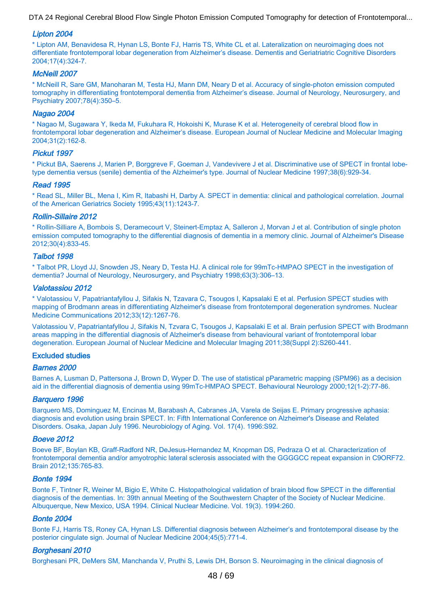## <span id="page-47-0"></span>Lipton 2004

\* Lipton AM, Benavidesa R, Hynan LS, Bonte FJ, Harris TS, White CL et al. Lateralization on neuroimaging does not differentiate frontotemporal lobar degeneration from Alzheimer's disease. Dementis and Geriatriatric Cognitive Disorders 2004;17(4):324-7.

#### McNeill 2007

\* McNeill R, Sare GM, Manoharan M, Testa HJ, Mann DM, Neary D et al. Accuracy of single-photon emission computed tomography in differentiating frontotemporal dementia from Alzheimer's disease. Journal of Neurology, Neurosurgery, and Psychiatry 2007;78(4):350–5.

#### Nagao 2004

\* Nagao M, Sugawara Y, Ikeda M, Fukuhara R, Hokoishi K, Murase K et al. Heterogeneity of cerebral blood flow in frontotemporal lobar degeneration and Alzheimer's disease. European Journal of Nuclear Medicine and Molecular Imaging 2004;31(2):162-8.

#### Pickut 1997

\* Pickut BA, Saerens J, Marien P, Borggreve F, Goeman J, Vandevivere J et al. Discriminative use of SPECT in frontal lobetype dementia versus (senile) dementia of the Alzheimer's type. Journal of Nuclear Medicine 1997;38(6):929-34.

## Read 1995

\* Read SL, Miller BL, Mena I, Kim R, Itabashi H, Darby A. SPECT in dementia: clinical and pathological correlation. Journal of the American Geriatrics Society 1995;43(11):1243-7.

## Rollin-Sillaire 2012

\* Rollin-Silliare A, Bombois S, Deramecourt V, Steinert-Emptaz A, Salleron J, Morvan J et al. Contribution of single photon emission computed tomography to the differential diagnosis of dementia in a memory clinic. Journal of Alzheimer's Disease 2012;30(4):833-45.

#### Talbot 1998

\* Talbot PR, Lloyd JJ, Snowden JS, Neary D, Testa HJ. A clinical role for 99mTc-HMPAO SPECT in the investigation of dementia? Journal of Neurology, Neurosurgery, and Psychiatry 1998;63(3):306–13.

#### Valotassiou 2012

\* Valotassiou V, Papatriantafyllou J, Sifakis N, Tzavara C, Tsougos I, Kapsalaki E et al. Perfusion SPECT studies with mapping of Brodmann areas in differentiating Alzheimer's disease from frontotemporal degeneration syndromes. Nuclear Medicine Communications 2012;33(12):1267-76.

Valotassiou V, Papatriantafyllou J, Sifakis N, Tzvara C, Tsougos J, Kapsalaki E et al. Brain perfusion SPECT with Brodmann areas mapping in the differential diagnosis of Alzheimer's disease from behavioural variant of frontotemporal lobar degeneration. European Journal of Nuclear Medicine and Molecular Imaging 2011;38(Suppl 2):S260-441.

#### Excluded studies

#### Barnes 2000

Barnes A, Lusman D, Pattersona J, Brown D, Wyper D. The use of statistical pParametric mapping (SPM96) as a decision aid in the differential diagnosis of dementia using 99mTc-HMPAO SPECT. Behavioural Neurology 2000;12(1-2):77-86.

#### Barquero 1996

Barquero MS, Dominguez M, Encinas M, Barabash A, Cabranes JA, Varela de Seijas E. Primary progressive aphasia: diagnosis and evolution using brain SPECT. In: Fifth International Conference on Alzheimer's Disease and Related Disorders. Osaka, Japan July 1996. Neurobiology of Aging. Vol. 17(4). 1996:S92.

#### Boeve 2012

Boeve BF, Boylan KB, Graff-Radford NR, DeJesus-Hernandez M, Knopman DS, Pedraza O et al. Characterization of frontotemporal dementia and/or amyotrophic lateral sclerosis associated with the GGGGCC repeat expansion in C9ORF72. Brain 2012;135:765-83.

#### Bonte 1994

Bonte F, Tintner R, Weiner M, Bigio E, White C. Histopathological validation of brain blood flow SPECT in the differential diagnosis of the dementias. In: 39th annual Meeting of the Southwestern Chapter of the Society of Nuclear Medicine. Albuquerque, New Mexico, USA 1994. Clinical Nuclear Medicine. Vol. 19(3). 1994:260.

#### Bonte 2004

Bonte FJ, Harris TS, Roney CA, Hynan LS. Differential diagnosis between Alzheimer's and frontotemporal disease by the posterior cingulate sign. Journal of Nuclear Medicine 2004;45(5):771-4.

## Borghesani 2010

Borghesani PR, DeMers SM, Manchanda V, Pruthi S, Lewis DH, Borson S. Neuroimaging in the clinical diagnosis of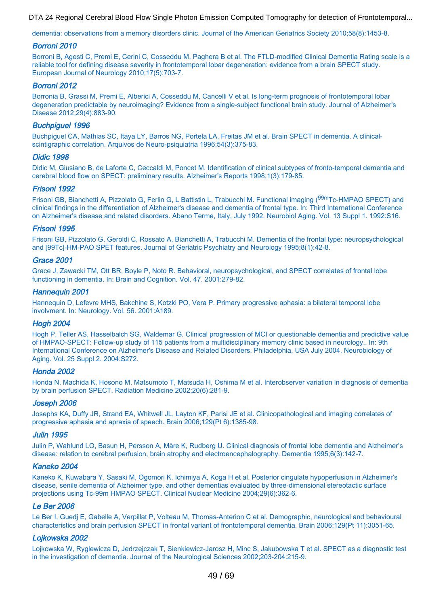dementia: observations from a memory disorders clinic. Journal of the American Geriatrics Society 2010;58(8):1453-8.

#### Borroni 2010

Borroni B, Agosti C, Premi E, Cerini C, Cosseddu M, Paghera B et al. The FTLD-modified Clinical Dementia Rating scale is a reliable tool for defining disease severity in frontotemporal lobar degeneration: evidence from a brain SPECT study. European Journal of Neurology 2010;17(5):703-7.

#### Borroni 2012

Borronia B, Grassi M, Premi E, Alberici A, Cosseddu M, Cancelli V et al. Is long-term prognosis of frontotemporal lobar degeneration predictable by neuroimaging? Evidence from a single-subject functional brain study. Journal of Alzheimer's Disease 2012;29(4):883-90.

#### Buchpiguel 1996

Buchpiguel CA, Mathias SC, Itaya LY, Barros NG, Portela LA, Freitas JM et al. Brain SPECT in dementia. A clinicalscintigraphic correlation. Arquivos de Neuro-psiquiatria 1996;54(3):375-83.

#### Didic 1998

Didic M, Giusiano B, de Laforte C, Ceccaldi M, Poncet M. Identification of clinical subtypes of fronto-temporal dementia and cerebral blood flow on SPECT: preliminary results. Alzheimer's Reports 1998;1(3):179-85.

#### Frisoni 1992

Frisoni GB, Bianchetti A, Pizzolato G, Ferlin G, L Battistin L, Trabucchi M. Functional imaging (<sup>99m</sup>Tc-HMPAO SPECT) and clinical findings in the differentiation of Alzheimer's disease and dementia of frontal type. In: Third International Conference on Alzheimer's disease and related disorders. Abano Terme, Italy, July 1992. Neurobiol Aging. Vol. 13 Suppl 1. 1992:S16.

#### Frisoni 1995

Frisoni GB, Pizzolato G, Geroldi C, Rossato A, Bianchetti A, Trabucchi M. Dementia of the frontal type: neuropsychological and [99Tc]-HM-PAO SPET features. Journal of Geriatric Psychiatry and Neurology 1995;8(1):42-8.

#### Grace 2001

Grace J, Zawacki TM, Ott BR, Boyle P, Noto R. Behavioral, neuropsychological, and SPECT correlates of frontal lobe functioning in dementia. In: Brain and Cognition. Vol. 47. 2001:279-82.

#### Hannequin 2001

Hannequin D, Lefevre MHS, Bakchine S, Kotzki PO, Vera P. Primary progressive aphasia: a bilateral temporal lobe involvment. In: Neurology. Vol. 56. 2001:A189.

#### Hogh 2004

Hogh P, Teller AS, Hasselbalch SG, Waldemar G. Clinical progression of MCI or questionable dementia and predictive value of HMPAO-SPECT: Follow-up study of 115 patients from a multidisciplinary memory clinic based in neurology.. In: 9th International Conference on Alzheimer's Disease and Related Disorders. Philadelphia, USA July 2004. Neurobiology of Aging. Vol. 25 Suppl 2. 2004:S272.

## Honda 2002

Honda N, Machida K, Hosono M, Matsumoto T, Matsuda H, Oshima M et al. Interobserver variation in diagnosis of dementia by brain perfusion SPECT. Radiation Medicine 2002;20(6):281-9.

#### Joseph 2006

Josephs KA, Duffy JR, Strand EA, Whitwell JL, Layton KF, Parisi JE et al. Clinicopathological and imaging correlates of progressive aphasia and apraxia of speech. Brain 2006;129(Pt 6):1385-98.

#### Julin 1995

Julin P, Wahlund LO, Basun H, Persson A, Måre K, Rudberg U. Clinical diagnosis of frontal lobe dementia and Alzheimer's disease: relation to cerebral perfusion, brain atrophy and electroencephalography. Dementia 1995;6(3):142-7.

#### Kaneko 2004

Kaneko K, Kuwabara Y, Sasaki M, Ogomori K, Ichimiya A, Koga H et al. Posterior cingulate hypoperfusion in Alzheimer's disease, senile dementia of Alzheimer type, and other dementias evaluated by three-dimensional stereotactic surface projections using Tc-99m HMPAO SPECT. Clinical Nuclear Medicine 2004;29(6):362-6.

## Le Ber 2006

Le Ber I, Guedj E, Gabelle A, Verpillat P, Volteau M, Thomas-Anterion C et al. Demographic, neurological and behavioural characteristics and brain perfusion SPECT in frontal variant of frontotemporal dementia. Brain 2006;129(Pt 11):3051-65.

#### Lojkowska 2002

Lojkowska W, Ryglewicza D, Jedrzejczak T, Sienkiewicz-Jarosz H, Minc S, Jakubowska T et al. SPECT as a diagnostic test in the investigation of dementia. Journal of the Neurological Sciences 2002;203-204:215-9.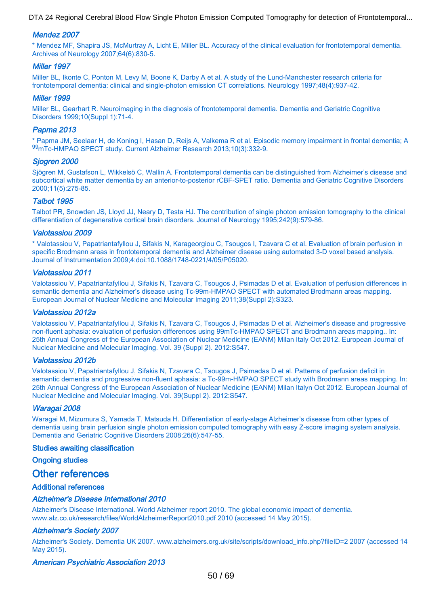## <span id="page-49-0"></span>Mendez 2007

\* Mendez MF, Shapira JS, McMurtray A, Licht E, Miller BL. Accuracy of the clinical evaluation for frontotemporal dementia. Archives of Neurology 2007;64(6):830-5.

#### Miller 1997

Miller BL, Ikonte C, Ponton M, Levy M, Boone K, Darby A et al. A study of the Lund-Manchester research criteria for frontotemporal dementia: clinical and single-photon emission CT correlations. Neurology 1997;48(4):937-42.

#### Miller 1999

Miller BL, Gearhart R. Neuroimaging in the diagnosis of frontotemporal dementia. Dementia and Geriatric Cognitive Disorders 1999;10(Suppl 1):71-4.

#### Papma 2013

\* Papma JM, Seelaar H, de Koning I, Hasan D, Reijs A, Valkema R et al. Episodic memory impairment in frontal dementia; A 99mTc-HMPAO SPECT study. Current Alzheimer Research 2013;10(3):332-9.

#### Sjogren 2000

Sjögren M, Gustafson L, Wikkelsö C, Wallin A. Frontotemporal dementia can be distinguished from Alzheimer's disease and subcortical white matter dementia by an anterior-to-posterior rCBF-SPET ratio. Dementia and Geriatric Cognitive Disorders 2000;11(5):275-85.

#### Talbot 1995

Talbot PR, Snowden JS, Lloyd JJ, Neary D, Testa HJ. The contribution of single photon emission tomography to the clinical differentiation of degenerative cortical brain disorders. Journal of Neurology 1995;242(9):579-86.

#### Valotassiou 2009

\* Valotassiou V, Papatriantafyllou J, Sifakis N, Karageorgiou C, Tsougos I, Tzavara C et al. Evaluation of brain perfusion in specific Brodmann areas in frontotemporal dementia and Alzheimer disease using automated 3-D voxel based analysis. Journal of Instrumentation 2009;4:doi:10.1088/1748-0221/4/05/P05020.

#### Valotassiou 2011

Valotassiou V, Papatriantafyllou J, Sifakis N, Tzavara C, Tsougos J, Psimadas D et al. Evaluation of perfusion differences in semantic dementia and Alzheimer's disease using Tc-99m-HMPAO SPECT with automated Brodmann areas mapping. European Journal of Nuclear Medicine and Molecular Imaging 2011;38(Suppl 2):S323.

#### Valotassiou 2012a

Valotassiou V, Papatriantafyllou J, Sifakis N, Tzavara C, Tsougos J, Psimadas D et al. Alzheimer's disease and progressive non-fluent aphasia: evaluation of perfusion differences using 99mTc-HMPAO SPECT and Brodmann areas mapping.. In: 25th Annual Congress of the European Association of Nuclear Medicine (EANM) Milan Italy Oct 2012. European Journal of Nuclear Medicine and Molecular Imaging. Vol. 39 (Suppl 2). 2012:S547.

#### Valotassiou 2012b

Valotassiou V, Papatriantafyllou J, Sifakis N, Tzavara C, Tsougos J, Psimadas D et al. Patterns of perfusion deficit in semantic dementia and progressive non-fluent aphasia: a Tc-99m-HMPAO SPECT study with Brodmann areas mapping. In: 25th Annual Congress of the European Association of Nuclear Medicine (EANM) Milan Italyn Oct 2012. European Journal of Nuclear Medicine and Molecular Imaging. Vol. 39(Suppl 2). 2012:S547.

#### Waragai 2008

Waragai M, Mizumura S, Yamada T, Matsuda H. Differentiation of early-stage Alzheimer's disease from other types of dementia using brain perfusion single photon emission computed tomography with easy Z-score imaging system analysis. Dementia and Geriatric Cognitive Disorders 2008;26(6):547-55.

#### Studies awaiting classification

## Ongoing studies

# Other references

## Additional references

#### Alzheimer's Disease International 2010

Alzheimer's Disease International. World Alzheimer report 2010. The global economic impact of dementia. www.alz.co.uk/research/files/WorldAlzheimerReport2010.pdf 2010 (accessed 14 May 2015).

#### Alzheimer's Society 2007

Alzheimer's Society. Dementia UK 2007. www.alzheimers.org.uk/site/scripts/download\_info.php?fileID=2 2007 (accessed 14 May 2015).

#### American Psychiatric Association 2013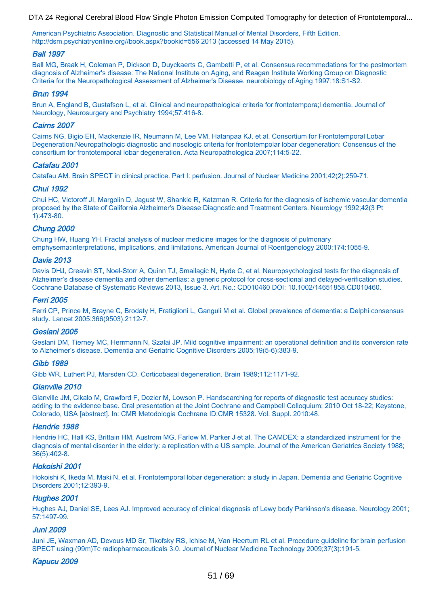<span id="page-50-0"></span>American Psychiatric Association. Diagnostic and Statistical Manual of Mental Disorders, Fifth Edition. http://dsm.psychiatryonline.org//book.aspx?bookid=556 2013 (accessed 14 May 2015).

#### Ball 1997

Ball MG, Braak H, Coleman P, Dickson D, Duyckaerts C, Gambetti P, et al. Consensus recommedations for the postmortem diagnosis of Alzheimer's disease: The National Institute on Aging, and Reagan Institute Working Group on Diagnostic Criteria for the Neuropathological Assessment of Alzheimer's Disease. neurobiology of Aging 1997;18:S1-S2.

#### Brun 1994

Brun A, England B, Gustafson L, et al. Clinical and neuropathological criteria for frontotempora;l dementia. Journal of Neurology, Neurosurgery and Psychiatry 1994;57:416-8.

#### Cairns 2007

Cairns NG, Bigio EH, Mackenzie IR, Neumann M, Lee VM, Hatanpaa KJ, et al. Consortium for Frontotemporal Lobar Degeneration.Neuropathologic diagnostic and nosologic criteria for frontotempolar lobar degeneration: Consensus of the consortium for frontotemporal lobar degeneration. Acta Neuropathologica 2007;114:5-22.

#### Catafau 2001

Catafau AM. Brain SPECT in clinical practice. Part I: perfusion. Journal of Nuclear Medicine 2001;42(2):259-71.

#### Chui 1992

Chui HC, Victoroff JI, Margolin D, Jagust W, Shankle R, Katzman R. Criteria for the diagnosis of ischemic vascular dementia proposed by the State of California Alzheimer's Disease Diagnostic and Treatment Centers. Neurology 1992;42(3 Pt 1):473-80.

#### Chung 2000

Chung HW, Huang YH. Fractal analysis of nuclear medicine images for the diagnosis of pulmonary emphysema:interpretations, implications, and limitations. American Journal of Roentgenology 2000;174:1055-9.

#### Davis 2013

Davis DHJ, Creavin ST, Noel-Storr A, Quinn TJ, Smailagic N, Hyde C, et al. Neuropsychological tests for the diagnosis of Alzheimer's disease dementia and other dementias: a generic protocol for cross-sectional and delayed-verification studies. Cochrane Database of Systematic Reviews 2013, Issue 3. Art. No.: CD010460 DOI: 10.1002/14651858.CD010460.

#### Ferri 2005

Ferri CP, Prince M, Brayne C, Brodaty H, Fratiglioni L, Ganguli M et al. Global prevalence of dementia: a Delphi consensus study. Lancet 2005;366(9503):2112-7.

#### Geslani 2005

Geslani DM, Tierney MC, Herrmann N, Szalai JP. Mild cognitive impairment: an operational definition and its conversion rate to Alzheimer's disease. Dementia and Geriatric Cognitive Disorders 2005;19(5-6):383-9.

#### Gibb 1989

Gibb WR, Luthert PJ, Marsden CD. Corticobasal degeneration. Brain 1989;112:1171-92.

#### Glanville 2010

Glanville JM, Cikalo M, Crawford F, Dozier M, Lowson P. Handsearching for reports of diagnostic test accuracy studies: adding to the evidence base. Oral presentation at the Joint Cochrane and Campbell Colloquium; 2010 Oct 18-22; Keystone, Colorado, USA [abstract]. In: CMR Metodologia Cochrane ID:CMR 15328. Vol. Suppl. 2010:48.

#### Hendrie 1988

Hendrie HC, Hall KS, Brittain HM, Austrom MG, Farlow M, Parker J et al. The CAMDEX: a standardized instrument for the diagnosis of mental disorder in the elderly: a replication with a US sample. Journal of the American Geriatrics Society 1988; 36(5):402-8.

#### Hokoishi 2001

Hokoishi K, Ikeda M, Maki N, et al. Frontotemporal lobar degeneration: a study in Japan. Dementia and Geriatric Cognitive Disorders 2001;12:393-9.

## Hughes 2001

Hughes AJ, Daniel SE, Lees AJ. Improved accuracy of clinical diagnosis of Lewy body Parkinson's disease. Neurology 2001; 57:1497-99.

#### Juni 2009

Juni JE, Waxman AD, Devous MD Sr, Tikofsky RS, Ichise M, Van Heertum RL et al. Procedure guideline for brain perfusion SPECT using (99m)Tc radiopharmaceuticals 3.0. Journal of Nuclear Medicine Technology 2009;37(3):191-5.

#### Kapucu 2009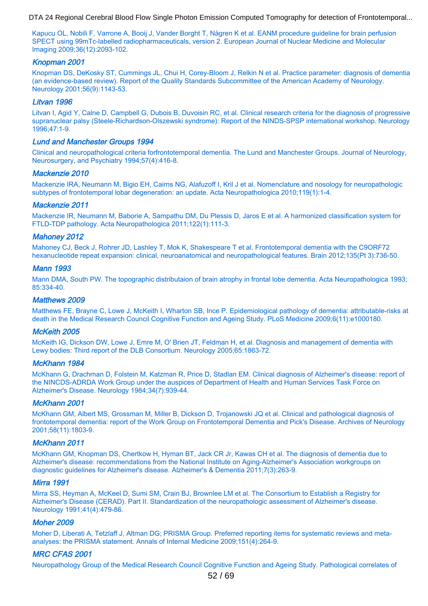<span id="page-51-0"></span>Kapucu OL, Nobili F, Varrone A, Booij J, Vander Borght T, Någren K et al. EANM procedure guideline for brain perfusion SPECT using 99mTc-labelled radiopharmaceuticals, version 2. European Journal of Nuclear Medicine and Molecular Imaging 2009;36(12):2093-102.

#### Knopman 2001

Knopman DS, DeKosky ST, Cummings JL, Chui H, Corey-Bloom J, Relkin N et al. Practice parameter: diagnosis of dementia (an evidence-based review). Report of the Quality Standards Subcommittee of the American Academy of Neurology. Neurology 2001;56(9):1143-53.

#### Litvan 1996

Litvan I, Agid Y, Calne D, Campbell G, Dubois B, Duvoisin RC, et al. Clinical research criteria for the diagnosis of progressive supranuclear palsy (Steele-Richardson-Olszewski syndrome): Report of the NINDS-SPSP international workshop. Neurology 1996;47:1-9.

#### Lund and Manchester Groups 1994

Clinical and neuropathological criteria forfrontotemporal dementia. The Lund and Manchester Groups. Journal of Neurology, Neurosurgery, and Psychiatry 1994;57(4):416-8.

#### Mackenzie 2010

Mackenzie IRA, Neumann M, Bigio EH, Cairns NG, Alafuzoff I, Kril J et al. Nomenclature and nosology for neuropathologic subtypes of frontotemporal lobar degeneration: an update. Acta Neuropathologica 2010;119(1):1-4.

#### Mackenzie 2011

Mackenzie IR, Neumann M, Baborie A, Sampathu DM, Du Plessis D, Jaros E et al. A harmonized classification system for FTLD-TDP pathology. Acta Neuropathologica 2011;122(1):111-3.

#### Mahoney 2012

Mahoney CJ, Beck J, Rohrer JD, Lashley T, Mok K, Shakespeare T et al. Frontotemporal dementia with the C9ORF72 hexanucleotide repeat expansion: clinical, neuroanatomical and neuropathological features. Brain 2012;135(Pt 3):736-50.

#### Mann 1993

Mann DMA, South PW. The topographic distributaion of brain atrophy in frontal lobe dementia. Acta Neuropathologica 1993; 85:334-40.

#### Matthews 2009

Matthews FE, Brayne C, Lowe J, McKeith I, Wharton SB, Ince P. Epidemiological pathology of dementia: attributable-risks at death in the Medical Research Council Cognitive Function and Ageing Study. PLoS Medicine 2009;6(11):e1000180.

#### McKeith 2005

McKeith IG, Dickson DW, Lowe J, Emre M, O' Brien JT, Feldman H, et al. Diagnosis and management of dementia with Lewy bodies: Third report of the DLB Consortium. Neurology 2005;65:1863-72.

#### McKhann 1984

McKhann G, Drachman D, Folstein M, Katzman R, Price D, Stadlan EM. Clinical diagnosis of Alzheimer's disease: report of the NINCDS-ADRDA Work Group under the auspices of Department of Health and Human Services Task Force on Alzheimer's Disease. Neurology 1984;34(7):939-44.

#### McKhann 2001

McKhann GM, Albert MS, Grossman M, Miller B, Dickson D, Trojanowski JQ et al. Clinical and pathological diagnosis of frontotemporal dementia: report of the Work Group on Frontotemporal Dementia and Pick's Disease. Archives of Neurology 2001;58(11):1803-9.

#### McKhann 2011

McKhann GM, Knopman DS, Chertkow H, Hyman BT, Jack CR Jr, Kawas CH et al. The diagnosis of dementia due to Alzheimer's disease: recommendations from the National Institute on Aging-Alzheimer's Association workgroups on diagnostic guidelines for Alzheimer's disease. Alzheimer's & Dementia 2011;7(3):263-9.

#### Mirra 1991

Mirra SS, Heyman A, McKeel D, Sumi SM, Crain BJ, Brownlee LM et al. The Consortium to Establish a Registry for Alzheimer's Disease (CERAD). Part II. Standardization of the neuropathologic assessment of Alzheimer's disease. Neurology 1991;41(4):479-86.

## Moher 2009

Moher D, Liberati A, Tetzlaff J, Altman DG; PRISMA Group. Preferred reporting items for systematic reviews and metaanalyses: the PRISMA statement. Annals of Internal Medicine 2009;151(4):264-9.

## MRC CFAS 2001

Neuropathology Group of the Medical Research Council Cognitive Function and Ageing Study. Pathological correlates of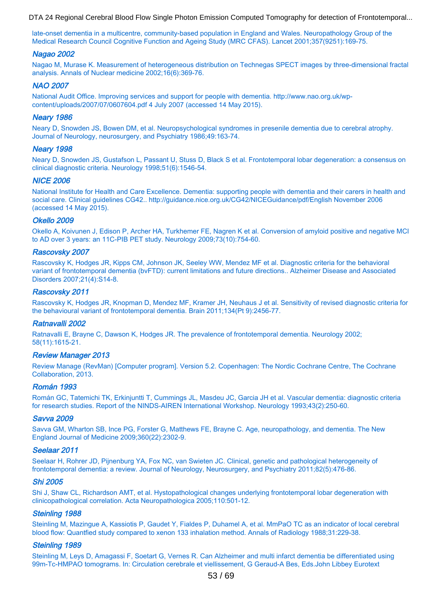<span id="page-52-0"></span>late-onset dementia in a multicentre, community-based population in England and Wales. Neuropathology Group of the Medical Research Council Cognitive Function and Ageing Study (MRC CFAS). Lancet 2001;357(9251):169-75.

#### Nagao 2002

Nagao M, Murase K. Measurement of heterogeneous distribution on Technegas SPECT images by three-dimensional fractal analysis. Annals of Nuclear medicine 2002;16(6):369-76.

#### NAO 2007

National Audit Office. Improving services and support for people with dementia. http://www.nao.org.uk/wpcontent/uploads/2007/07/0607604.pdf 4 July 2007 (accessed 14 May 2015).

#### Neary 1986

Neary D, Snowden JS, Bowen DM, et al. Neuropsychological syndromes in presenile dementia due to cerebral atrophy. Journal of Neurology, neurosurgery, and Psychiatry 1986;49:163-74.

#### Neary 1998

Neary D, Snowden JS, Gustafson L, Passant U, Stuss D, Black S et al. Frontotemporal lobar degeneration: a consensus on clinical diagnostic criteria. Neurology 1998;51(6):1546-54.

#### NICE 2006

National Institute for Health and Care Excellence. Dementia: supporting people with dementia and their carers in health and social care. Clinical guidelines CG42.. http://guidance.nice.org.uk/CG42/NICEGuidance/pdf/English November 2006 (accessed 14 May 2015).

#### Okello 2009

Okello A, Koivunen J, Edison P, Archer HA, Turkhemer FE, Nagren K et al. Conversion of amyloid positive and negative MCI to AD over 3 years: an 11C-PIB PET study. Neurology 2009;73(10):754-60.

## Rascovsky 2007

Rascovsky K, Hodges JR, Kipps CM, Johnson JK, Seeley WW, Mendez MF et al. Diagnostic criteria for the behavioral variant of frontotemporal dementia (bvFTD): current limitations and future directions.. Alzheimer Disease and Associated Disorders 2007;21(4):S14-8.

#### Rascovsky 2011

Rascovsky K, Hodges JR, Knopman D, Mendez MF, Kramer JH, Neuhaus J et al. Sensitivity of revised diagnostic criteria for the behavioural variant of frontotemporal dementia. Brain 2011;134(Pt 9):2456-77.

#### Ratnavalli 2002

Ratnavalli E, Brayne C, Dawson K, Hodges JR. The prevalence of frontotemporal dementia. Neurology 2002; 58(11):1615-21.

#### Review Manager 2013

Review Manage (RevMan) [Computer program]. Version 5.2. Copenhagen: The Nordic Cochrane Centre, The Cochrane Collaboration, 2013.

#### Román 1993

Román GC, Tatemichi TK, Erkinjuntti T, Cummings JL, Masdeu JC, Garcia JH et al. Vascular dementia: diagnostic criteria for research studies. Report of the NINDS-AIREN International Workshop. Neurology 1993;43(2):250-60.

#### Savva 2009

Savva GM, Wharton SB, Ince PG, Forster G, Matthews FE, Brayne C. Age, neuropathology, and dementia. The New England Journal of Medicine 2009;360(22):2302-9.

#### Seelaar 2011

Seelaar H, Rohrer JD, Pijnenburg YA, Fox NC, van Swieten JC. Clinical, genetic and pathological heterogeneity of frontotemporal dementia: a review. Journal of Neurology, Neurosurgery, and Psychiatry 2011;82(5):476-86.

#### Shi 2005

Shi J, Shaw CL, Richardson AMT, et al. Hystopathological changes underlying frontotemporal lobar degeneration with clinicopathological correlation. Acta Neuropathologica 2005;110:501-12.

#### Steinling 1988

Steinling M, Mazingue A, Kassiotis P, Gaudet Y, Fialdes P, Duhamel A, et al. MmPaO TC as an indicator of local cerebral blood flow: Quantfied study compared to xenon 133 inhalation method. Annals of Radiology 1988;31:229-38.

#### Steinling 1989

Steinling M, Leys D, Amagassi F, Soetart G, Vernes R. Can Alzheimer and multi infarct dementia be differentiated using 99m-Tc-HMPAO tomograms. In: Circulation cerebrale et viellissement, G Geraud-A Bes, Eds.John Libbey Eurotext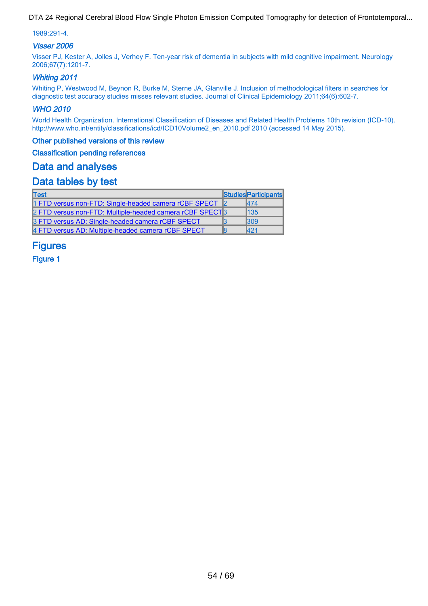<span id="page-53-0"></span>1989:291-4.

## Visser 2006

Visser PJ, Kester A, Jolles J, Verhey F. Ten-year risk of dementia in subjects with mild cognitive impairment. Neurology 2006;67(7):1201-7.

## Whiting 2011

Whiting P, Westwood M, Beynon R, Burke M, Sterne JA, Glanville J. Inclusion of methodological filters in searches for diagnostic test accuracy studies misses relevant studies. Journal of Clinical Epidemiology 2011;64(6):602-7.

## WHO 2010

World Health Organization. International Classification of Diseases and Related Health Problems 10th revision (ICD-10). http://www.who.int/entity/classifications/icd/ICD10Volume2\_en\_2010.pdf 2010 (accessed 14 May 2015).

## Other published versions of this review

Classification pending references

# Data and analyses

# Data tables by test

| <b>Test</b>                                                             |    | <b>Studies Participants</b> |
|-------------------------------------------------------------------------|----|-----------------------------|
| 1 FTD versus non-FTD: Single-headed camera rCBF SPECT 2                 |    | <b>1474</b>                 |
| 2 FTD versus non-FTD: Multiple-headed camera rCBF SPECT <sup>[3</sup> ] |    | <b>135</b>                  |
| 3 FTD versus AD: Single-headed camera rCBF SPECT                        |    | 309                         |
| 4 FTD versus AD: Multiple-headed camera rCBF SPECT                      | 18 | <b>421</b>                  |

**Figures** 

Figure 1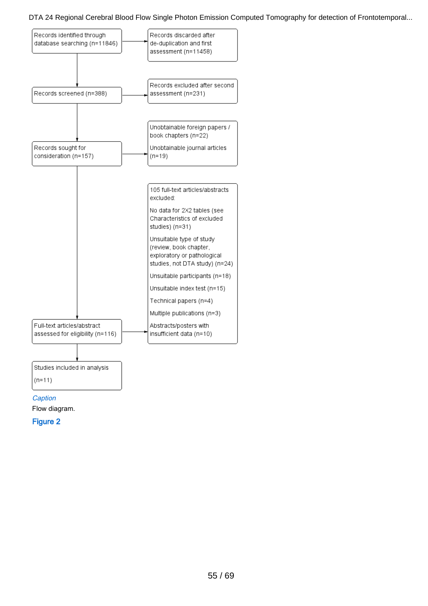<span id="page-54-0"></span>DTA 24 Regional Cerebral Blood Flow Single Photon Emission Computed Tomography for detection of Frontotemporal...



## **Caption**

Flow diagram.

## Figure 2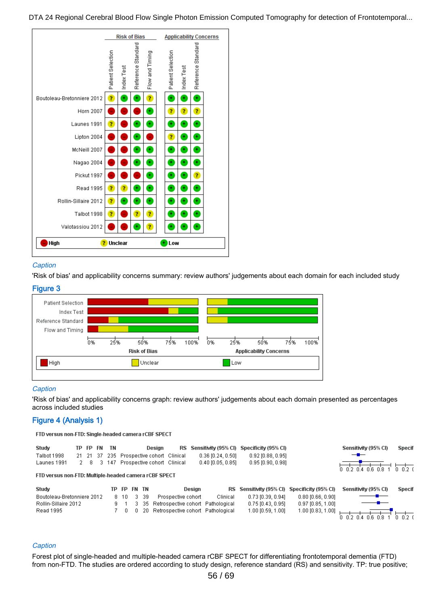<span id="page-55-0"></span>

#### **Caption**

'Risk of bias' and applicability concerns summary: review authors' judgements about each domain for each included study

## Figure 3



#### **Caption**

'Risk of bias' and applicability concerns graph: review authors' judgements about each domain presented as percentages across included studies

## Figure 4 (Analysis 1)

FTD versus non-FTD: Single-headed camera rCBF SPECT

| Study                                                 | TP FP | FN   | <b>TN</b> |             |    |     | Design<br>RS                    | Sensitivity (95% CI)              | Specificity (95% CI) |                      | Sensitivity (95% CI) | <b>Specif</b> |
|-------------------------------------------------------|-------|------|-----------|-------------|----|-----|---------------------------------|-----------------------------------|----------------------|----------------------|----------------------|---------------|
| Talbot 1998                                           | 21 21 | - 37 |           |             |    |     | 235 Prospective cohort Clinical | $0.36$ [0.24, 0.50]               | $0.92$ [0.88, 0.95]  |                      | —                    |               |
| Launes 1991                                           | 28    | з.   |           |             |    |     | 147 Prospective cohort Clinical | $0.40$ [0.05, 0.85]               | $0.95$ [0.90, 0.98]  |                      | 0.0204060810020      |               |
| FTD versus non-FTD: Multiple-headed camera rCBF SPECT |       |      |           |             |    |     |                                 |                                   |                      |                      |                      |               |
|                                                       |       |      |           |             |    |     |                                 |                                   |                      |                      |                      |               |
| Study                                                 |       |      |           | TP FP FN TN |    |     | Design                          | RS                                | Sensitivity (95% CI) | Specificity (95% CI) | Sensitivity (95% CI) | Specif        |
| Boutoleau-Bretonniere 2012                            |       |      |           | 810         | з. | 39  | Prospective cohort              | Clinical                          | $0.73$ [0.39, 0.94]  | $0.80$ [0.66, 0.90]  | ——                   |               |
| Rollin-Sillaire 2012                                  |       |      | я.        |             | з. | 35. |                                 | Retrospective cohort Pathological | $0.75$ [0.43, 0.95]  | $0.97$ [0.85, 1.00]  |                      |               |

#### **Caption**

Forest plot of single-headed and multiple-headed camera rCBF SPECT for differentiating frontotemporal dementia (FTD) from non-FTD. The studies are ordered according to study design, reference standard (RS) and sensitivity. TP: true positive;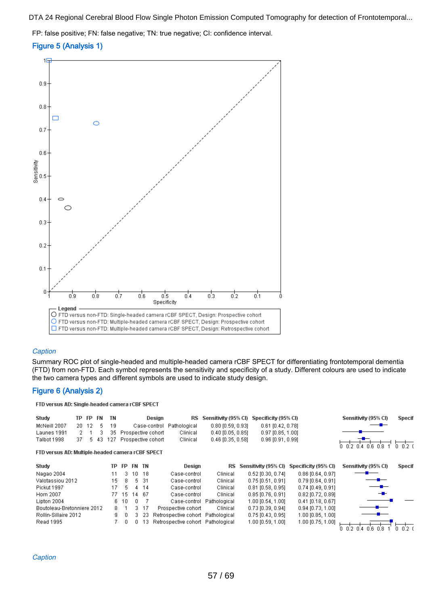<span id="page-56-0"></span>FP: false positive; FN: false negative; TN: true negative; CI: confidence interval.

## Figure 5 (Analysis 1)



#### **Caption**

Summary ROC plot of single-headed and multiple-headed camera rCBF SPECT for differentiating frontotemporal dementia (FTD) from non-FTD. Each symbol represents the sensitivity and specificity of a study. Different colours are used to indicate the two camera types and different symbols are used to indicate study design.

## Figure 6 (Analysis 2)

#### FTD versus AD: Single-headed camera rCBF SPECT

| Study                                            | TP  | FP FN |    | ΤN  |     |       |     | RS<br>Design                      | Sensitivity (95% CI) | Specificity (95% CI)  |                       | Sensitivity (95% CI)    | Specif        |
|--------------------------------------------------|-----|-------|----|-----|-----|-------|-----|-----------------------------------|----------------------|-----------------------|-----------------------|-------------------------|---------------|
| McNeill 2007                                     |     | 20 12 | 5. | 19  |     |       |     | Case-control<br>Pathological      | $0.80$ [0.59, 0.93]  | $0.61$ $[0.42, 0.78]$ |                       |                         |               |
| Launes 1991                                      | 2.  |       | 3  | 35  |     |       |     | Prospective cohort<br>Clinical    | $0.40$ [0.05, 0.85]  | $0.97$ [0.85, 1.00]   |                       |                         |               |
| Talbot 1998                                      | 37. | 5     | 43 | -27 |     |       |     | Prospective cohort<br>Clinical    | $0.46$ [0.35, 0.58]  | $0.96$ $[0.91, 0.99]$ |                       |                         |               |
| FTD versus AD: Multiple-headed camera rCBF SPECT |     |       |    |     |     |       |     |                                   |                      |                       |                       | 0 0 2 0 4 0 6 0 8       | $\sqrt{0.02}$ |
| Study                                            |     |       |    | TP  | FP. | FN TN |     | Design                            | RS                   | Sensitivity (95% CI)  | Specificity (95% CI)  | Sensitivity (95% CI)    | Specif        |
| Nagao 2004                                       |     |       |    | 11  | 3.  | 10 18 |     | Case-control                      | Clinical             | $0.52$ [0.30, 0.74]   | $0.86$ $[0.64, 0.97]$ |                         |               |
| Valotassiou 2012                                 |     |       |    | 15  | 8   | 5.    | -31 | Case-control                      | Clinical             | $0.75$ [0.51, 0.91]   | 0.79 [0.64, 0.91]     | -∎—                     |               |
| Pickut 1997                                      |     |       |    | 17  | 5.  | 4     | -14 | Case-control                      | Clinical             | $0.81$ [0.58, 0.95]   | $0.74$ [0.49, 0.91]   | — <b>11</b>             |               |
| Horn 2007                                        |     |       |    | 77  | 15  | 14    | -67 | Case-control                      | Clinical             | $0.85$ [0.76, 0.91]   | $0.82$ $[0.72, 0.89]$ |                         |               |
| Lipton 2004                                      |     |       |    | 6.  | 10  | 0     |     | Case-control                      | Pathological         | 1.00 [0.54, 1.00]     | $0.41$ [0.18, 0.67]   |                         |               |
| Boutoleau-Bretonniere 2012                       |     |       |    | 8.  |     | 3.    | -17 | Prospective cohort                | Clinical             | $0.73$ [0.39, 0.94]   | $0.94$ [0.73, 1.00]   |                         |               |
| Rollin-Sillaire 2012                             |     |       |    | 9.  | n   | З.    | -23 | Retrospective cohort Pathological |                      | $0.75$ [0.43, 0.95]   | 1.00 [0.85, 1.00]     |                         |               |
| <b>Read 1995</b>                                 |     |       |    |     |     |       | з   | Retrospective cohort Pathological |                      | 1.00 [0.59, 1.00]     | 1.00 [0.75, 1.00]     | $0\,0.2\,0.4\,0.6\,0.8$ | n 2.          |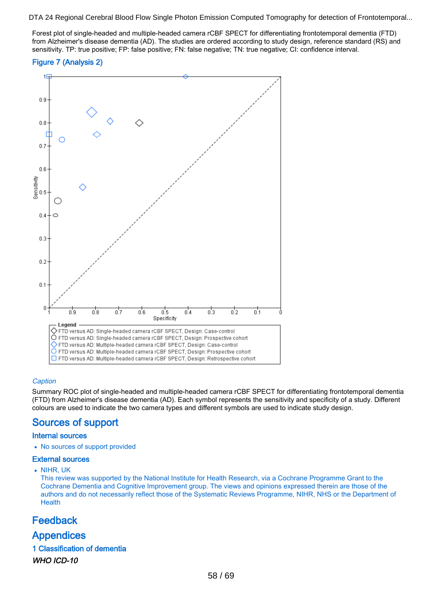<span id="page-57-0"></span>Forest plot of single-headed and multiple-headed camera rCBF SPECT for differentiating frontotemporal dementia (FTD) from Alzheimer's disease dementia (AD). The studies are ordered according to study design, reference standard (RS) and sensitivity. TP: true positive; FP: false positive; FN: false negative; TN: true negative; CI: confidence interval.

## Figure 7 (Analysis 2)



#### **Caption**

Summary ROC plot of single-headed and multiple-headed camera rCBF SPECT for differentiating frontotemporal dementia (FTD) from Alzheimer's disease dementia (AD). Each symbol represents the sensitivity and specificity of a study. Different colours are used to indicate the two camera types and different symbols are used to indicate study design.

# Sources of support

## Internal sources

No sources of support provided

## External sources

• NIHR, UK

This review was supported by the National Institute for Health Research, via a Cochrane Programme Grant to the Cochrane Dementia and Cognitive Improvement group. The views and opinions expressed therein are those of the authors and do not necessarily reflect those of the Systematic Reviews Programme, NIHR, NHS or the Department of **Health** 

# **Feedback**

# **Appendices**

1 Classification of dementia WHO ICD-10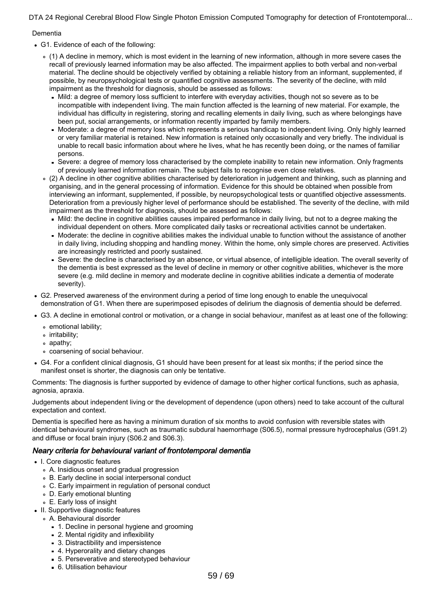#### Dementia

- G1. Evidence of each of the following:
	- (1) A decline in memory, which is most evident in the learning of new information, although in more severe cases the recall of previously learned information may be also affected. The impairment applies to both verbal and non-verbal material. The decline should be objectively verified by obtaining a reliable history from an informant, supplemented, if possible, by neuropsychological tests or quantified cognitive assessments. The severity of the decline, with mild impairment as the threshold for diagnosis, should be assessed as follows:
		- Mild: a degree of memory loss sufficient to interfere with everyday activities, though not so severe as to be incompatible with independent living. The main function affected is the learning of new material. For example, the individual has difficulty in registering, storing and recalling elements in daily living, such as where belongings have been put, social arrangements, or information recently imparted by family members.
		- Moderate: a degree of memory loss which represents a serious handicap to independent living. Only highly learned or very familiar material is retained. New information is retained only occasionally and very briefly. The individual is unable to recall basic information about where he lives, what he has recently been doing, or the names of familiar persons.
		- Severe: a degree of memory loss characterised by the complete inability to retain new information. Only fragments of previously learned information remain. The subject fails to recognise even close relatives.
	- (2) A decline in other cognitive abilities characterised by deterioration in judgement and thinking, such as planning and organising, and in the general processing of information. Evidence for this should be obtained when possible from interviewing an informant, supplemented, if possible, by neuropsychological tests or quantified objective assessments. Deterioration from a previously higher level of performance should be established. The severity of the decline, with mild impairment as the threshold for diagnosis, should be assessed as follows:
		- Mild: the decline in cognitive abilities causes impaired performance in daily living, but not to a degree making the individual dependent on others. More complicated daily tasks or recreational activities cannot be undertaken.
		- Moderate: the decline in cognitive abilities makes the individual unable to function without the assistance of another in daily living, including shopping and handling money. Within the home, only simple chores are preserved. Activities are increasingly restricted and poorly sustained.
		- Severe: the decline is characterised by an absence, or virtual absence, of intelligible ideation. The overall severity of the dementia is best expressed as the level of decline in memory or other cognitive abilities, whichever is the more severe (e.g. mild decline in memory and moderate decline in cognitive abilities indicate a dementia of moderate severity).
- G2. Preserved awareness of the environment during a period of time long enough to enable the unequivocal demonstration of G1. When there are superimposed episodes of delirium the diagnosis of dementia should be deferred.
- G3. A decline in emotional control or motivation, or a change in social behaviour, manifest as at least one of the following:
	- emotional lability;
	- irritability;
	- apathy;
	- coarsening of social behaviour.
- G4. For a confident clinical diagnosis, G1 should have been present for at least six months; if the period since the manifest onset is shorter, the diagnosis can only be tentative.

Comments: The diagnosis is further supported by evidence of damage to other higher cortical functions, such as aphasia, agnosia, apraxia.

Judgements about independent living or the development of dependence (upon others) need to take account of the cultural expectation and context.

Dementia is specified here as having a minimum duration of six months to avoid confusion with reversible states with identical behavioural syndromes, such as traumatic subdural haemorrhage (S06.5), normal pressure hydrocephalus (G91.2) and diffuse or focal brain injury (S06.2 and S06.3).

## Neary criteria for behavioural variant of frontotemporal dementia

- I. Core diagnostic features
	- A. Insidious onset and gradual progression
	- B. Early decline in social interpersonal conduct
	- C. Early impairment in regulation of personal conduct
	- D. Early emotional blunting
	- E. Early loss of insight
- II. Supportive diagnostic features
	- A. Behavioural disorder
		- 1. Decline in personal hygiene and grooming
		- 2. Mental rigidity and inflexibility
		- 3. Distractibility and impersistence
		- 4. Hyperorality and dietary changes
		- 5. Perseverative and stereotyped behaviour
		- 6. Utilisation behaviour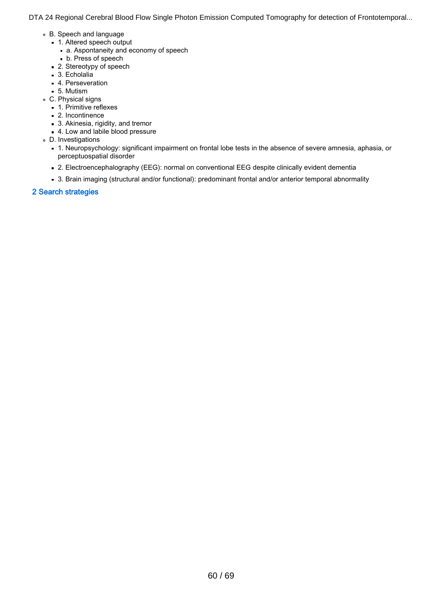- <span id="page-59-0"></span>B. Speech and language
	- 1. Altered speech output
		- a. Aspontaneity and economy of speech
		- b. Press of speech
	- 2. Stereotypy of speech
	- 3. Echolalia
	- 4. Perseveration
	- 5. Mutism
- C. Physical signs
	- 1. Primitive reflexes
	- 2. Incontinence
	- 3. Akinesia, rigidity, and tremor
	- 4. Low and labile blood pressure
- D. Investigations
	- 1. Neuropsychology: significant impairment on frontal lobe tests in the absence of severe amnesia, aphasia, or perceptuospatial disorder
	- 2. Electroencephalography (EEG): normal on conventional EEG despite clinically evident dementia
	- 3. Brain imaging (structural and/or functional): predominant frontal and/or anterior temporal abnormality

## 2 Search strategies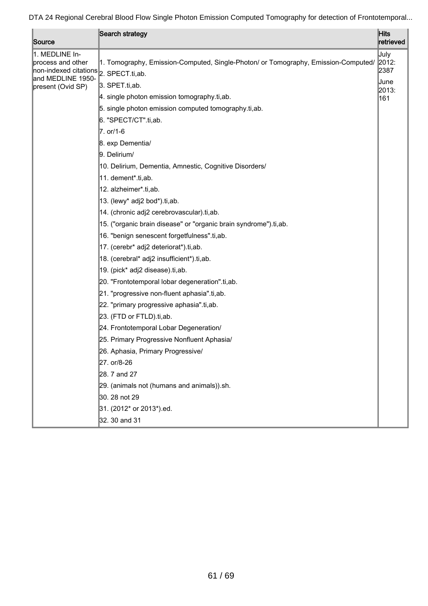| Source                                                              | Search strategy                                                                          | <b>Hits</b><br>retrieved |
|---------------------------------------------------------------------|------------------------------------------------------------------------------------------|--------------------------|
| 1. MEDLINE In-                                                      |                                                                                          | July                     |
| process and other                                                   | 1. Tomography, Emission-Computed, Single-Photon/ or Tomography, Emission-Computed/ 2012: | 2387                     |
| non-indexed citations $\vert$ 2. SPECT ti, ab.<br>and MEDLINE 1950- |                                                                                          | June                     |
| present (Ovid SP)                                                   | 3. SPET.ti,ab.                                                                           | 2013:                    |
|                                                                     | 4. single photon emission tomography.ti,ab.                                              | 161                      |
|                                                                     | 5. single photon emission computed tomography.ti,ab.                                     |                          |
|                                                                     | 6. "SPECT/CT".ti,ab.                                                                     |                          |
|                                                                     | 7. or/1-6                                                                                |                          |
|                                                                     | 8. exp Dementia/                                                                         |                          |
|                                                                     | 9. Delirium/                                                                             |                          |
|                                                                     | 10. Delirium, Dementia, Amnestic, Cognitive Disorders/                                   |                          |
|                                                                     | 11. dement*.ti,ab.                                                                       |                          |
|                                                                     | 12. alzheimer*.ti,ab.                                                                    |                          |
|                                                                     | 13. (lewy* adj2 bod*).ti,ab.                                                             |                          |
|                                                                     | 14. (chronic adj2 cerebrovascular).ti,ab.                                                |                          |
|                                                                     | 15. ("organic brain disease" or "organic brain syndrome").ti, ab.                        |                          |
|                                                                     | 16. "benign senescent forgetfulness".ti,ab.                                              |                          |
|                                                                     | 17. (cerebr* adj2 deteriorat*).ti,ab.                                                    |                          |
|                                                                     | 18. (cerebral* adj2 insufficient*).ti,ab.                                                |                          |
|                                                                     | 19. (pick* adj2 disease).ti,ab.                                                          |                          |
|                                                                     | 20. "Frontotemporal lobar degeneration".ti,ab.                                           |                          |
|                                                                     | 21. "progressive non-fluent aphasia".ti,ab.                                              |                          |
|                                                                     | 22. "primary progressive aphasia".ti,ab.                                                 |                          |
|                                                                     | 23. (FTD or FTLD).ti,ab.                                                                 |                          |
|                                                                     | 24. Frontotemporal Lobar Degeneration/                                                   |                          |
|                                                                     | 25. Primary Progressive Nonfluent Aphasia/                                               |                          |
|                                                                     | 26. Aphasia, Primary Progressive/                                                        |                          |
|                                                                     | 27. or/8-26                                                                              |                          |
|                                                                     | 28. 7 and 27                                                                             |                          |
|                                                                     | 29. (animals not (humans and animals)).sh.                                               |                          |
|                                                                     | 30. 28 not 29                                                                            |                          |
|                                                                     | 31. (2012* or 2013*).ed.                                                                 |                          |
|                                                                     | 32. 30 and 31                                                                            |                          |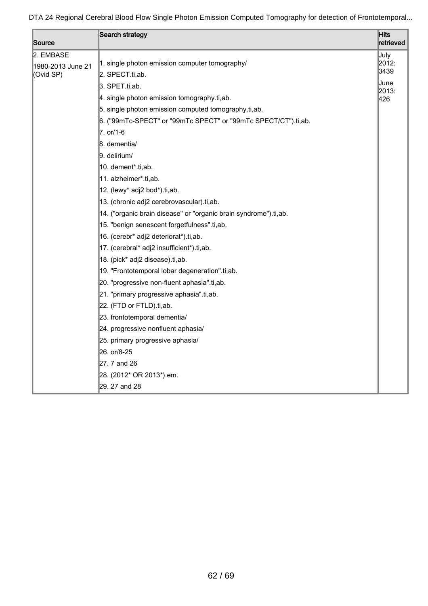| Source            | Search strategy                                                   | <b>Hits</b><br>retrieved |
|-------------------|-------------------------------------------------------------------|--------------------------|
| 2. EMBASE         |                                                                   | July                     |
| 1980-2013 June 21 | 1. single photon emission computer tomography/                    |                          |
| (Ovid SP)         | 2. SPECT.ti,ab.                                                   | 3439                     |
|                   | 3. SPET.ti,ab.                                                    | June<br>2013:            |
|                   | 4. single photon emission tomography.ti,ab.                       | 426                      |
|                   | 5. single photon emission computed tomography.ti,ab.              |                          |
|                   | 6. ("99mTc-SPECT" or "99mTc SPECT" or "99mTc SPECT/CT").ti,ab.    |                          |
|                   | 7. or/1-6                                                         |                          |
|                   | l8. dementia/                                                     |                          |
|                   | 9. delirium/                                                      |                          |
|                   | 10. dement*.ti,ab.                                                |                          |
|                   | 11. alzheimer*.ti,ab.                                             |                          |
|                   | 12. (lewy* adj2 bod*).ti,ab.                                      |                          |
|                   | 13. (chronic adj2 cerebrovascular).ti,ab.                         |                          |
|                   | 14. ("organic brain disease" or "organic brain syndrome").ti, ab. |                          |
|                   | 15. "benign senescent forgetfulness".ti,ab.                       |                          |
|                   | 16. (cerebr* adj2 deteriorat*).ti,ab.                             |                          |
|                   | 17. (cerebral* adj2 insufficient*).ti,ab.                         |                          |
|                   | 18. (pick* adj2 disease).ti,ab.                                   |                          |
|                   | 19. "Frontotemporal lobar degeneration".ti,ab.                    |                          |
|                   | 20. "progressive non-fluent aphasia".ti,ab.                       |                          |
|                   | 21. "primary progressive aphasia".ti,ab.                          |                          |
|                   | 22. (FTD or FTLD).ti,ab.                                          |                          |
|                   | 23. frontotemporal dementia/                                      |                          |
|                   | 24. progressive nonfluent aphasia/                                |                          |
|                   | 25. primary progressive aphasia/                                  |                          |
|                   | 26. or/8-25                                                       |                          |
|                   | 27. 7 and 26                                                      |                          |
|                   | 28. (2012* OR 2013*).em.                                          |                          |
|                   | 29. 27 and 28                                                     |                          |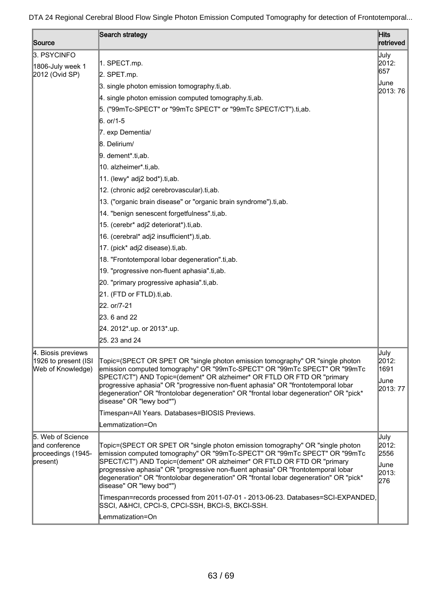| Source                                                                | Search strategy                                                                                                                                                                                                                                                                                                                                                                                                                                | Hits<br>retrieved                              |
|-----------------------------------------------------------------------|------------------------------------------------------------------------------------------------------------------------------------------------------------------------------------------------------------------------------------------------------------------------------------------------------------------------------------------------------------------------------------------------------------------------------------------------|------------------------------------------------|
| 3. PSYCINFO                                                           |                                                                                                                                                                                                                                                                                                                                                                                                                                                | Uuly                                           |
| 1806-July week 1                                                      | 1. SPECT.mp.                                                                                                                                                                                                                                                                                                                                                                                                                                   | 2012:                                          |
| 2012 (Ovid SP)                                                        | 2. SPET.mp.                                                                                                                                                                                                                                                                                                                                                                                                                                    | 657                                            |
|                                                                       | 3. single photon emission tomography.ti,ab.                                                                                                                                                                                                                                                                                                                                                                                                    | June<br>2013: 76                               |
|                                                                       | 4. single photon emission computed tomography.ti,ab.                                                                                                                                                                                                                                                                                                                                                                                           |                                                |
|                                                                       | 5. ("99mTc-SPECT" or "99mTc SPECT" or "99mTc SPECT/CT").ti,ab.                                                                                                                                                                                                                                                                                                                                                                                 |                                                |
|                                                                       | 6. or/1-5                                                                                                                                                                                                                                                                                                                                                                                                                                      |                                                |
|                                                                       | 7. exp Dementia/                                                                                                                                                                                                                                                                                                                                                                                                                               |                                                |
|                                                                       | 8. Delirium/                                                                                                                                                                                                                                                                                                                                                                                                                                   |                                                |
|                                                                       | 9. dement*.ti,ab.                                                                                                                                                                                                                                                                                                                                                                                                                              |                                                |
|                                                                       | 10. alzheimer*.ti,ab.                                                                                                                                                                                                                                                                                                                                                                                                                          |                                                |
|                                                                       | 11. (lewy* adj2 bod*).ti,ab.                                                                                                                                                                                                                                                                                                                                                                                                                   |                                                |
|                                                                       | 12. (chronic adj2 cerebrovascular).ti,ab.                                                                                                                                                                                                                                                                                                                                                                                                      |                                                |
|                                                                       | 13. ("organic brain disease" or "organic brain syndrome").ti, ab.                                                                                                                                                                                                                                                                                                                                                                              |                                                |
|                                                                       | 14. "benign senescent forgetfulness".ti,ab.                                                                                                                                                                                                                                                                                                                                                                                                    |                                                |
|                                                                       | 15. (cerebr* adj2 deteriorat*).ti,ab.                                                                                                                                                                                                                                                                                                                                                                                                          |                                                |
|                                                                       | 16. (cerebral* adj2 insufficient*).ti,ab.                                                                                                                                                                                                                                                                                                                                                                                                      |                                                |
|                                                                       | 17. (pick* adj2 disease).ti,ab.                                                                                                                                                                                                                                                                                                                                                                                                                |                                                |
|                                                                       | 18. "Frontotemporal lobar degeneration".ti,ab.                                                                                                                                                                                                                                                                                                                                                                                                 |                                                |
|                                                                       | 19. "progressive non-fluent aphasia".ti,ab.                                                                                                                                                                                                                                                                                                                                                                                                    |                                                |
|                                                                       | 20. "primary progressive aphasia" ti, ab.                                                                                                                                                                                                                                                                                                                                                                                                      |                                                |
|                                                                       | 21. (FTD or FTLD).ti,ab.                                                                                                                                                                                                                                                                                                                                                                                                                       |                                                |
|                                                                       | 22. or/7-21                                                                                                                                                                                                                                                                                                                                                                                                                                    |                                                |
|                                                                       | 23. 6 and 22                                                                                                                                                                                                                                                                                                                                                                                                                                   |                                                |
|                                                                       | 24. 2012*.up. or 2013*.up.                                                                                                                                                                                                                                                                                                                                                                                                                     |                                                |
|                                                                       | 25. 23 and 24                                                                                                                                                                                                                                                                                                                                                                                                                                  |                                                |
| 4. Biosis previews                                                    |                                                                                                                                                                                                                                                                                                                                                                                                                                                | <b>July</b>                                    |
| 1926 to present (ISI<br>Web of Knowledge)                             | Topic=(SPECT OR SPET OR "single photon emission tomography" OR "single photon<br>emission computed tomography" OR "99mTc-SPECT" OR "99mTc SPECT" OR "99mTc<br>SPECT/CT") AND Topic=(dement* OR alzheimer* OR FTLD OR FTD OR "primary<br>progressive aphasia" OR "progressive non-fluent aphasia" OR "frontotemporal lobar<br>degeneration" OR "frontolobar degeneration" OR "frontal lobar degeneration" OR "pick*<br>disease" OR "lewy bod*") | 2012:<br>1691<br>June<br>2013: 77              |
|                                                                       | Timespan=All Years. Databases=BIOSIS Previews.                                                                                                                                                                                                                                                                                                                                                                                                 |                                                |
|                                                                       | Lemmatization=On                                                                                                                                                                                                                                                                                                                                                                                                                               |                                                |
| 5. Web of Science<br>and conference<br>proceedings (1945-<br>present) | Topic=(SPECT OR SPET OR "single photon emission tomography" OR "single photon<br>emission computed tomography" OR "99mTc-SPECT" OR "99mTc SPECT" OR "99mTc<br>SPECT/CT") AND Topic=(dement* OR alzheimer* OR FTLD OR FTD OR "primary<br>progressive aphasia" OR "progressive non-fluent aphasia" OR "frontotemporal lobar<br>degeneration" OR "frontolobar degeneration" OR "frontal lobar degeneration" OR "pick*<br>disease" OR "lewy bod*") | July<br>2012:<br>2556<br> June<br>2013:<br>276 |
|                                                                       | Timespan=records processed from 2011-07-01 - 2013-06-23. Databases=SCI-EXPANDED,<br>SSCI, A&HCI, CPCI-S, CPCI-SSH, BKCI-S, BKCI-SSH.                                                                                                                                                                                                                                                                                                           |                                                |
|                                                                       | Lemmatization=On                                                                                                                                                                                                                                                                                                                                                                                                                               |                                                |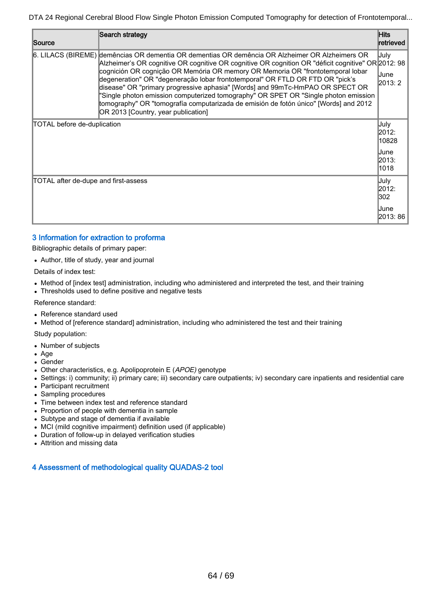<span id="page-63-0"></span>

| Source                               | Search strategy                                                                                                                                                                                                                                                                                                                                                                                                                                                                                                                                                                                                                                                                 | Hits<br>retrieved               |  |  |
|--------------------------------------|---------------------------------------------------------------------------------------------------------------------------------------------------------------------------------------------------------------------------------------------------------------------------------------------------------------------------------------------------------------------------------------------------------------------------------------------------------------------------------------------------------------------------------------------------------------------------------------------------------------------------------------------------------------------------------|---------------------------------|--|--|
|                                      | 6. LILACS (BIREME) demências OR dementia OR dementias OR demência OR Alzheimer OR Alzheimers OR<br>Alzheimer's OR cognitive OR cognitive OR cognitive OR cognition OR "déficit cognitive" OR 2012: 98<br>cognición OR cognição OR Memória OR memory OR Memoria OR "frontotemporal lobar<br>degeneration" OR "degeneração lobar frontotemporal" OR FTLD OR FTD OR "pick's<br>disease" OR "primary progressive aphasia" [Words] and 99mTc-HmPAO OR SPECT OR<br>"Single photon emission computerized tomography" OR SPET OR "Single photon emission<br>tomography" OR "tomografía computarizada de emisión de fotón único" [Words] and 2012<br>OR 2013 [Country, year publication] | Uuly.<br><b>Uune</b><br>2013: 2 |  |  |
| TOTAL before de-duplication          |                                                                                                                                                                                                                                                                                                                                                                                                                                                                                                                                                                                                                                                                                 | Uuly.<br>2012:<br>10828         |  |  |
|                                      |                                                                                                                                                                                                                                                                                                                                                                                                                                                                                                                                                                                                                                                                                 | <b>U</b> une<br>2013:<br>1018   |  |  |
| TOTAL after de-dupe and first-assess |                                                                                                                                                                                                                                                                                                                                                                                                                                                                                                                                                                                                                                                                                 |                                 |  |  |
|                                      |                                                                                                                                                                                                                                                                                                                                                                                                                                                                                                                                                                                                                                                                                 | lJune<br>2013: 86               |  |  |

## 3 Information for extraction to proforma

Bibliographic details of primary paper:

Author, title of study, year and journal

Details of index test:

- Method of [index test] administration, including who administered and interpreted the test, and their training
- Thresholds used to define positive and negative tests

Reference standard:

- Reference standard used
- Method of [reference standard] administration, including who administered the test and their training

Study population:

- Number of subjects
- Age
- Gender
- Other characteristics, e.g. Apolipoprotein E (APOE) genotype
- Settings: i) community; ii) primary care; iii) secondary care outpatients; iv) secondary care inpatients and residential care
- Participant recruitment
- Sampling procedures
- Time between index test and reference standard
- Proportion of people with dementia in sample
- Subtype and stage of dementia if available
- MCI (mild cognitive impairment) definition used (if applicable)
- Duration of follow-up in delayed verification studies
- Attrition and missing data

## 4 Assessment of methodological quality QUADAS-2 tool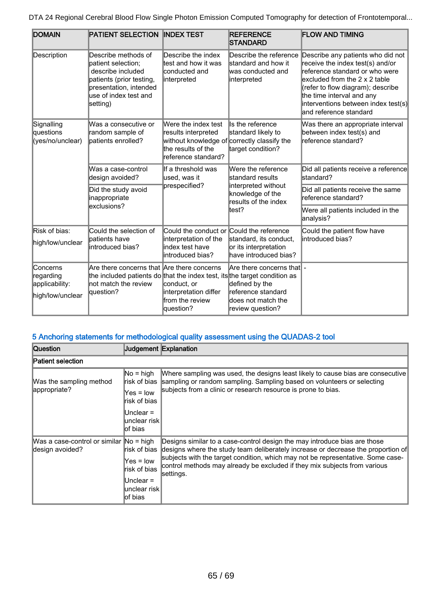<span id="page-64-0"></span>

| <b>DOMAIN</b>                                                      | <b>PATIENT SELECTION INDEX TEST</b>                                                                                                                          |                                                                                                                                        | <b>REFERENCE</b><br><b>STANDARD</b>                                                                          | <b>FLOW AND TIMING</b>                                                                                                                                                                                                                                                       |
|--------------------------------------------------------------------|--------------------------------------------------------------------------------------------------------------------------------------------------------------|----------------------------------------------------------------------------------------------------------------------------------------|--------------------------------------------------------------------------------------------------------------|------------------------------------------------------------------------------------------------------------------------------------------------------------------------------------------------------------------------------------------------------------------------------|
| Description                                                        | Describe methods of<br>patient selection;<br>describe included<br>patients (prior testing,<br>presentation, intended<br>use of index test and<br>setting)    | Describe the index<br>test and how it was<br>conducted and<br>interpreted                                                              | Describe the reference<br>standard and how it<br>lwas conducted and<br>interpreted                           | Describe any patients who did not<br>receive the index test(s) and/or<br>reference standard or who were<br>excluded from the 2 x 2 table<br>(refer to flow diagram); describe<br>the time interval and any<br>interventions between index test(s)<br>land reference standard |
| Signalling<br>questions<br>(yes/no/unclear)                        | Was a consecutive or<br>random sample of<br>patients enrolled?                                                                                               | Were the index test<br>results interpreted<br>without knowledge of correctly classify the<br>the results of the<br>reference standard? | Is the reference<br>standard likely to<br>target condition?                                                  | Was there an appropriate interval<br>between index test(s) and<br>reference standard?                                                                                                                                                                                        |
|                                                                    | Was a case-control<br>design avoided?                                                                                                                        | If a threshold was<br>used, was it                                                                                                     | Were the reference<br>standard results                                                                       | Did all patients receive a reference<br>standard?                                                                                                                                                                                                                            |
|                                                                    | Did the study avoid<br>inappropriate                                                                                                                         | prespecified?                                                                                                                          | interpreted without<br>knowledge of the<br>results of the index                                              | Did all patients receive the same<br>reference standard?                                                                                                                                                                                                                     |
|                                                                    | lexclusions?                                                                                                                                                 |                                                                                                                                        | ltest?                                                                                                       | Were all patients included in the<br>analysis?                                                                                                                                                                                                                               |
| Risk of bias:                                                      | Could the selection of                                                                                                                                       | Could the conduct or Could the reference                                                                                               |                                                                                                              | Could the patient flow have                                                                                                                                                                                                                                                  |
| high/low/unclear                                                   | patients have<br>introduced bias?                                                                                                                            | interpretation of the<br>lindex test have<br>introduced bias?                                                                          | standard, its conduct,<br>or its interpretation<br>have introduced bias?                                     | introduced bias?                                                                                                                                                                                                                                                             |
| <b>Concerns</b><br>regarding<br>applicability:<br>high/low/unclear | Are there concerns that Are there concerns<br>the included patients do that the index test, its the target condition as<br>not match the review<br>question? | conduct, or<br>interpretation differ<br>from the review<br>question?                                                                   | Are there concerns thatI -<br>defined by the<br>reference standard<br>does not match the<br>review question? |                                                                                                                                                                                                                                                                              |

# 5 Anchoring statements for methodological quality assessment using the QUADAS-2 tool

| <b>Question</b>                                              | <b>Judgement Explanation</b>             |                                                                                                                                                                            |
|--------------------------------------------------------------|------------------------------------------|----------------------------------------------------------------------------------------------------------------------------------------------------------------------------|
| <b>Patient selection</b>                                     |                                          |                                                                                                                                                                            |
| Was the sampling method                                      | $No = high$<br>risk of bias              | Where sampling was used, the designs least likely to cause bias are consecutive<br>sampling or random sampling. Sampling based on volunteers or selecting                  |
| appropriate?                                                 | $Yes = low$<br>lrisk of bias             | subjects from a clinic or research resource is prone to bias.                                                                                                              |
|                                                              | Unclear =<br>lunclear risk l<br>lof bias |                                                                                                                                                                            |
| Was a case-control or similar $No = high$<br>design avoided? | lrisk of bias                            | Designs similar to a case-control design the may introduce bias are those<br>designs where the study team deliberately increase or decrease the proportion of              |
|                                                              | Yes = low<br>risk of bias                | subjects with the target condition, which may not be representative. Some case-<br>control methods may already be excluded if they mix subjects from various<br>lsettings. |
|                                                              | Unclear =<br>lunclear riskl<br>of bias   |                                                                                                                                                                            |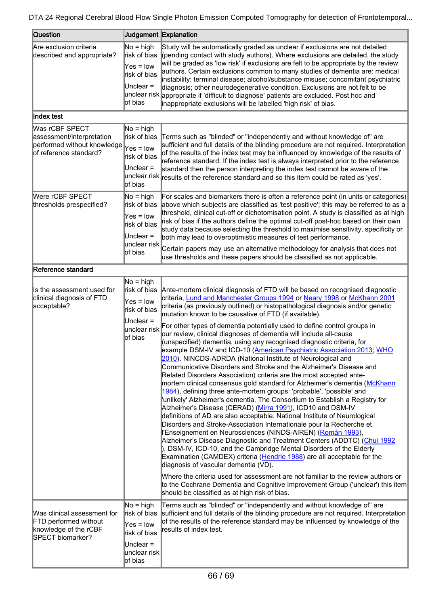| <b>Question</b>                                                                                      |                                                                                                    | Judgement Explanation                                                                                                                                                                                                                                                                                                                                                                                                                                                                                                                                                                                                                                                                                                                                                                                                                                                                                                                                                                                                                                                                                                                                                                                                                                                                                   |
|------------------------------------------------------------------------------------------------------|----------------------------------------------------------------------------------------------------|---------------------------------------------------------------------------------------------------------------------------------------------------------------------------------------------------------------------------------------------------------------------------------------------------------------------------------------------------------------------------------------------------------------------------------------------------------------------------------------------------------------------------------------------------------------------------------------------------------------------------------------------------------------------------------------------------------------------------------------------------------------------------------------------------------------------------------------------------------------------------------------------------------------------------------------------------------------------------------------------------------------------------------------------------------------------------------------------------------------------------------------------------------------------------------------------------------------------------------------------------------------------------------------------------------|
| Are exclusion criteria<br>described and appropriate?                                                 | $No = high$<br>risk of bias<br>$Yes = low$<br>risk of bias<br>Unclear =<br>of bias                 | Study will be automatically graded as unclear if exclusions are not detailed<br>(pending contact with study authors). Where exclusions are detailed, the study<br>will be graded as 'low risk' if exclusions are felt to be appropriate by the review<br>authors. Certain exclusions common to many studies of dementia are: medical<br>instability; terminal disease; alcohol/substance misuse; concomitant psychiatric<br>diagnosis; other neurodegenerative condition. Exclusions are not felt to be<br>unclear risk appropriate if 'difficult to diagnose' patients are excluded. Post hoc and<br>inappropriate exclusions will be labelled 'high risk' of bias.                                                                                                                                                                                                                                                                                                                                                                                                                                                                                                                                                                                                                                    |
| Index test                                                                                           |                                                                                                    |                                                                                                                                                                                                                                                                                                                                                                                                                                                                                                                                                                                                                                                                                                                                                                                                                                                                                                                                                                                                                                                                                                                                                                                                                                                                                                         |
| Was rCBF SPECT<br>assessment/interpretation<br>performed without knowledge<br>of reference standard? | $No = high$<br>risk of bias<br>$Yes = low$<br>risk of bias<br>Unclear =<br>of bias                 | Terms such as "blinded" or "independently and without knowledge of" are<br>sufficient and full details of the blinding procedure are not required. Interpretation<br>of the results of the index test may be influenced by knowledge of the results of<br>reference standard. If the index test is always interpreted prior to the reference<br>standard then the person interpreting the index test cannot be aware of the<br>unclear risk results of the reference standard and so this item could be rated as 'yes'.                                                                                                                                                                                                                                                                                                                                                                                                                                                                                                                                                                                                                                                                                                                                                                                 |
| Were rCBF SPECT<br>thresholds prespecified?                                                          | $No = high$<br>risk of bias<br>$Yes = low$<br>risk of bias<br>Unclear =<br>unclear risk<br>of bias | For scales and biomarkers there is often a reference point (in units or categories)<br>above which subjects are classified as 'test positive'; this may be referred to as a<br>threshold, clinical cut-off or dichotomisation point. A study is classified as at high<br>risk of bias if the authors define the optimal cut-off post-hoc based on their own<br>study data because selecting the threshold to maximise sensitivity, specificity or<br>both may lead to overoptimistic measures of test performance.<br>Certain papers may use an alternative methodology for analysis that does not<br>use thresholds and these papers should be classified as not applicable.                                                                                                                                                                                                                                                                                                                                                                                                                                                                                                                                                                                                                           |
| Reference standard                                                                                   |                                                                                                    |                                                                                                                                                                                                                                                                                                                                                                                                                                                                                                                                                                                                                                                                                                                                                                                                                                                                                                                                                                                                                                                                                                                                                                                                                                                                                                         |
| Is the assessment used for<br>clinical diagnosis of FTD<br>acceptable?                               | $No = high$<br>risk of bias<br>$Yes = low$<br>risk of bias                                         | Ante-mortem clinical diagnosis of FTD will be based on recognised diagnostic<br>criteria, Lund and Manchester Groups 1994 or Neary 1998 or McKhann 2001<br>criteria (as previously outlined) or histopathological diagnosis and/or genetic<br>mutation known to be causative of FTD (if available).                                                                                                                                                                                                                                                                                                                                                                                                                                                                                                                                                                                                                                                                                                                                                                                                                                                                                                                                                                                                     |
|                                                                                                      | Unclear =<br>unclear risk<br>of bias                                                               | For other types of dementia potentially used to define control groups in<br>our review, clinical diagnoses of dementia will include all-cause<br>(unspecified) dementia, using any recognised diagnostic criteria, for<br>example DSM-IV and ICD-10 (American Psychiatric Association 2013; WHO<br>2010). NINCDS-ADRDA (National Institute of Neurological and<br>Communicative Disorders and Stroke and the Alzheimer's Disease and<br>Related Disorders Association) criteria are the most accepted ante-<br>mortem clinical consensus gold standard for Alzheimer's dementia (McKhann<br>1984), defining three ante-mortem groups: 'probable', 'possible' and<br>'unlikely' Alzheimer's dementia. The Consortium to Establish a Registry for<br>Alzheimer's Disease (CERAD) (Mirra 1991), ICD10 and DSM-IV<br>definitions of AD are also acceptable. National Institute of Neurological<br>Disorders and Stroke-Association Internationale pour la Recherche et<br>l'Enseignement en Neurosciences (NINDS-AIREN) (Román 1993),<br>Alzheimer's Disease Diagnostic and Treatment Centers (ADDTC) (Chui 1992<br>), DSM-IV, ICD-10, and the Cambridge Mental Disorders of the Elderly<br>Examination (CAMDEX) criteria (Hendrie 1988) are all acceptable for the<br>diagnosis of vascular dementia (VD). |
|                                                                                                      |                                                                                                    | Where the criteria used for assessment are not familiar to the review authors or<br>to the Cochrane Dementia and Cognitive Improvement Group ('unclear') this item<br>should be classified as at high risk of bias.                                                                                                                                                                                                                                                                                                                                                                                                                                                                                                                                                                                                                                                                                                                                                                                                                                                                                                                                                                                                                                                                                     |
| Was clinical assessment for<br>FTD performed without<br>knowledge of the rCBF<br>SPECT biomarker?    | $No = high$<br>risk of bias<br>$Yes = low$<br>risk of bias<br>Unclear =<br>unclear risk<br>of bias | Terms such as "blinded" or "independently and without knowledge of" are<br>sufficient and full details of the blinding procedure are not required. Interpretation<br>of the results of the reference standard may be influenced by knowledge of the<br>results of index test.                                                                                                                                                                                                                                                                                                                                                                                                                                                                                                                                                                                                                                                                                                                                                                                                                                                                                                                                                                                                                           |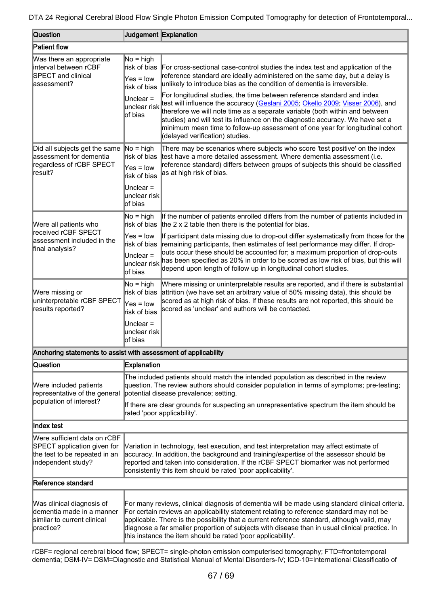| <b>Question</b>                                                                                                                                                                                                                                                                                                                                                                                                                                                                                                                                                    |                                                                                                                                                                                                                                                                                                                                           | Judgement Explanation                                                                                                                                                                                                                                                                                                                                                                                                                                                                                                                                                                                                                                                                       |  |  |  |
|--------------------------------------------------------------------------------------------------------------------------------------------------------------------------------------------------------------------------------------------------------------------------------------------------------------------------------------------------------------------------------------------------------------------------------------------------------------------------------------------------------------------------------------------------------------------|-------------------------------------------------------------------------------------------------------------------------------------------------------------------------------------------------------------------------------------------------------------------------------------------------------------------------------------------|---------------------------------------------------------------------------------------------------------------------------------------------------------------------------------------------------------------------------------------------------------------------------------------------------------------------------------------------------------------------------------------------------------------------------------------------------------------------------------------------------------------------------------------------------------------------------------------------------------------------------------------------------------------------------------------------|--|--|--|
| <b>Patient flow</b>                                                                                                                                                                                                                                                                                                                                                                                                                                                                                                                                                |                                                                                                                                                                                                                                                                                                                                           |                                                                                                                                                                                                                                                                                                                                                                                                                                                                                                                                                                                                                                                                                             |  |  |  |
| Was there an appropriate<br>interval between rCBF<br><b>SPECT</b> and clinical<br>assessment?                                                                                                                                                                                                                                                                                                                                                                                                                                                                      | $No = high$<br>risk of bias<br>$Yes = low$<br>risk of bias<br>Unclear =<br>unclear risk<br>of bias                                                                                                                                                                                                                                        | For cross-sectional case-control studies the index test and application of the<br>reference standard are ideally administered on the same day, but a delay is<br>unlikely to introduce bias as the condition of dementia is irreversible.<br>For longitudinal studies, the time between reference standard and index<br>test will influence the accuracy (Geslani 2005; Okello 2009; Visser 2006), and<br>therefore we will note time as a separate variable (both within and between<br>studies) and will test its influence on the diagnostic accuracy. We have set a<br>minimum mean time to follow-up assessment of one year for longitudinal cohort<br>(delayed verification) studies. |  |  |  |
| Did all subjects get the same<br>assessment for dementia<br>regardless of rCBF SPECT<br>lresult?                                                                                                                                                                                                                                                                                                                                                                                                                                                                   | $No = high$<br>risk of bias<br>$Yes = low$<br>risk of bias<br>Unclear $=$<br>unclear risk<br>of bias                                                                                                                                                                                                                                      | There may be scenarios where subjects who score 'test positive' on the index<br>test have a more detailed assessment. Where dementia assessment (i.e.<br>reference standard) differs between groups of subjects this should be classified<br>as at high risk of bias.                                                                                                                                                                                                                                                                                                                                                                                                                       |  |  |  |
| Were all patients who<br>received rCBF SPECT<br>assessment included in the<br>final analysis?                                                                                                                                                                                                                                                                                                                                                                                                                                                                      | $No = high$<br>risk of bias<br>$Yes = low$<br>risk of bias<br>$Unclear =$<br>unclear risk<br>of bias                                                                                                                                                                                                                                      | If the number of patients enrolled differs from the number of patients included in<br>the $2 \times 2$ table then there is the potential for bias.<br>If participant data missing due to drop-out differ systematically from those for the<br>remaining participants, then estimates of test performance may differ. If drop-<br>outs occur these should be accounted for; a maximum proportion of drop-outs<br>has been specified as 20% in order to be scored as low risk of bias, but this will<br>depend upon length of follow up in longitudinal cohort studies.                                                                                                                       |  |  |  |
| Were missing or<br>uninterpretable rCBF SPECT<br>results reported?                                                                                                                                                                                                                                                                                                                                                                                                                                                                                                 | $No = high$<br>risk of bias<br>$Yes = low$<br>risk of bias<br>Unclear $=$<br>unclear risk<br><b>l</b> of bias                                                                                                                                                                                                                             | Where missing or uninterpretable results are reported, and if there is substantial<br>attrition (we have set an arbitrary value of 50% missing data), this should be<br>scored as at high risk of bias. If these results are not reported, this should be<br>scored as 'unclear' and authors will be contacted.                                                                                                                                                                                                                                                                                                                                                                             |  |  |  |
| Anchoring statements to assist with assessment of applicability                                                                                                                                                                                                                                                                                                                                                                                                                                                                                                    |                                                                                                                                                                                                                                                                                                                                           |                                                                                                                                                                                                                                                                                                                                                                                                                                                                                                                                                                                                                                                                                             |  |  |  |
| <b>Question</b>                                                                                                                                                                                                                                                                                                                                                                                                                                                                                                                                                    | <b>Explanation</b>                                                                                                                                                                                                                                                                                                                        |                                                                                                                                                                                                                                                                                                                                                                                                                                                                                                                                                                                                                                                                                             |  |  |  |
| Were included patients<br>representative of the general<br>population of interest?                                                                                                                                                                                                                                                                                                                                                                                                                                                                                 |                                                                                                                                                                                                                                                                                                                                           | The included patients should match the intended population as described in the review<br>question. The review authors should consider population in terms of symptoms; pre-testing;<br>potential disease prevalence; setting.<br>If there are clear grounds for suspecting an unrepresentative spectrum the item should be<br>rated 'poor applicability'.                                                                                                                                                                                                                                                                                                                                   |  |  |  |
| Index test                                                                                                                                                                                                                                                                                                                                                                                                                                                                                                                                                         |                                                                                                                                                                                                                                                                                                                                           |                                                                                                                                                                                                                                                                                                                                                                                                                                                                                                                                                                                                                                                                                             |  |  |  |
| Were sufficient data on rCBF<br>SPECT application given for<br>the test to be repeated in an<br>independent study?                                                                                                                                                                                                                                                                                                                                                                                                                                                 | Variation in technology, test execution, and test interpretation may affect estimate of<br>accuracy. In addition, the background and training/expertise of the assessor should be<br>reported and taken into consideration. If the rCBF SPECT biomarker was not performed<br>consistently this item should be rated 'poor applicability'. |                                                                                                                                                                                                                                                                                                                                                                                                                                                                                                                                                                                                                                                                                             |  |  |  |
| Reference standard                                                                                                                                                                                                                                                                                                                                                                                                                                                                                                                                                 |                                                                                                                                                                                                                                                                                                                                           |                                                                                                                                                                                                                                                                                                                                                                                                                                                                                                                                                                                                                                                                                             |  |  |  |
| Was clinical diagnosis of<br>For many reviews, clinical diagnosis of dementia will be made using standard clinical criteria.<br>dementia made in a manner<br>For certain reviews an applicability statement relating to reference standard may not be<br>similar to current clinical<br>applicable. There is the possibility that a current reference standard, although valid, may<br>diagnose a far smaller proportion of subjects with disease than in usual clinical practice. In<br>practice?<br>this instance the item should be rated 'poor applicability'. |                                                                                                                                                                                                                                                                                                                                           |                                                                                                                                                                                                                                                                                                                                                                                                                                                                                                                                                                                                                                                                                             |  |  |  |

rCBF= regional cerebral blood flow; SPECT= single-photon emission computerised tomography; FTD=frontotemporal dementia; DSM-IV= DSM=Diagnostic and Statistical Manual of Mental Disorders-IV; ICD-10=International Classificatio of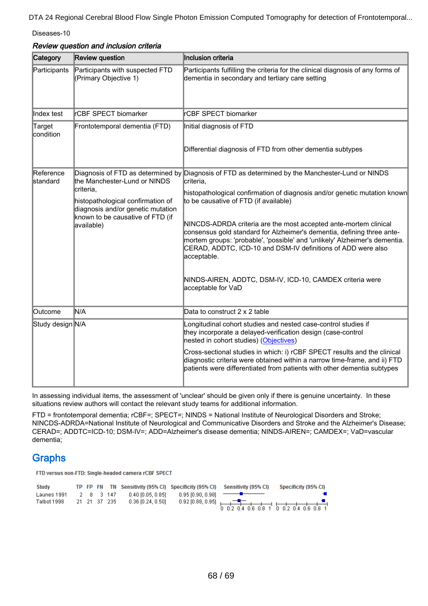Diseases-10

Review question and inclusion criteria

| Category              | <b>Review question</b>                                                              | Inclusion criteria                                                                                                                                                                                                                                                                                      |  |  |  |  |
|-----------------------|-------------------------------------------------------------------------------------|---------------------------------------------------------------------------------------------------------------------------------------------------------------------------------------------------------------------------------------------------------------------------------------------------------|--|--|--|--|
| Participants          | Participants with suspected FTD<br>(Primary Objective 1)                            | Participants fulfilling the criteria for the clinical diagnosis of any forms of<br>dementia in secondary and tertiary care setting                                                                                                                                                                      |  |  |  |  |
| Index test            | <b>CBF SPECT biomarker</b>                                                          | <b>CBF SPECT biomarker</b>                                                                                                                                                                                                                                                                              |  |  |  |  |
| Target<br>condition   | Frontotemporal dementia (FTD)                                                       | Initial diagnosis of FTD                                                                                                                                                                                                                                                                                |  |  |  |  |
|                       |                                                                                     | Differential diagnosis of FTD from other dementia subtypes                                                                                                                                                                                                                                              |  |  |  |  |
| Reference<br>standard | the Manchester-Lund or NINDS                                                        | Diagnosis of FTD as determined by Diagnosis of FTD as determined by the Manchester-Lund or NINDS<br>criteria,                                                                                                                                                                                           |  |  |  |  |
|                       | criteria,<br>histopathological confirmation of<br>diagnosis and/or genetic mutation | histopathological confirmation of diagnosis and/or genetic mutation known<br>to be causative of FTD (if available)                                                                                                                                                                                      |  |  |  |  |
|                       | known to be causative of FTD (if<br>available)                                      | NINCDS-ADRDA criteria are the most accepted ante-mortem clinical<br>consensus gold standard for Alzheimer's dementia, defining three ante-<br>mortem groups: 'probable', 'possible' and 'unlikely' Alzheimer's dementia.<br>CERAD, ADDTC, ICD-10 and DSM-IV definitions of ADD were also<br>acceptable. |  |  |  |  |
|                       |                                                                                     | NINDS-AIREN, ADDTC, DSM-IV, ICD-10, CAMDEX criteria were<br>acceptable for VaD                                                                                                                                                                                                                          |  |  |  |  |
| Outcome               | N/A                                                                                 | Data to construct 2 x 2 table                                                                                                                                                                                                                                                                           |  |  |  |  |
| Study design N/A      |                                                                                     | Longitudinal cohort studies and nested case-control studies if<br>they incorporate a delayed-verification design (case-control<br>nested in cohort studies) (Objectives)                                                                                                                                |  |  |  |  |
|                       |                                                                                     | Cross-sectional studies in which: i) rCBF SPECT results and the clinical<br>diagnostic criteria were obtained within a narrow time-frame, and ii) FTD<br>patients were differentiated from patients with other dementia subtypes                                                                        |  |  |  |  |

In assessing individual items, the assessment of 'unclear' should be given only if there is genuine uncertainty. In these situations review authors will contact the relevant study teams for additional information.

FTD = frontotemporal dementia; rCBF=; SPECT=; NINDS = National Institute of Neurological Disorders and Stroke; NINCDS-ADRDA=National Institute of Neurological and Communicative Disorders and Stroke and the Alzheimer's Disease; CERAD=; ADDTC=ICD-10; DSM-IV=; ADD=Alzheimer's disease dementia; NINDS-AIREN=; CAMDEX=; VaD=vascular dementia;

# **Graphs**

FTD versus non-FTD: Single-headed camera rCBF SPECT

| Study       |  |              |                     | TP FP FN TN Sensitivity (95% CI) Specificity (95% CI) Sensitivity (95% CI)                                                                                                                                                                                                                                                                                                                                                                                                                                                               | Specificity (95% CI) |
|-------------|--|--------------|---------------------|------------------------------------------------------------------------------------------------------------------------------------------------------------------------------------------------------------------------------------------------------------------------------------------------------------------------------------------------------------------------------------------------------------------------------------------------------------------------------------------------------------------------------------------|----------------------|
| Launes 1991 |  | 2 8 3 1 4 7  | 0.40 [0.05, 0.85]   | $0.95\,0.90, 0.981$ $\longrightarrow$                                                                                                                                                                                                                                                                                                                                                                                                                                                                                                    |                      |
| Talbot 1998 |  | 21 21 37 235 | $0.36$ [0.24, 0.50] | $0.92 [0.88, 0.95] \begin{array}{c} \begin{array}{c} \begin{array}{c} \begin{array}{c} \end{array} \\ \begin{array}{c} \end{array} \\ \begin{array}{c} \end{array} \\ \begin{array}{c} \end{array} \\ \begin{array}{c} \end{array} \\ \begin{array}{c} \end{array} \\ \begin{array}{c} \end{array} \\ \begin{array}{c} \end{array} \\ \begin{array}{c} \end{array} \\ \begin{array}{c} \end{array} \\ \begin{array}{c} \end{array} \\ \begin{array}{c} \end{array} \\ \begin{array}{c} \end{array} \\ \begin{array}{c} \end{array} \\ \$ |                      |